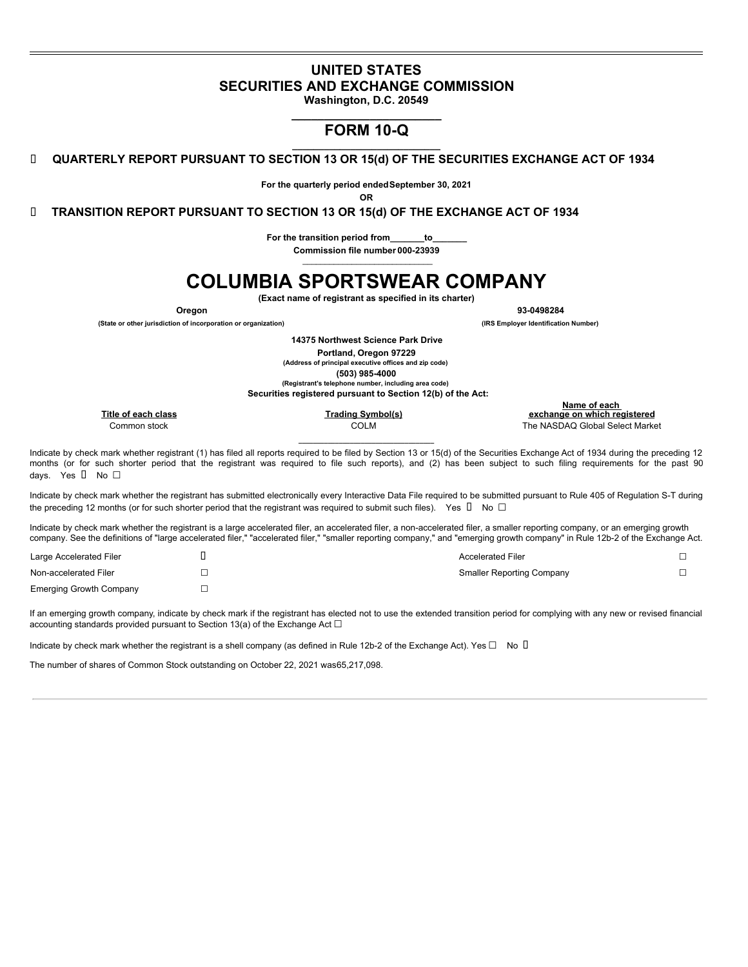# **UNITED STATES SECURITIES AND EXCHANGE COMMISSION**

**Washington, D.C. 20549 \_\_\_\_\_\_\_\_\_\_\_\_\_\_\_\_\_\_\_\_\_\_\_**

# **FORM 10-Q \_\_\_\_\_\_\_\_\_\_\_\_\_\_\_\_\_\_\_\_\_\_\_\_\_\_\_\_**

**QUARTERLY REPORT PURSUANT TO SECTION 13 OR 15(d) OF THE SECURITIES EXCHANGE ACT OF 1934**

**For the quarterly period endedSeptember 30, 2021**

**OR**

**TRANSITION REPORT PURSUANT TO SECTION 13 OR 15(d) OF THE EXCHANGE ACT OF 1934**

**For the transition period from\_\_\_\_\_\_\_to\_\_\_\_\_\_\_ Commission file number 000-23939**

# **COLUMBIA SPORTSWEAR COMPANY**

**(Exact name of registrant as specified in its charter)**

**Oregon 93-0498284**

**(State or other jurisdiction of incorporation or organization) (IRS Employer Identification Number)**

**14375 Northwest Science Park Drive Portland, Oregon 97229**

**(Address of principal executive offices and zip code) (503) 985-4000**

**(Registrant's telephone number, including area code)**

**Securities registered pursuant to Section 12(b) of the Act:**

|                     |                   | Name of each                    |
|---------------------|-------------------|---------------------------------|
| Title of each class | Trading Svmbol(s) | exchange on which registered    |
| Common stock        | COLM              | The NASDAQ Global Select Market |
|                     |                   |                                 |

Indicate by check mark whether registrant (1) has filed all reports required to be filed by Section 13 or 15(d) of the Securities Exchange Act of 1934 during the preceding 12 months (or for such shorter period that the registrant was required to file such reports), and (2) has been subject to such filing requirements for the past 90 days. Yes **□** No □

Indicate by check mark whether the registrant has submitted electronically every Interactive Data File required to be submitted pursuant to Rule 405 of Regulation S-T during the preceding 12 months (or for such shorter period that the registrant was required to submit such files). Yes  $\Box$  No  $\Box$ 

Indicate by check mark whether the registrant is a large accelerated filer, an accelerated filer, a non-accelerated filer, a smaller reporting company, or an emerging growth company. See the definitions of "large accelerated filer," "accelerated filer," "smaller reporting company," and "emerging growth company" in Rule 12b-2 of the Exchange Act.

| Large Accelerated Filer        | <b>Accelerated Filer</b>         |  |
|--------------------------------|----------------------------------|--|
| Non-accelerated Filer          | <b>Smaller Reporting Company</b> |  |
| <b>Emerging Growth Company</b> |                                  |  |

If an emerging growth company, indicate by check mark if the registrant has elected not to use the extended transition period for complying with any new or revised financial accounting standards provided pursuant to Section 13(a) of the Exchange Act  $\Box$ 

Indicate by check mark whether the registrant is a shell company (as defined in Rule 12b-2 of the Exchange Act). Yes  $\Box$  No  $\Box$ 

<span id="page-0-0"></span>The number of shares of Common Stock outstanding on October 22, 2021 was65,217,098.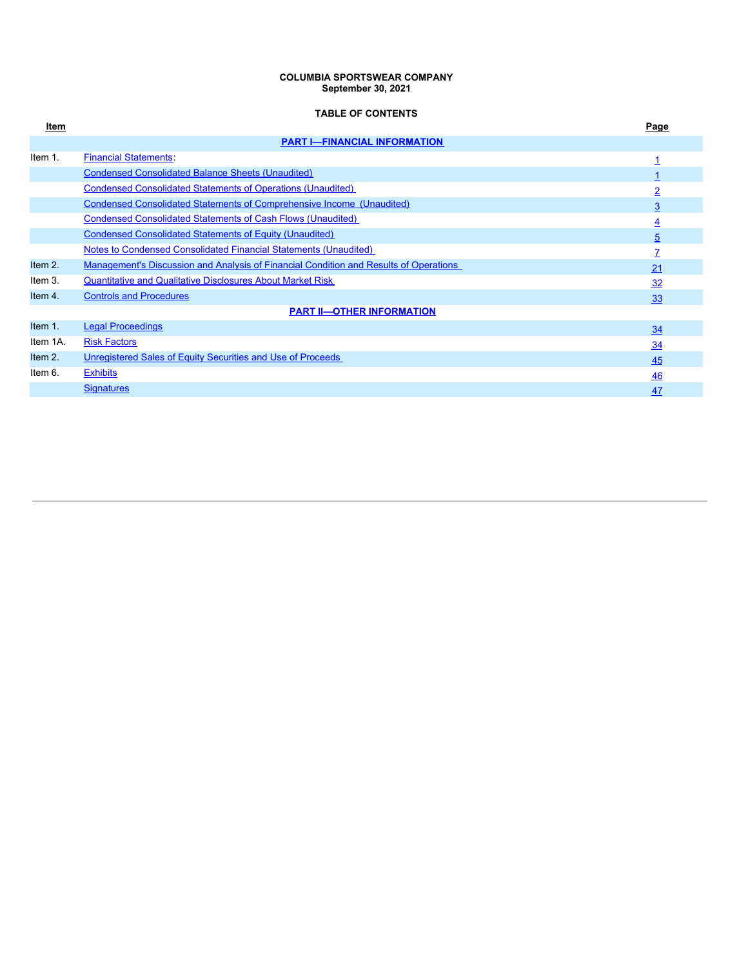#### **COLUMBIA SPORTSWEAR COMPANY September 30, 2021**

# **TABLE OF CONTENTS**

<span id="page-1-0"></span>

| Item     |                                                                                       | Page           |  |  |  |  |  |  |
|----------|---------------------------------------------------------------------------------------|----------------|--|--|--|--|--|--|
|          | <b>PART I-FINANCIAL INFORMATION</b>                                                   |                |  |  |  |  |  |  |
| Item 1.  | <b>Financial Statements:</b>                                                          |                |  |  |  |  |  |  |
|          | <b>Condensed Consolidated Balance Sheets (Unaudited)</b>                              |                |  |  |  |  |  |  |
|          | <b>Condensed Consolidated Statements of Operations (Unaudited)</b>                    | $\overline{2}$ |  |  |  |  |  |  |
|          | <b>Condensed Consolidated Statements of Comprehensive Income (Unaudited)</b>          | 3              |  |  |  |  |  |  |
|          | <b>Condensed Consolidated Statements of Cash Flows (Unaudited)</b>                    | $\overline{4}$ |  |  |  |  |  |  |
|          | <b>Condensed Consolidated Statements of Equity (Unaudited)</b>                        | 5              |  |  |  |  |  |  |
|          | Notes to Condensed Consolidated Financial Statements (Unaudited)                      | $\overline{7}$ |  |  |  |  |  |  |
| Item 2.  | Management's Discussion and Analysis of Financial Condition and Results of Operations | 21             |  |  |  |  |  |  |
| Item 3.  | <b>Quantitative and Qualitative Disclosures About Market Risk</b>                     | 32             |  |  |  |  |  |  |
| Item 4.  | <b>Controls and Procedures</b>                                                        | 33             |  |  |  |  |  |  |
|          | <b>PART II-OTHER INFORMATION</b>                                                      |                |  |  |  |  |  |  |
| Item 1.  | <b>Legal Proceedings</b>                                                              | 34             |  |  |  |  |  |  |
| Item 1A. | <b>Risk Factors</b>                                                                   | 34             |  |  |  |  |  |  |
| Item 2.  | Unregistered Sales of Equity Securities and Use of Proceeds                           | 45             |  |  |  |  |  |  |
| Item 6.  | <b>Exhibits</b>                                                                       | 46             |  |  |  |  |  |  |
|          | <b>Signatures</b>                                                                     | 47             |  |  |  |  |  |  |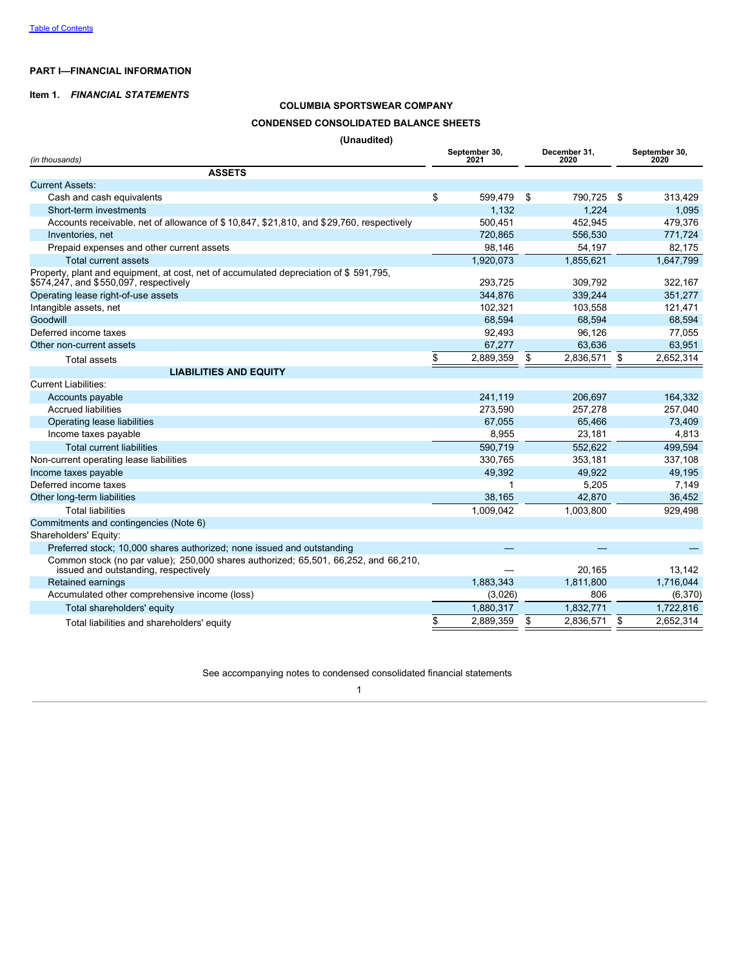# **PART I—FINANCIAL INFORMATION**

# <span id="page-2-0"></span>**Item 1.** *FINANCIAL STATEMENTS*

# **COLUMBIA SPORTSWEAR COMPANY CONDENSED CONSOLIDATED BALANCE SHEETS (Unaudited)**

| (Unaudited)                                                                                                                     |                       |    |                      |                       |
|---------------------------------------------------------------------------------------------------------------------------------|-----------------------|----|----------------------|-----------------------|
| (in thousands)                                                                                                                  | September 30,<br>2021 |    | December 31,<br>2020 | September 30,<br>2020 |
| <b>ASSETS</b>                                                                                                                   |                       |    |                      |                       |
| <b>Current Assets:</b>                                                                                                          |                       |    |                      |                       |
| Cash and cash equivalents                                                                                                       | \$<br>599,479         | S. | 790,725              | \$<br>313,429         |
| Short-term investments                                                                                                          | 1,132                 |    | 1,224                | 1,095                 |
| Accounts receivable, net of allowance of \$10,847, \$21,810, and \$29,760, respectively                                         | 500.451               |    | 452,945              | 479,376               |
| Inventories, net                                                                                                                | 720.865               |    | 556,530              | 771,724               |
| Prepaid expenses and other current assets                                                                                       | 98,146                |    | 54,197               | 82,175                |
| <b>Total current assets</b>                                                                                                     | 1,920,073             |    | 1,855,621            | 1,647,799             |
| Property, plant and equipment, at cost, net of accumulated depreciation of \$591,795,<br>\$574,247, and \$550,097, respectively | 293,725               |    | 309,792              | 322,167               |
| Operating lease right-of-use assets                                                                                             | 344,876               |    | 339,244              | 351,277               |
| Intangible assets, net                                                                                                          | 102.321               |    | 103,558              | 121,471               |
| Goodwill                                                                                                                        | 68,594                |    | 68,594               | 68,594                |
| Deferred income taxes                                                                                                           | 92,493                |    | 96,126               | 77,055                |
| Other non-current assets                                                                                                        | 67,277                |    | 63,636               | 63,951                |
| <b>Total assets</b>                                                                                                             | \$<br>2,889,359       | \$ | 2,836,571            | \$<br>2,652,314       |
| <b>LIABILITIES AND EQUITY</b>                                                                                                   |                       |    |                      |                       |
| <b>Current Liabilities:</b>                                                                                                     |                       |    |                      |                       |
| Accounts payable                                                                                                                | 241.119               |    | 206.697              | 164,332               |
| Accrued liabilities                                                                                                             | 273,590               |    | 257,278              | 257,040               |
| Operating lease liabilities                                                                                                     | 67,055                |    | 65,466               | 73,409                |
| Income taxes payable                                                                                                            | 8,955                 |    | 23,181               | 4,813                 |
| <b>Total current liabilities</b>                                                                                                | 590,719               |    | 552,622              | 499,594               |
| Non-current operating lease liabilities                                                                                         | 330,765               |    | 353,181              | 337,108               |
| Income taxes payable                                                                                                            | 49,392                |    | 49,922               | 49,195                |
| Deferred income taxes                                                                                                           |                       |    | 5,205                | 7,149                 |
| Other long-term liabilities                                                                                                     | 38,165                |    | 42,870               | 36,452                |
| <b>Total liabilities</b>                                                                                                        | 1,009,042             |    | 1.003.800            | 929,498               |
| Commitments and contingencies (Note 6)                                                                                          |                       |    |                      |                       |
| Shareholders' Equity:                                                                                                           |                       |    |                      |                       |
| Preferred stock; 10,000 shares authorized; none issued and outstanding                                                          |                       |    |                      |                       |
| Common stock (no par value); 250,000 shares authorized; 65,501, 66,252, and 66,210,<br>issued and outstanding, respectively     |                       |    | 20,165               | 13,142                |
| Retained earnings                                                                                                               | 1,883,343             |    | 1,811,800            | 1,716,044             |
| Accumulated other comprehensive income (loss)                                                                                   | (3,026)               |    | 806                  | (6,370)               |
| Total shareholders' equity                                                                                                      | 1,880,317             |    | 1,832,771            | 1,722,816             |
| Total liabilities and shareholders' equity                                                                                      | \$<br>2,889,359       | \$ | 2,836,571            | \$<br>2,652,314       |

<span id="page-2-1"></span>See accompanying notes to condensed consolidated financial statements 1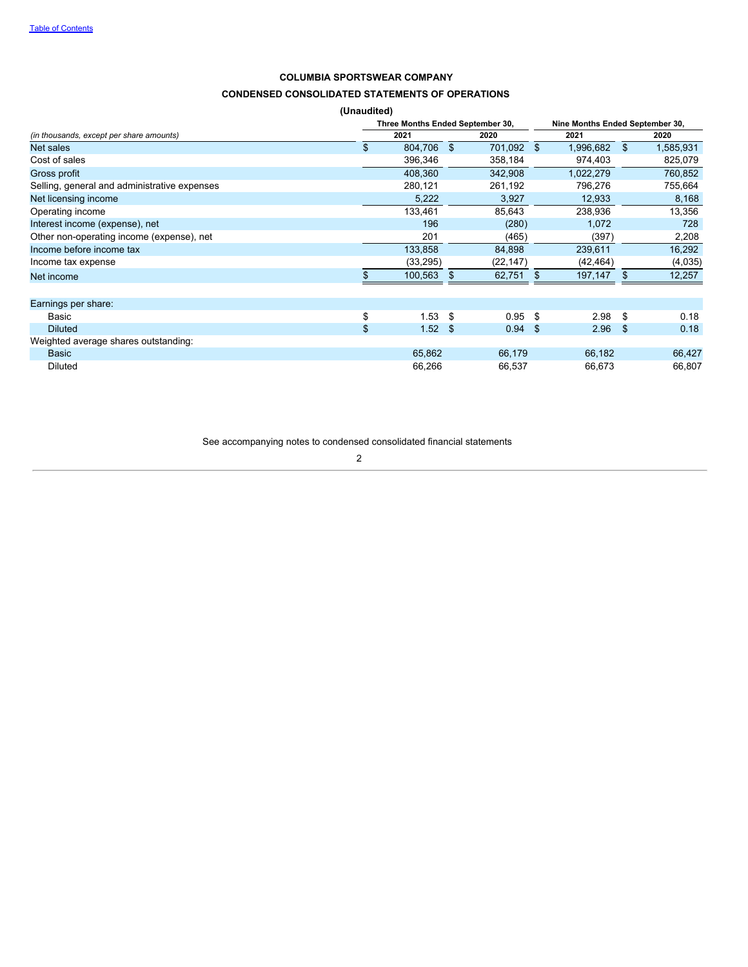# **CONDENSED CONSOLIDATED STATEMENTS OF OPERATIONS**

|                                              | (Unaudited) |                                  |      |            |     |           |      |                                 |
|----------------------------------------------|-------------|----------------------------------|------|------------|-----|-----------|------|---------------------------------|
|                                              |             | Three Months Ended September 30, |      |            |     |           |      | Nine Months Ended September 30, |
| (in thousands, except per share amounts)     |             | 2021                             |      | 2020       |     | 2021      |      | 2020                            |
| Net sales                                    | \$          | 804,706 \$                       |      | 701,092 \$ |     | 1,996,682 | \$   | 1,585,931                       |
| Cost of sales                                |             | 396,346                          |      | 358,184    |     | 974,403   |      | 825,079                         |
| Gross profit                                 |             | 408,360                          |      | 342,908    |     | 1,022,279 |      | 760,852                         |
| Selling, general and administrative expenses |             | 280,121                          |      | 261,192    |     | 796,276   |      | 755,664                         |
| Net licensing income                         |             | 5,222                            |      | 3,927      |     | 12,933    |      | 8,168                           |
| Operating income                             |             | 133,461                          |      | 85,643     |     | 238,936   |      | 13,356                          |
| Interest income (expense), net               |             | 196                              |      | (280)      |     | 1,072     |      | 728                             |
| Other non-operating income (expense), net    |             | 201                              |      | (465)      |     | (397)     |      | 2,208                           |
| Income before income tax                     |             | 133,858                          |      | 84,898     |     | 239,611   |      | 16,292                          |
| Income tax expense                           |             | (33, 295)                        |      | (22, 147)  |     | (42, 464) |      | (4,035)                         |
| Net income                                   |             | 100,563                          | -S   | 62,751     | \$  | 197,147   | \$.  | 12,257                          |
|                                              |             |                                  |      |            |     |           |      |                                 |
| Earnings per share:                          |             |                                  |      |            |     |           |      |                                 |
| Basic                                        | \$          | 1.53                             | - \$ | 0.95       | -\$ | 2.98      | \$   | 0.18                            |
| <b>Diluted</b>                               | \$          | $1.52$ \$                        |      | $0.94$ \$  |     | 2.96      | - \$ | 0.18                            |
| Weighted average shares outstanding:         |             |                                  |      |            |     |           |      |                                 |
| <b>Basic</b>                                 |             | 65,862                           |      | 66,179     |     | 66,182    |      | 66,427                          |
| <b>Diluted</b>                               |             | 66,266                           |      | 66,537     |     | 66,673    |      | 66,807                          |

<span id="page-3-0"></span>See accompanying notes to condensed consolidated financial statements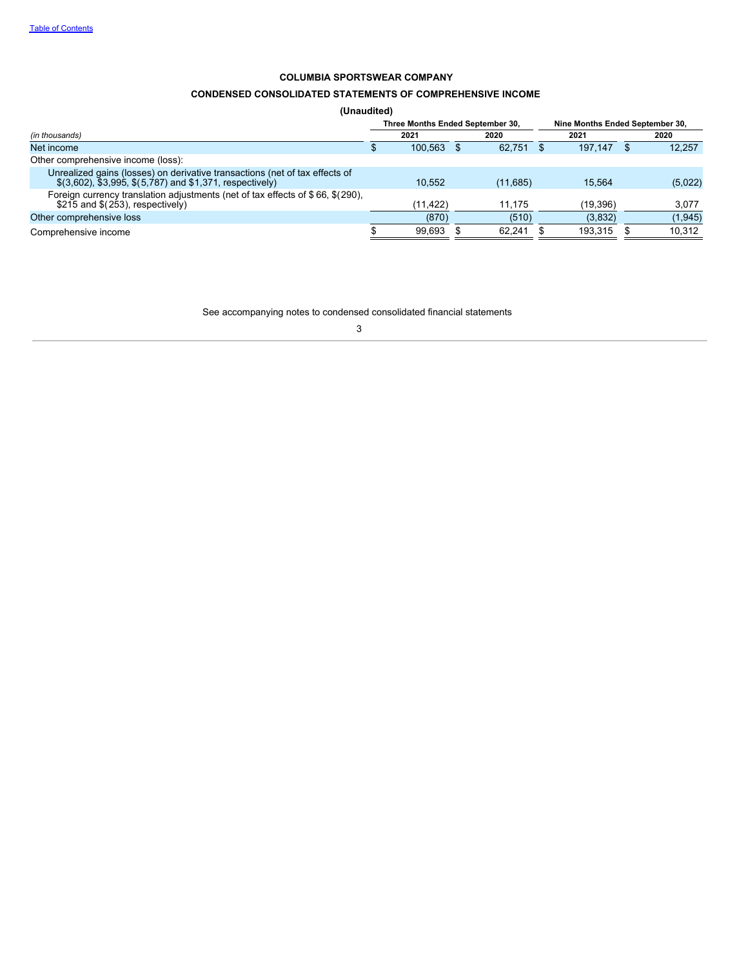# **CONDENSED CONSOLIDATED STATEMENTS OF COMPREHENSIVE INCOME**

**(Unaudited)**

|                                                                                                                                                | Three Months Ended September 30, |          |     |          | Nine Months Ended September 30. |           |  |          |  |
|------------------------------------------------------------------------------------------------------------------------------------------------|----------------------------------|----------|-----|----------|---------------------------------|-----------|--|----------|--|
| (in thousands)                                                                                                                                 |                                  | 2021     |     | 2020     |                                 | 2021      |  | 2020     |  |
| Net income                                                                                                                                     |                                  | 100.563  | \$. | 62.751   |                                 | 197.147   |  | 12,257   |  |
| Other comprehensive income (loss):                                                                                                             |                                  |          |     |          |                                 |           |  |          |  |
| Unrealized gains (losses) on derivative transactions (net of tax effects of<br>$$(3,602)$ , $$3,995$ , $$(5,787)$ and $$1,371$ , respectively) |                                  | 10.552   |     | (11,685) |                                 | 15.564    |  | (5,022)  |  |
| Foreign currency translation adjustments (net of tax effects of \$66, \$(290),<br>$$215$ and $$(253)$ , respectively)                          |                                  | (11.422) |     | 11.175   |                                 | (19, 396) |  | 3,077    |  |
| Other comprehensive loss                                                                                                                       |                                  | (870)    |     | (510)    |                                 | (3,832)   |  | (1, 945) |  |
| Comprehensive income                                                                                                                           |                                  | 99.693   |     | 62.241   |                                 | 193.315   |  | 10.312   |  |

<span id="page-4-0"></span>See accompanying notes to condensed consolidated financial statements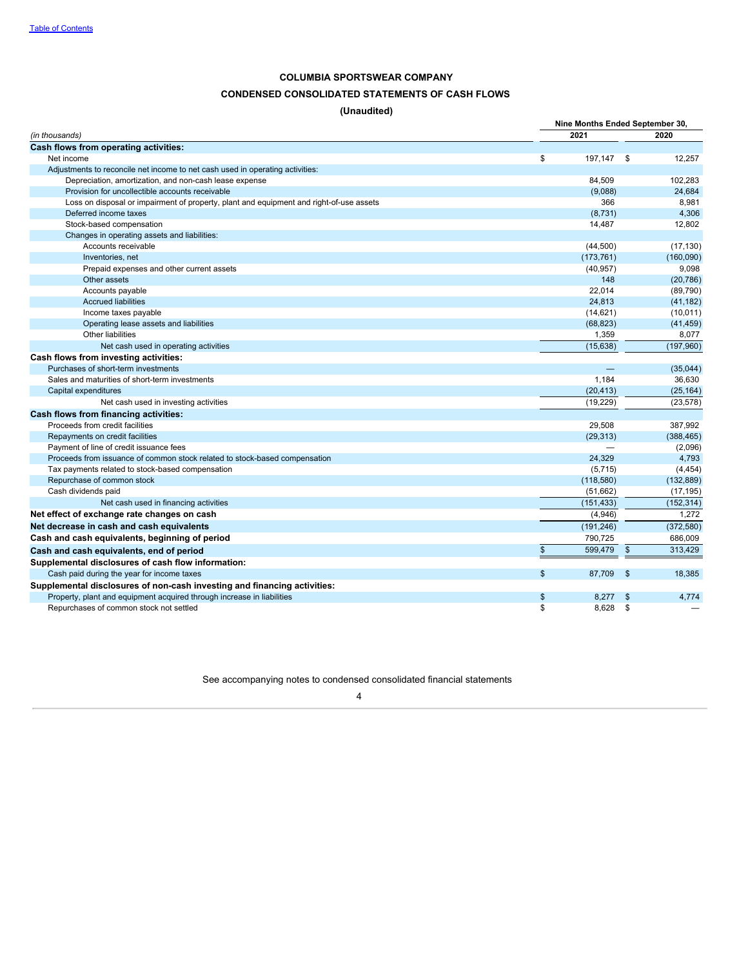# **CONDENSED CONSOLIDATED STATEMENTS OF CASH FLOWS**

**(Unaudited)**

|                                                                                         | Nine Months Ended September 30, |            |            |  |
|-----------------------------------------------------------------------------------------|---------------------------------|------------|------------|--|
| (in thousands)                                                                          | 2021                            |            | 2020       |  |
| Cash flows from operating activities:                                                   |                                 |            |            |  |
| Net income                                                                              | \$<br>197,147                   | \$         | 12,257     |  |
| Adjustments to reconcile net income to net cash used in operating activities:           |                                 |            |            |  |
| Depreciation, amortization, and non-cash lease expense                                  | 84,509                          |            | 102.283    |  |
| Provision for uncollectible accounts receivable                                         | (9,088)                         |            | 24,684     |  |
| Loss on disposal or impairment of property, plant and equipment and right-of-use assets | 366                             |            | 8,981      |  |
| Deferred income taxes                                                                   | (8,731)                         |            | 4,306      |  |
| Stock-based compensation                                                                | 14,487                          |            | 12,802     |  |
| Changes in operating assets and liabilities:                                            |                                 |            |            |  |
| Accounts receivable                                                                     | (44,500)                        |            | (17, 130)  |  |
| Inventories, net                                                                        | (173, 761)                      |            | (160,090)  |  |
| Prepaid expenses and other current assets                                               | (40, 957)                       |            | 9,098      |  |
| Other assets                                                                            | 148                             |            | (20, 786)  |  |
| Accounts payable                                                                        | 22,014                          |            | (89, 790)  |  |
| <b>Accrued liabilities</b>                                                              | 24,813                          |            | (41, 182)  |  |
| Income taxes payable                                                                    | (14, 621)                       |            | (10, 011)  |  |
| Operating lease assets and liabilities                                                  | (68, 823)                       |            | (41, 459)  |  |
| Other liabilities                                                                       | 1,359                           |            | 8,077      |  |
| Net cash used in operating activities                                                   | (15, 638)                       |            | (197,960)  |  |
| Cash flows from investing activities:                                                   |                                 |            |            |  |
| Purchases of short-term investments                                                     |                                 |            | (35,044)   |  |
| Sales and maturities of short-term investments                                          | 1,184                           |            | 36,630     |  |
| Capital expenditures                                                                    | (20, 413)                       |            | (25, 164)  |  |
| Net cash used in investing activities                                                   | (19, 229)                       |            | (23, 578)  |  |
| Cash flows from financing activities:                                                   |                                 |            |            |  |
| Proceeds from credit facilities                                                         | 29.508                          |            | 387.992    |  |
| Repayments on credit facilities                                                         | (29, 313)                       |            | (388, 465) |  |
| Payment of line of credit issuance fees                                                 |                                 |            | (2,096)    |  |
| Proceeds from issuance of common stock related to stock-based compensation              | 24.329                          |            | 4,793      |  |
| Tax payments related to stock-based compensation                                        | (5,715)                         |            | (4, 454)   |  |
| Repurchase of common stock                                                              | (118,580)                       |            | (132, 889) |  |
| Cash dividends paid                                                                     | (51,662)                        |            | (17, 195)  |  |
| Net cash used in financing activities                                                   | (151, 433)                      |            | (152, 314) |  |
| Net effect of exchange rate changes on cash                                             | (4,946)                         |            | 1,272      |  |
| Net decrease in cash and cash equivalents                                               | (191, 246)                      |            | (372, 580) |  |
| Cash and cash equivalents, beginning of period                                          | 790,725                         |            | 686,009    |  |
| Cash and cash equivalents, end of period                                                | \$<br>599,479                   | $\sqrt{3}$ | 313,429    |  |
| Supplemental disclosures of cash flow information:                                      |                                 |            |            |  |
| Cash paid during the year for income taxes                                              | \$<br>87.709                    | \$         | 18.385     |  |
| Supplemental disclosures of non-cash investing and financing activities:                |                                 |            |            |  |
| Property, plant and equipment acquired through increase in liabilities                  | \$<br>8.277                     | \$         | 4.774      |  |
| Repurchases of common stock not settled                                                 | \$<br>8,628                     | \$         |            |  |
|                                                                                         |                                 |            |            |  |

<span id="page-5-0"></span>See accompanying notes to condensed consolidated financial statements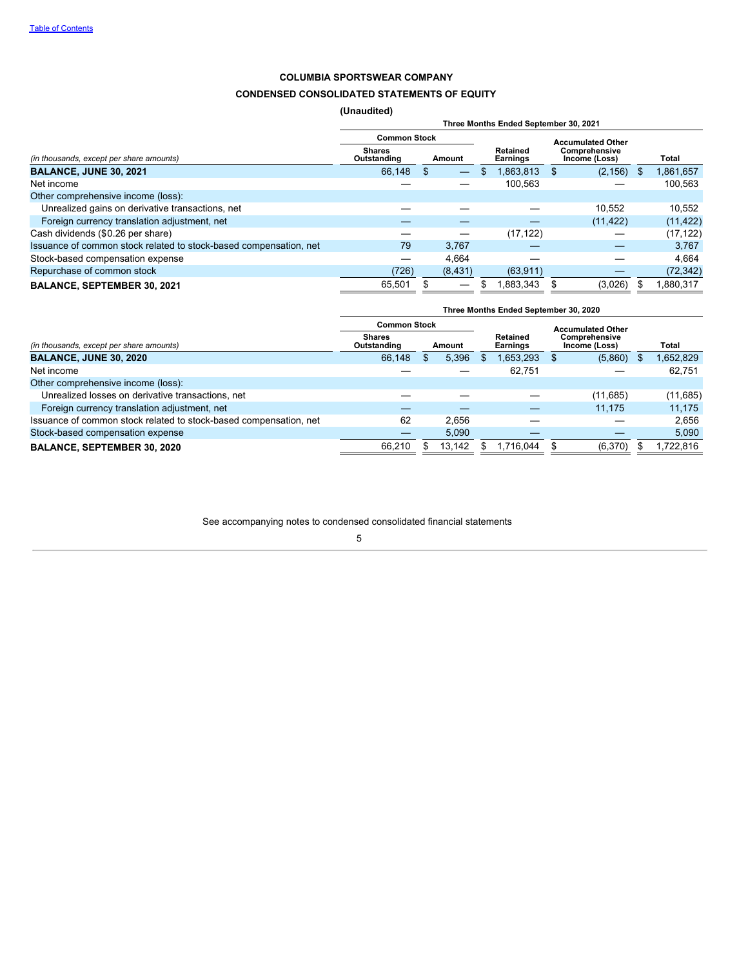# **CONDENSED CONSOLIDATED STATEMENTS OF EQUITY**

**(Unaudited)**

|                                                                   | Three Months Ended September 30, 2021 |          |                             |                                |  |           |  |  |  |  |
|-------------------------------------------------------------------|---------------------------------------|----------|-----------------------------|--------------------------------|--|-----------|--|--|--|--|
|                                                                   | <b>Common Stock</b>                   |          |                             | <b>Accumulated Other</b>       |  |           |  |  |  |  |
| (in thousands, except per share amounts)                          | <b>Shares</b><br>Outstanding          | Amount   | Retained<br><b>Earnings</b> | Comprehensive<br>Income (Loss) |  | Total     |  |  |  |  |
| <b>BALANCE, JUNE 30, 2021</b>                                     | 66.148                                |          | ,863,813                    | (2, 156)                       |  | 1,861,657 |  |  |  |  |
| Net income                                                        |                                       |          | 100.563                     |                                |  | 100,563   |  |  |  |  |
| Other comprehensive income (loss):                                |                                       |          |                             |                                |  |           |  |  |  |  |
| Unrealized gains on derivative transactions, net                  |                                       |          |                             | 10.552                         |  | 10,552    |  |  |  |  |
| Foreign currency translation adjustment, net                      |                                       |          |                             | (11, 422)                      |  | (11, 422) |  |  |  |  |
| Cash dividends (\$0.26 per share)                                 |                                       |          | (17, 122)                   |                                |  | (17, 122) |  |  |  |  |
| Issuance of common stock related to stock-based compensation, net | 79                                    | 3.767    |                             |                                |  | 3.767     |  |  |  |  |
| Stock-based compensation expense                                  |                                       | 4.664    |                             |                                |  | 4,664     |  |  |  |  |
| Repurchase of common stock                                        | (726)                                 | (8, 431) | (63, 911)                   |                                |  | (72, 342) |  |  |  |  |
| <b>BALANCE, SEPTEMBER 30, 2021</b>                                | 65.501                                | —        | .883,343                    | (3,026)                        |  | .880,317  |  |  |  |  |

|                                                                   | Three Months Ended September 30, 2020 |                     |        |     |                             |                          |                                |  |          |  |
|-------------------------------------------------------------------|---------------------------------------|---------------------|--------|-----|-----------------------------|--------------------------|--------------------------------|--|----------|--|
|                                                                   |                                       | <b>Common Stock</b> |        |     |                             | <b>Accumulated Other</b> |                                |  |          |  |
| (in thousands, except per share amounts)                          | <b>Shares</b><br>Outstanding          |                     | Amount |     | Retained<br><b>Earnings</b> |                          | Comprehensive<br>Income (Loss) |  | Total    |  |
| <b>BALANCE, JUNE 30, 2020</b>                                     | 66,148                                |                     | 5,396  | \$. | 1,653,293                   |                          | (5,860)                        |  | .652,829 |  |
| Net income                                                        |                                       |                     |        |     | 62.751                      |                          |                                |  | 62,751   |  |
| Other comprehensive income (loss):                                |                                       |                     |        |     |                             |                          |                                |  |          |  |
| Unrealized losses on derivative transactions, net                 |                                       |                     |        |     |                             |                          | (11,685)                       |  | (11,685) |  |
| Foreign currency translation adjustment, net                      |                                       |                     |        |     |                             |                          | 11.175                         |  | 11.175   |  |
| Issuance of common stock related to stock-based compensation, net | 62                                    |                     | 2.656  |     |                             |                          |                                |  | 2.656    |  |
| Stock-based compensation expense                                  |                                       |                     | 5,090  |     |                             |                          |                                |  | 5,090    |  |
| <b>BALANCE, SEPTEMBER 30, 2020</b>                                | 66,210                                |                     | 13,142 |     | .716.044                    |                          | (6,370)                        |  | ,722,816 |  |

See accompanying notes to condensed consolidated financial statements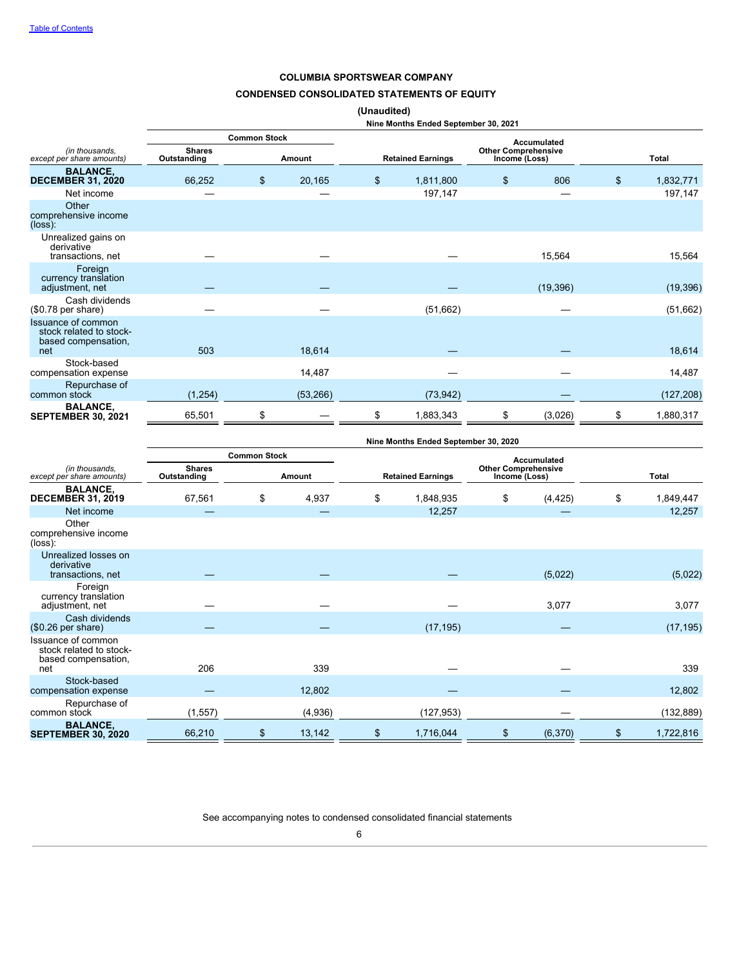# **CONDENSED CONSOLIDATED STATEMENTS OF EQUITY**

# **(Unaudited)**

|                                                                             |                              |                     |           | Nine Months Ended September 30, 2021                                    |    |                    |                 |
|-----------------------------------------------------------------------------|------------------------------|---------------------|-----------|-------------------------------------------------------------------------|----|--------------------|-----------------|
|                                                                             |                              | <b>Common Stock</b> |           |                                                                         |    | <b>Accumulated</b> |                 |
| (in thousands.<br>except per share amounts)                                 | <b>Shares</b><br>Outstanding |                     | Amount    | <b>Other Comprehensive</b><br><b>Retained Earnings</b><br>Income (Loss) |    | <b>Total</b>       |                 |
| <b>BALANCE,</b><br><b>DECEMBER 31, 2020</b>                                 | 66,252                       | \$                  | 20,165    | \$<br>1,811,800                                                         | \$ | 806                | \$<br>1,832,771 |
| Net income                                                                  |                              |                     |           | 197,147                                                                 |    |                    | 197,147         |
| Other<br>comprehensive income<br>$(\text{loss})$ :                          |                              |                     |           |                                                                         |    |                    |                 |
| Unrealized gains on<br>derivative<br>transactions, net                      |                              |                     |           |                                                                         |    | 15,564             | 15,564          |
| Foreign<br>currency translation<br>adjustment, net                          |                              |                     |           |                                                                         |    | (19, 396)          | (19, 396)       |
| Cash dividends<br>$(\$0.78$ per share)                                      |                              |                     |           | (51,662)                                                                |    |                    | (51,662)        |
| Issuance of common<br>stock related to stock-<br>based compensation,<br>net | 503                          |                     | 18,614    |                                                                         |    |                    | 18,614          |
| Stock-based<br>compensation expense                                         |                              |                     | 14,487    |                                                                         |    |                    | 14,487          |
| Repurchase of<br>common stock                                               | (1, 254)                     |                     | (53, 266) | (73, 942)                                                               |    |                    | (127, 208)      |
| <b>BALANCE,</b><br><b>SEPTEMBER 30, 2021</b>                                | 65,501                       | \$                  |           | \$<br>1,883,343                                                         | \$ | (3,026)            | \$<br>1,880,317 |

|                                                                             |                              | <b>Common Stock</b><br>Accumulated |         |    |                          |                                             |          |    |              |
|-----------------------------------------------------------------------------|------------------------------|------------------------------------|---------|----|--------------------------|---------------------------------------------|----------|----|--------------|
| (in thousands.<br>except per share amounts)                                 | <b>Shares</b><br>Outstanding | Amount                             |         |    | <b>Retained Earnings</b> | <b>Other Comprehensive</b><br>Income (Loss) |          |    | <b>Total</b> |
| <b>BALANCE,</b><br><b>DECEMBER 31, 2019</b>                                 | 67,561                       | \$                                 | 4,937   | \$ | 1,848,935                | \$                                          | (4, 425) | \$ | 1,849,447    |
| Net income                                                                  |                              |                                    |         |    | 12,257                   |                                             |          |    | 12,257       |
| Other<br>comprehensive income<br>(loss):                                    |                              |                                    |         |    |                          |                                             |          |    |              |
| Unrealized losses on<br>derivative<br>transactions, net                     |                              |                                    |         |    |                          |                                             | (5,022)  |    | (5,022)      |
| Foreign<br>currency translation<br>adjustment, net                          |                              |                                    |         |    |                          |                                             | 3,077    |    | 3,077        |
| Cash dividends<br>$(\$0.26$ per share)                                      |                              |                                    |         |    | (17, 195)                |                                             |          |    | (17, 195)    |
| Issuance of common<br>stock related to stock-<br>based compensation,<br>net | 206                          |                                    | 339     |    |                          |                                             |          |    | 339          |
| Stock-based<br>compensation expense                                         |                              |                                    | 12,802  |    |                          |                                             |          |    | 12,802       |
| Repurchase of<br>common stock                                               | (1, 557)                     |                                    | (4,936) |    | (127, 953)               |                                             |          |    | (132, 889)   |
| <b>BALANCE,</b><br><b>SEPTEMBER 30, 2020</b>                                | 66,210                       | \$                                 | 13,142  | \$ | 1,716,044                | \$                                          | (6, 370) | \$ | 1,722,816    |

<span id="page-7-0"></span>See accompanying notes to condensed consolidated financial statements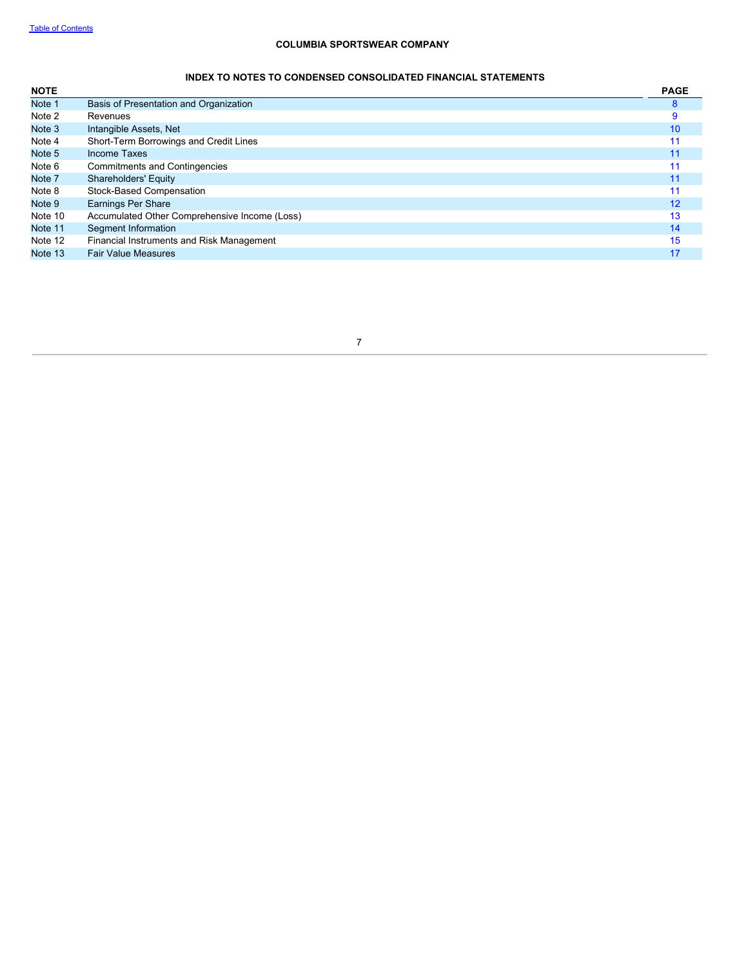# **INDEX TO NOTES TO CONDENSED CONSOLIDATED FINANCIAL STATEMENTS**

<span id="page-8-0"></span>

| <b>NOTE</b> |                                               | <b>PAGE</b> |
|-------------|-----------------------------------------------|-------------|
| Note 1      | Basis of Presentation and Organization        | 8           |
| Note 2      | Revenues                                      | 9           |
| Note 3      | Intangible Assets, Net                        | 10          |
| Note 4      | Short-Term Borrowings and Credit Lines        |             |
| Note 5      | Income Taxes                                  | 11          |
| Note 6      | <b>Commitments and Contingencies</b>          | 11          |
| Note 7      | <b>Shareholders' Equity</b>                   | 11          |
| Note 8      | Stock-Based Compensation                      |             |
| Note 9      | <b>Earnings Per Share</b>                     | 12          |
| Note 10     | Accumulated Other Comprehensive Income (Loss) | 13          |
| Note 11     | Segment Information                           | 14          |
| Note 12     | Financial Instruments and Risk Management     | 15          |
| Note 13     | <b>Fair Value Measures</b>                    | 17          |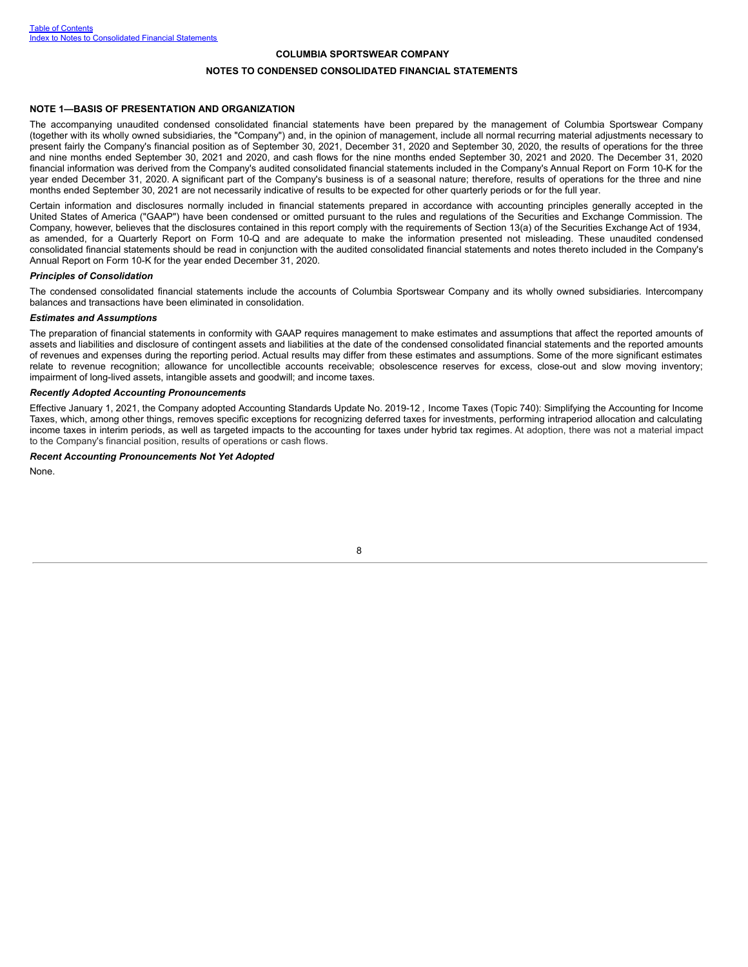#### **NOTES TO CONDENSED CONSOLIDATED FINANCIAL STATEMENTS**

#### **NOTE 1—BASIS OF PRESENTATION AND ORGANIZATION**

The accompanying unaudited condensed consolidated financial statements have been prepared by the management of Columbia Sportswear Company (together with its wholly owned subsidiaries, the "Company") and, in the opinion of management, include all normal recurring material adjustments necessary to present fairly the Company's financial position as of September 30, 2021, December 31, 2020 and September 30, 2020, the results of operations for the three and nine months ended September 30, 2021 and 2020, and cash flows for the nine months ended September 30, 2021 and 2020. The December 31, 2020 financial information was derived from the Company's audited consolidated financial statements included in the Company's Annual Report on Form 10-K for the year ended December 31, 2020. A significant part of the Company's business is of a seasonal nature; therefore, results of operations for the three and nine months ended September 30, 2021 are not necessarily indicative of results to be expected for other quarterly periods or for the full year.

Certain information and disclosures normally included in financial statements prepared in accordance with accounting principles generally accepted in the United States of America ("GAAP") have been condensed or omitted pursuant to the rules and regulations of the Securities and Exchange Commission. The Company, however, believes that the disclosures contained in this report comply with the requirements of Section 13(a) of the Securities Exchange Act of 1934, as amended, for a Quarterly Report on Form 10-Q and are adequate to make the information presented not misleading. These unaudited condensed consolidated financial statements should be read in conjunction with the audited consolidated financial statements and notes thereto included in the Company's Annual Report on Form 10-K for the year ended December 31, 2020.

#### *Principles of Consolidation*

The condensed consolidated financial statements include the accounts of Columbia Sportswear Company and its wholly owned subsidiaries. Intercompany balances and transactions have been eliminated in consolidation.

#### *Estimates and Assumptions*

The preparation of financial statements in conformity with GAAP requires management to make estimates and assumptions that affect the reported amounts of assets and liabilities and disclosure of contingent assets and liabilities at the date of the condensed consolidated financial statements and the reported amounts of revenues and expenses during the reporting period. Actual results may differ from these estimates and assumptions. Some of the more significant estimates relate to revenue recognition; allowance for uncollectible accounts receivable; obsolescence reserves for excess, close-out and slow moving inventory; impairment of long-lived assets, intangible assets and goodwill; and income taxes.

#### *Recently Adopted Accounting Pronouncements*

Effective January 1, 2021, the Company adopted Accounting Standards Update No. 2019-12 *,* Income Taxes (Topic 740): Simplifying the Accounting for Income Taxes, which, among other things, removes specific exceptions for recognizing deferred taxes for investments, performing intraperiod allocation and calculating income taxes in interim periods, as well as targeted impacts to the accounting for taxes under hybrid tax regimes. At adoption, there was not a material impact to the Company's financial position, results of operations or cash flows.

### *Recent Accounting Pronouncements Not Yet Adopted*

<span id="page-9-0"></span>None.

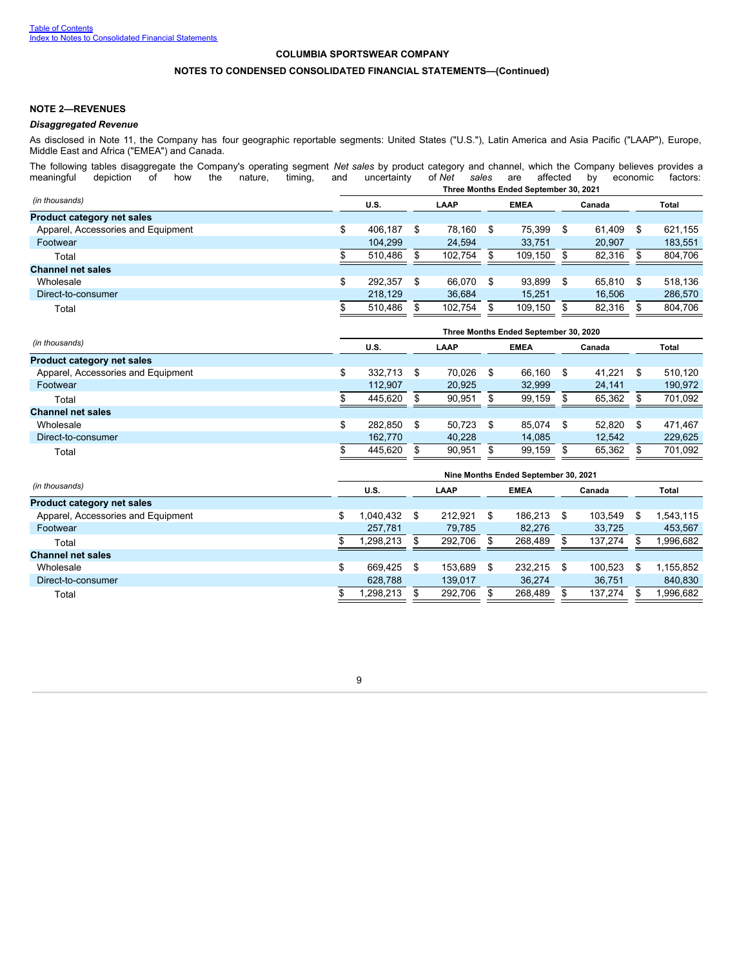## **NOTES TO CONDENSED CONSOLIDATED FINANCIAL STATEMENTS—(Continued)**

### **NOTE 2—REVENUES**

#### *Disaggregated Revenue*

As disclosed in Note 11, the Company has four geographic reportable segments: United States ("U.S."), Latin America and Asia Pacific ("LAAP"), Europe, Middle East and Africa ("EMEA") and Canada.

The following tables disaggregate the Company's operating segment *Net sales* by product category and channel, which the Company believes provides a meaningful depiction of how the nature, timing, and uncertainty of *Net s* meaningful depiction of how the nature, timing, and uncertainty of *Net sales* are affected by economic factors:

|                                    | Three Months Ended September 30, 2021 |  |         |             |         |        |        |       |         |  |  |  |  |  |
|------------------------------------|---------------------------------------|--|---------|-------------|---------|--------|--------|-------|---------|--|--|--|--|--|
| (in thousands)                     | U.S.<br>LAAP                          |  |         | <b>EMEA</b> |         | Canada |        | Total |         |  |  |  |  |  |
| <b>Product category net sales</b>  |                                       |  |         |             |         |        |        |       |         |  |  |  |  |  |
| Apparel, Accessories and Equipment | 406.187                               |  | 78.160  | \$          | 75.399  | \$     | 61.409 | \$.   | 621.155 |  |  |  |  |  |
| Footwear                           | 104.299                               |  | 24.594  |             | 33,751  |        | 20.907 |       | 183,551 |  |  |  |  |  |
| Total                              | 510.486                               |  | 102.754 |             | 109.150 |        | 82,316 |       | 804,706 |  |  |  |  |  |
| <b>Channel net sales</b>           |                                       |  |         |             |         |        |        |       |         |  |  |  |  |  |
| Wholesale                          | \$<br>292.357                         |  | 66.070  | \$          | 93.899  | \$     | 65.810 | \$.   | 518.136 |  |  |  |  |  |
| Direct-to-consumer                 | 218.129                               |  | 36,684  |             | 15.251  |        | 16.506 |       | 286,570 |  |  |  |  |  |
| Total                              | 510.486                               |  | 102.754 |             | 109.150 |        | 82.316 |       | 804,706 |  |  |  |  |  |
|                                    |                                       |  |         |             |         |        |        |       |         |  |  |  |  |  |

|                                    | Three Months Ended September 30, 2020 |         |             |        |    |        |    |        |      |         |  |  |  |  |
|------------------------------------|---------------------------------------|---------|-------------|--------|----|--------|----|--------|------|---------|--|--|--|--|
| (in thousands)                     | U.S.<br>LAAP                          |         | <b>EMEA</b> |        |    | Canada |    | Total  |      |         |  |  |  |  |
| <b>Product category net sales</b>  |                                       |         |             |        |    |        |    |        |      |         |  |  |  |  |
| Apparel, Accessories and Equipment |                                       | 332.713 |             | 70,026 | \$ | 66.160 | S  | 41.221 |      | 510.120 |  |  |  |  |
| Footwear                           |                                       | 112.907 |             | 20,925 |    | 32,999 |    | 24,141 |      | 190,972 |  |  |  |  |
| Total                              |                                       | 445.620 |             | 90.951 |    | 99.159 |    | 65.362 |      | 701.092 |  |  |  |  |
| <b>Channel net sales</b>           |                                       |         |             |        |    |        |    |        |      |         |  |  |  |  |
| Wholesale                          | ጦ                                     | 282.850 |             | 50.723 | S  | 85.074 | £. | 52.820 | - \$ | 471.467 |  |  |  |  |
| Direct-to-consumer                 |                                       | 162,770 |             | 40.228 |    | 14.085 |    | 12.542 |      | 229.625 |  |  |  |  |
| Total                              |                                       | 445.620 |             | 90,951 |    | 99.159 |    | 65,362 |      | 701.092 |  |  |  |  |

|                                    | Nine Months Ended September 30, 2021 |           |   |             |    |         |    |         |   |           |  |  |  |  |
|------------------------------------|--------------------------------------|-----------|---|-------------|----|---------|----|---------|---|-----------|--|--|--|--|
| (in thousands)                     | U.S.<br>LAAP                         |           |   | <b>EMEA</b> |    | Canada  |    | Total   |   |           |  |  |  |  |
| <b>Product category net sales</b>  |                                      |           |   |             |    |         |    |         |   |           |  |  |  |  |
| Apparel, Accessories and Equipment | \$                                   | 1,040,432 | S | 212.921     | \$ | 186.213 | S  | 103.549 | S | .543,115  |  |  |  |  |
| Footwear                           |                                      | 257.781   |   | 79.785      |    | 82.276  |    | 33.725  |   | 453.567   |  |  |  |  |
| Total                              |                                      | 1,298,213 |   | 292.706     |    | 268.489 |    | 137.274 |   | .996,682  |  |  |  |  |
| <b>Channel net sales</b>           |                                      |           |   |             |    |         |    |         |   |           |  |  |  |  |
| Wholesale                          | \$                                   | 669.425   | S | 153.689     | \$ | 232.215 | £. | 100.523 |   | 1.155.852 |  |  |  |  |
| Direct-to-consumer                 |                                      | 628.788   |   | 139.017     |    | 36.274  |    | 36.751  |   | 840,830   |  |  |  |  |
| Total                              |                                      | 1,298,213 |   | 292,706     |    | 268,489 |    | 137,274 |   | .996,682  |  |  |  |  |

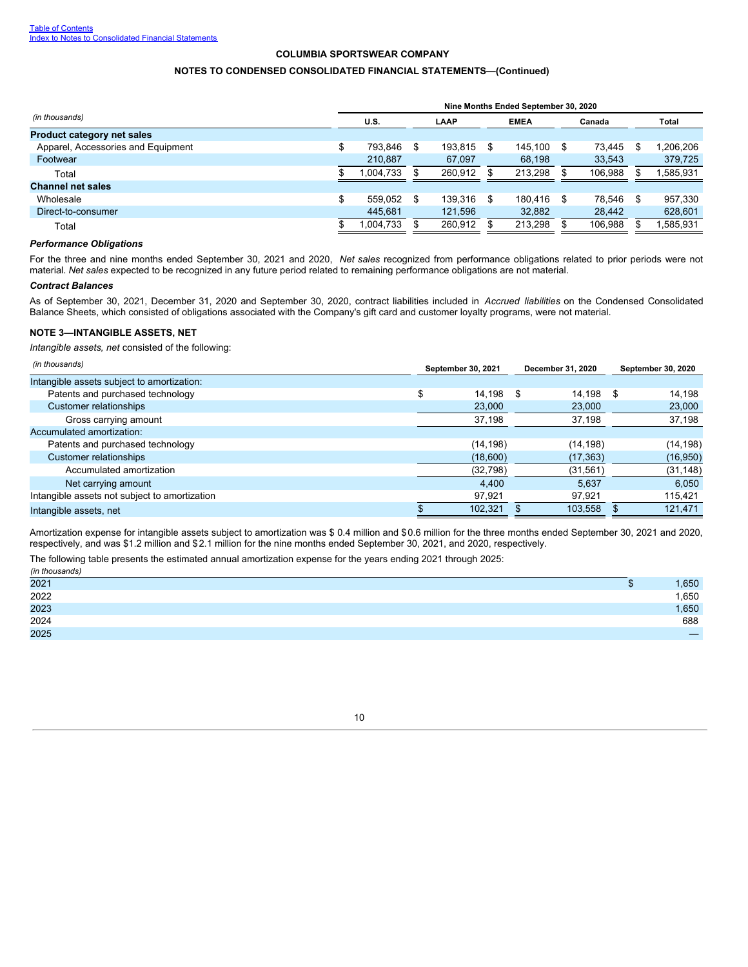## **NOTES TO CONDENSED CONSOLIDATED FINANCIAL STATEMENTS—(Continued)**

| Nine Months Ended September 30, 2020 |           |             |         |  |         |    |         |     |          |  |  |  |  |
|--------------------------------------|-----------|-------------|---------|--|---------|----|---------|-----|----------|--|--|--|--|
| U.S.<br>LAAP                         |           | <b>EMEA</b> |         |  | Canada  |    | Total   |     |          |  |  |  |  |
|                                      |           |             |         |  |         |    |         |     |          |  |  |  |  |
| ۰D                                   | 793.846   | \$.         | 193.815 |  | 145.100 | S  | 73.445  | S   | ,206,206 |  |  |  |  |
|                                      | 210.887   |             | 67.097  |  | 68.198  |    | 33.543  |     | 379,725  |  |  |  |  |
|                                      | 1,004,733 |             | 260.912 |  | 213.298 |    | 106,988 |     | .585,931 |  |  |  |  |
|                                      |           |             |         |  |         |    |         |     |          |  |  |  |  |
| \$                                   | 559.052   |             | 139.316 |  | 180.416 | \$ | 78.546  | \$. | 957.330  |  |  |  |  |
|                                      | 445.681   |             | 121.596 |  | 32,882  |    | 28,442  |     | 628,601  |  |  |  |  |
|                                      | 1,004,733 |             | 260.912 |  | 213.298 |    | 106,988 |     | .585,931 |  |  |  |  |
|                                      |           |             |         |  |         |    |         |     |          |  |  |  |  |

#### *Performance Obligations*

For the three and nine months ended September 30, 2021 and 2020, *Net sales* recognized from performance obligations related to prior periods were not material. *Net sales* expected to be recognized in any future period related to remaining performance obligations are not material.

#### *Contract Balances*

As of September 30, 2021, December 31, 2020 and September 30, 2020, contract liabilities included in *Accrued liabilities* on the Condensed Consolidated Balance Sheets, which consisted of obligations associated with the Company's gift card and customer loyalty programs, were not material.

### <span id="page-11-0"></span>**NOTE 3—INTANGIBLE ASSETS, NET**

*Intangible assets, net* consisted of the following:

| (in thousands)                                | September 30, 2021 | December 31, 2020 | <b>September 30, 2020</b> |
|-----------------------------------------------|--------------------|-------------------|---------------------------|
| Intangible assets subject to amortization:    |                    |                   |                           |
| Patents and purchased technology              | o<br>14.198        | 14.198<br>- \$    | 14.198<br>- \$            |
| Customer relationships                        | 23,000             | 23,000            | 23,000                    |
| Gross carrying amount                         | 37,198             | 37,198            | 37,198                    |
| Accumulated amortization:                     |                    |                   |                           |
| Patents and purchased technology              | (14, 198)          | (14, 198)         | (14, 198)                 |
| Customer relationships                        | (18,600)           | (17, 363)         | (16, 950)                 |
| Accumulated amortization                      | (32, 798)          | (31, 561)         | (31, 148)                 |
| Net carrying amount                           | 4.400              | 5.637             | 6.050                     |
| Intangible assets not subject to amortization | 97.921             | 97.921            | 115,421                   |
| Intangible assets, net                        | 102.321            | 103,558           | 121,471                   |

Amortization expense for intangible assets subject to amortization was \$ 0.4 million and \$0.6 million for the three months ended September 30, 2021 and 2020, respectively, and was \$1.2 million and \$2.1 million for the nine months ended September 30, 2021, and 2020, respectively.

| The following table presents the estimated annual amortization expense for the years ending 2021 through 2025: |  |
|----------------------------------------------------------------------------------------------------------------|--|
| (in thousands)                                                                                                 |  |

<span id="page-11-1"></span>

| 111111000011001 |       |
|-----------------|-------|
| 2021            | 1,650 |
| 2022            | 1,650 |
| 2023            | 1,650 |
| 2024            | 688   |
| 2025            |       |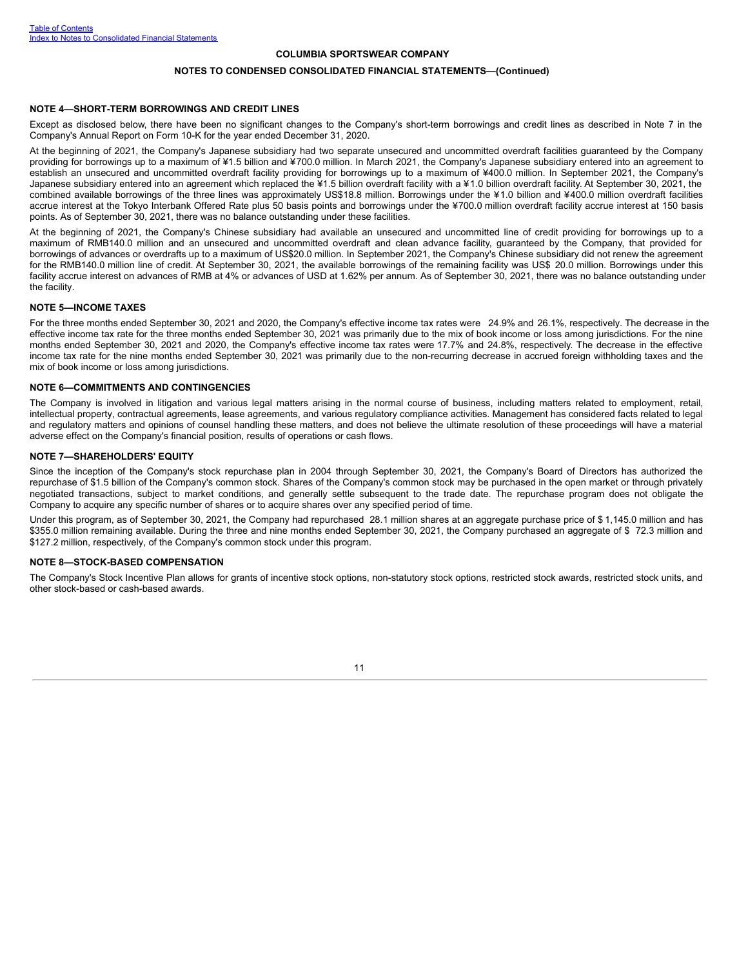#### **NOTES TO CONDENSED CONSOLIDATED FINANCIAL STATEMENTS—(Continued)**

#### **NOTE 4—SHORT-TERM BORROWINGS AND CREDIT LINES**

Except as disclosed below, there have been no significant changes to the Company's short-term borrowings and credit lines as described in Note 7 in the Company's Annual Report on Form 10-K for the year ended December 31, 2020.

At the beginning of 2021, the Company's Japanese subsidiary had two separate unsecured and uncommitted overdraft facilities guaranteed by the Company providing for borrowings up to a maximum of ¥1.5 billion and ¥700.0 million. In March 2021, the Company's Japanese subsidiary entered into an agreement to establish an unsecured and uncommitted overdraft facility providing for borrowings up to a maximum of ¥400.0 million. In September 2021, the Company's Japanese subsidiary entered into an agreement which replaced the ¥1.5 billion overdraft facility with a ¥1.0 billion overdraft facility. At September 30, 2021, the combined available borrowings of the three lines was approximately US\$18.8 million. Borrowings under the ¥1.0 billion and ¥400.0 million overdraft facilities accrue interest at the Tokyo Interbank Offered Rate plus 50 basis points and borrowings under the ¥700.0 million overdraft facility accrue interest at 150 basis points. As of September 30, 2021, there was no balance outstanding under these facilities.

At the beginning of 2021, the Company's Chinese subsidiary had available an unsecured and uncommitted line of credit providing for borrowings up to a maximum of RMB140.0 million and an unsecured and uncommitted overdraft and clean advance facility, guaranteed by the Company, that provided for borrowings of advances or overdrafts up to a maximum of US\$20.0 million. In September 2021, the Company's Chinese subsidiary did not renew the agreement for the RMB140.0 million line of credit. At September 30, 2021, the available borrowings of the remaining facility was US\$ 20.0 million. Borrowings under this facility accrue interest on advances of RMB at 4% or advances of USD at 1.62% per annum. As of September 30, 2021, there was no balance outstanding under the facility.

#### <span id="page-12-0"></span>**NOTE 5—INCOME TAXES**

For the three months ended September 30, 2021 and 2020, the Company's effective income tax rates were 24.9% and 26.1%, respectively. The decrease in the effective income tax rate for the three months ended September 30, 2021 was primarily due to the mix of book income or loss among jurisdictions. For the nine months ended September 30, 2021 and 2020, the Company's effective income tax rates were 17.7% and 24.8%, respectively. The decrease in the effective income tax rate for the nine months ended September 30, 2021 was primarily due to the non-recurring decrease in accrued foreign withholding taxes and the mix of book income or loss among jurisdictions.

#### <span id="page-12-1"></span>**NOTE 6—COMMITMENTS AND CONTINGENCIES**

The Company is involved in litigation and various legal matters arising in the normal course of business, including matters related to employment, retail, intellectual property, contractual agreements, lease agreements, and various regulatory compliance activities. Management has considered facts related to legal and regulatory matters and opinions of counsel handling these matters, and does not believe the ultimate resolution of these proceedings will have a material adverse effect on the Company's financial position, results of operations or cash flows.

### <span id="page-12-2"></span>**NOTE 7—SHAREHOLDERS' EQUITY**

Since the inception of the Company's stock repurchase plan in 2004 through September 30, 2021, the Company's Board of Directors has authorized the repurchase of \$1.5 billion of the Company's common stock. Shares of the Company's common stock may be purchased in the open market or through privately negotiated transactions, subject to market conditions, and generally settle subsequent to the trade date. The repurchase program does not obligate the Company to acquire any specific number of shares or to acquire shares over any specified period of time.

Under this program, as of September 30, 2021, the Company had repurchased 28.1 million shares at an aggregate purchase price of \$ 1,145.0 million and has \$355.0 million remaining available. During the three and nine months ended September 30, 2021, the Company purchased an aggregate of \$72.3 million and \$127.2 million, respectively, of the Company's common stock under this program.

#### <span id="page-12-3"></span>**NOTE 8—STOCK-BASED COMPENSATION**

The Company's Stock Incentive Plan allows for grants of incentive stock options, non-statutory stock options, restricted stock awards, restricted stock units, and other stock-based or cash-based awards.

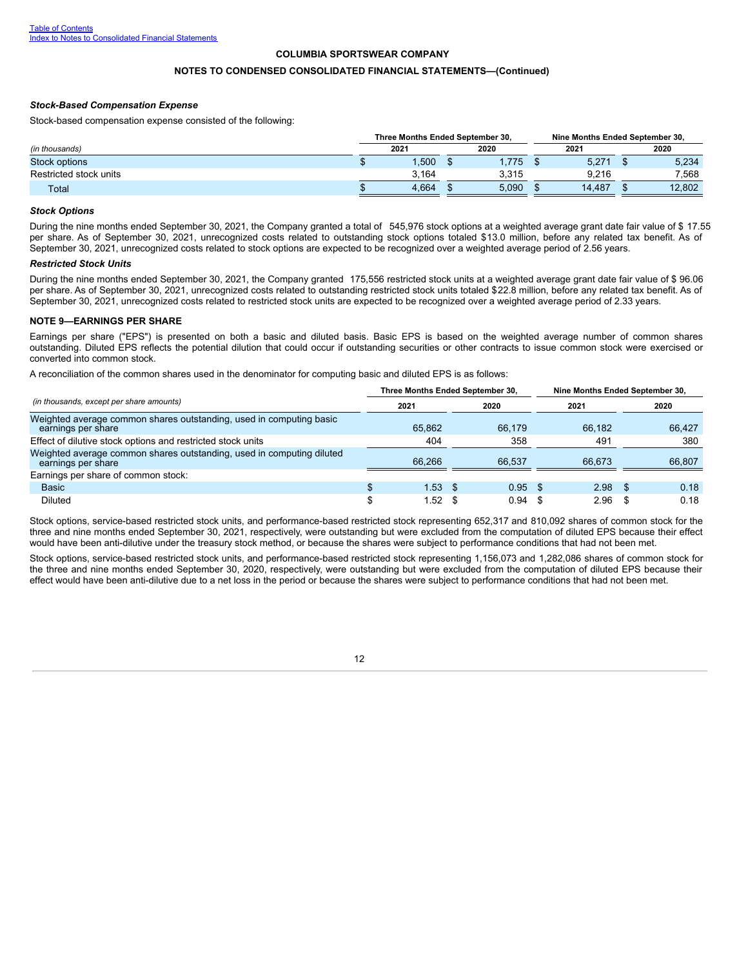### **NOTES TO CONDENSED CONSOLIDATED FINANCIAL STATEMENTS—(Continued)**

#### *Stock-Based Compensation Expense*

Stock-based compensation expense consisted of the following:

|                        | Three Months Ended September 30. |       | Nine Months Ended September 30. |        |      |        |  |
|------------------------|----------------------------------|-------|---------------------------------|--------|------|--------|--|
| (in thousands)         | 2021                             | 2020  |                                 | 2021   | 2020 |        |  |
| <b>Stock options</b>   | ,500                             | 1.775 |                                 | 5,271  |      | 5,234  |  |
| Restricted stock units | 3.164                            | 3.315 |                                 | 9.216  |      | 7,568  |  |
| Total                  | 4.664                            | 5.090 |                                 | 14.487 |      | 12.802 |  |

#### *Stock Options*

During the nine months ended September 30, 2021, the Company granted a total of 545,976 stock options at a weighted average grant date fair value of \$ 17.55 per share. As of September 30, 2021, unrecognized costs related to outstanding stock options totaled \$13.0 million, before any related tax benefit. As of September 30, 2021, unrecognized costs related to stock options are expected to be recognized over a weighted average period of 2.56 years.

#### *Restricted Stock Units*

During the nine months ended September 30, 2021, the Company granted 175,556 restricted stock units at a weighted average grant date fair value of \$ 96.06 per share. As of September 30, 2021, unrecognized costs related to outstanding restricted stock units totaled \$22.8 million, before any related tax benefit. As of September 30, 2021, unrecognized costs related to restricted stock units are expected to be recognized over a weighted average period of 2.33 years.

#### <span id="page-13-0"></span>**NOTE 9—EARNINGS PER SHARE**

Earnings per share ("EPS") is presented on both a basic and diluted basis. Basic EPS is based on the weighted average number of common shares outstanding. Diluted EPS reflects the potential dilution that could occur if outstanding securities or other contracts to issue common stock were exercised or converted into common stock.

A reconciliation of the common shares used in the denominator for computing basic and diluted EPS is as follows:

|                                                                                             |        | Three Months Ended September 30, | Nine Months Ended September 30, |        |  |  |  |
|---------------------------------------------------------------------------------------------|--------|----------------------------------|---------------------------------|--------|--|--|--|
| (in thousands, except per share amounts)                                                    | 2021   | 2020                             | 2021                            | 2020   |  |  |  |
| Weighted average common shares outstanding, used in computing basic<br>earnings per share   | 65.862 | 66.179                           | 66.182                          | 66.427 |  |  |  |
| Effect of dilutive stock options and restricted stock units                                 | 404    | 358                              | 491                             | 380    |  |  |  |
| Weighted average common shares outstanding, used in computing diluted<br>earnings per share | 66.266 | 66.537                           | 66.673                          | 66.807 |  |  |  |
| Earnings per share of common stock:                                                         |        |                                  |                                 |        |  |  |  |
| <b>Basic</b>                                                                                | 1.53   | 0.95<br>$\sim$ S                 | $2.98$ \$<br>- \$               | 0.18   |  |  |  |
| Diluted                                                                                     | 1.52   | 0.94                             | 2.96                            | 0.18   |  |  |  |

Stock options, service-based restricted stock units, and performance-based restricted stock representing 652,317 and 810,092 shares of common stock for the three and nine months ended September 30, 2021, respectively, were outstanding but were excluded from the computation of diluted EPS because their effect would have been anti-dilutive under the treasury stock method, or because the shares were subject to performance conditions that had not been met.

<span id="page-13-1"></span>Stock options, service-based restricted stock units, and performance-based restricted stock representing 1,156,073 and 1,282,086 shares of common stock for the three and nine months ended September 30, 2020, respectively, were outstanding but were excluded from the computation of diluted EPS because their effect would have been anti-dilutive due to a net loss in the period or because the shares were subject to performance conditions that had not been met.

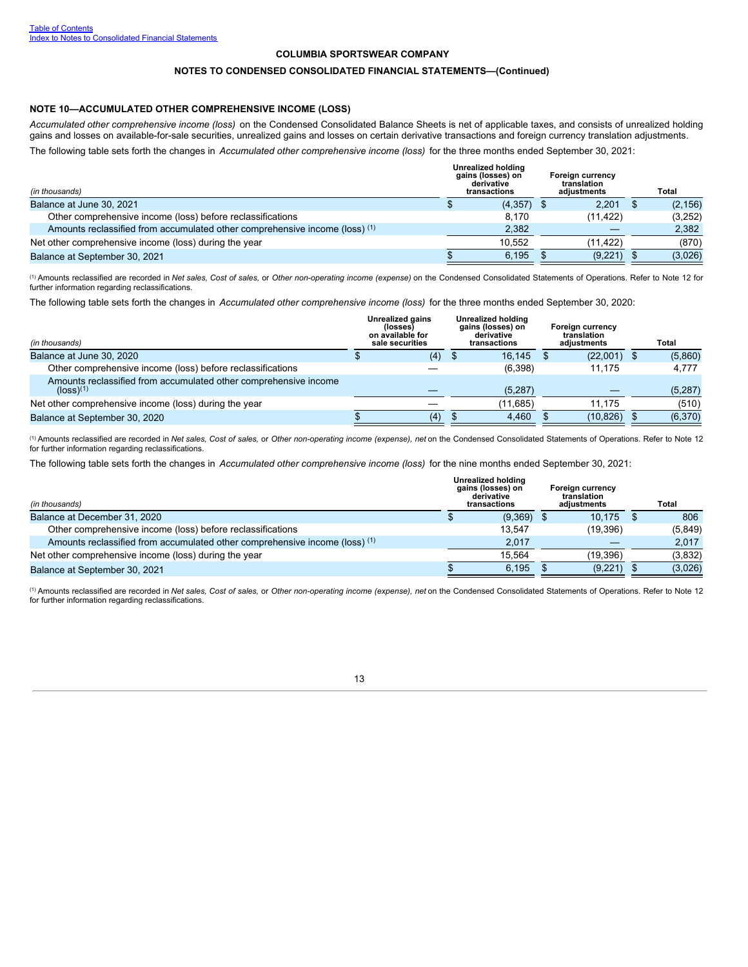#### **NOTES TO CONDENSED CONSOLIDATED FINANCIAL STATEMENTS—(Continued)**

### **NOTE 10—ACCUMULATED OTHER COMPREHENSIVE INCOME (LOSS)**

*Accumulated other comprehensive income (loss)* on the Condensed Consolidated Balance Sheets is net of applicable taxes, and consists of unrealized holding gains and losses on available-for-sale securities, unrealized gains and losses on certain derivative transactions and foreign currency translation adjustments. The following table sets forth the changes in *Accumulated other comprehensive income (loss)* for the three months ended September 30, 2021:

| (in thousands)                                                              |  | Unrealized holding<br>gains (losses) on<br>derivative<br>transactions | Foreign currency<br>translation<br>adiustments |  | Total    |
|-----------------------------------------------------------------------------|--|-----------------------------------------------------------------------|------------------------------------------------|--|----------|
| Balance at June 30, 2021                                                    |  | (4,357)                                                               | 2.201                                          |  | (2, 156) |
| Other comprehensive income (loss) before reclassifications                  |  | 8.170                                                                 | (11, 422)                                      |  | (3,252)  |
| Amounts reclassified from accumulated other comprehensive income (loss) (1) |  | 2.382                                                                 |                                                |  | 2,382    |
| Net other comprehensive income (loss) during the year                       |  | 10.552                                                                | (11.422)                                       |  | (870)    |
| Balance at September 30, 2021                                               |  | 6.195                                                                 | (9,221)                                        |  | (3,026)  |

(1) Amounts reclassified are recorded in Net sales, Cost of sales, or Other non-operating income (expense) on the Condensed Consolidated Statements of Operations. Refer to Note 12 for further information regarding reclassifications.

The following table sets forth the changes in *Accumulated other comprehensive income (loss)* for the three months ended September 30, 2020:

| (in thousands)                                                                | Unrealized gains<br>Unrealized holding<br>gains (losses) on<br>(losses)<br>on available for<br>derivative<br>sale securities<br>transactions |      | Foreign currency<br>translation<br>adjustments | Total     |          |
|-------------------------------------------------------------------------------|----------------------------------------------------------------------------------------------------------------------------------------------|------|------------------------------------------------|-----------|----------|
| Balance at June 30, 2020                                                      | (4)                                                                                                                                          | - 35 | 16.145                                         | (22,001)  | (5,860)  |
| Other comprehensive income (loss) before reclassifications                    |                                                                                                                                              |      | (6,398)                                        | 11.175    | 4.777    |
| Amounts reclassified from accumulated other comprehensive income<br>(logs)(1) |                                                                                                                                              |      | (5, 287)                                       |           | (5,287)  |
| Net other comprehensive income (loss) during the year                         |                                                                                                                                              |      | (11, 685)                                      | 11.175    | (510)    |
| Balance at September 30, 2020                                                 | (4)                                                                                                                                          |      | 4.460                                          | (10, 826) | (6, 370) |

(1) Amounts reclassified are recorded in Net sales, Cost of sales, or Other non-operating income (expense), net on the Condensed Consolidated Statements of Operations. Refer to Note 12 for further information regarding reclassifications.

The following table sets forth the changes in *Accumulated other comprehensive income (loss)* for the nine months ended September 30, 2021:

| (in thousands)                                                              | <b>Unrealized holding</b><br>gains (losses) on<br>derivative<br>transactions |         | Foreign currency<br>translation<br>adiustments | Total   |
|-----------------------------------------------------------------------------|------------------------------------------------------------------------------|---------|------------------------------------------------|---------|
| Balance at December 31, 2020                                                |                                                                              | (9,369) | 10,175                                         | 806     |
| Other comprehensive income (loss) before reclassifications                  |                                                                              | 13.547  | (19,396)                                       | (5,849) |
| Amounts reclassified from accumulated other comprehensive income (loss) (1) |                                                                              | 2.017   |                                                | 2.017   |
| Net other comprehensive income (loss) during the year                       |                                                                              | 15.564  | (19,396)                                       | (3,832) |
| Balance at September 30, 2021                                               |                                                                              | 6,195   | (9,221)                                        | (3,026) |

(1) Amounts reclassified are recorded in Net sales, Cost of sales, or Other non-operating income (expense), net on the Condensed Consolidated Statements of Operations. Refer to Note 12 for further information regarding reclassifications.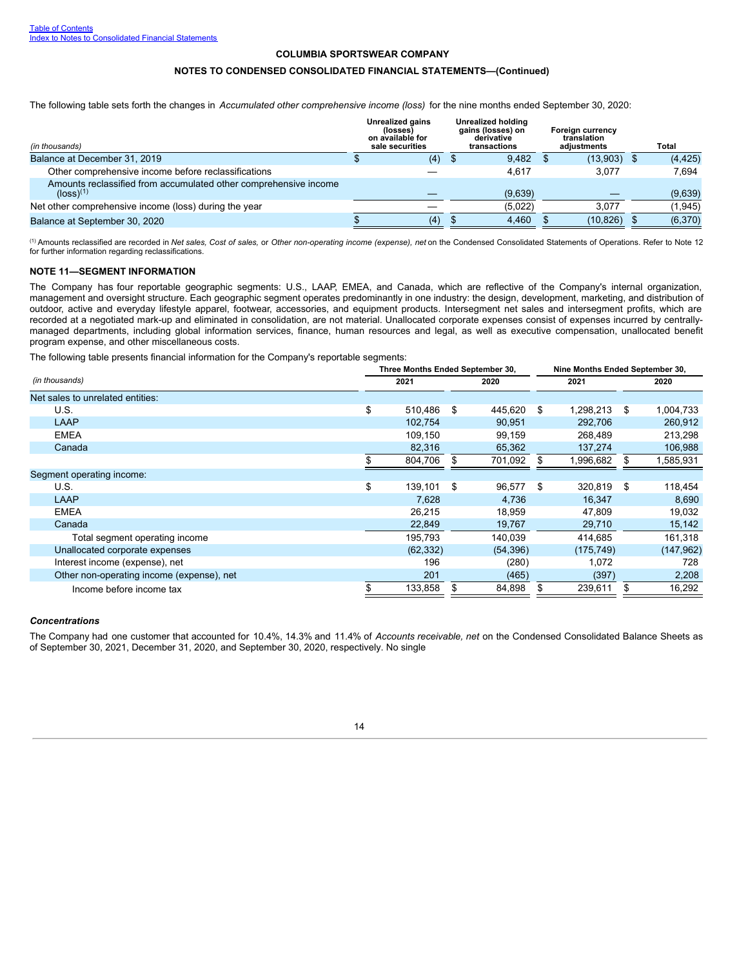#### **NOTES TO CONDENSED CONSOLIDATED FINANCIAL STATEMENTS—(Continued)**

The following table sets forth the changes in *Accumulated other comprehensive income (loss)* for the nine months ended September 30, 2020:

| (in thousands)                                                                              | Unrealized gains<br>(losses)<br>on available for<br>sale securities | Unrealized holding<br>gains (losses) on<br>derivative<br>transactions | Foreign currency<br>translation<br>adjustments | Total    |
|---------------------------------------------------------------------------------------------|---------------------------------------------------------------------|-----------------------------------------------------------------------|------------------------------------------------|----------|
| Balance at December 31, 2019                                                                | (4)                                                                 | 9,482                                                                 | (13,903)                                       | (4, 425) |
| Other comprehensive income before reclassifications                                         |                                                                     | 4.617                                                                 | 3.077                                          | 7.694    |
| Amounts reclassified from accumulated other comprehensive income<br>$(logs)$ <sup>(1)</sup> |                                                                     | (9,639)                                                               |                                                | (9,639)  |
| Net other comprehensive income (loss) during the year                                       |                                                                     | (5,022)                                                               | 3.077                                          | (1,945)  |
| Balance at September 30, 2020                                                               | (4)                                                                 | 4,460                                                                 | (10, 826)                                      | (6,370)  |

(1) Amounts reclassified are recorded in Net sales, Cost of sales, or Other non-operating income (expense), net on the Condensed Consolidated Statements of Operations. Refer to Note 12 for further information regarding reclassifications.

### <span id="page-15-0"></span>**NOTE 11—SEGMENT INFORMATION**

The Company has four reportable geographic segments: U.S., LAAP, EMEA, and Canada, which are reflective of the Company's internal organization, management and oversight structure. Each geographic segment operates predominantly in one industry: the design, development, marketing, and distribution of outdoor, active and everyday lifestyle apparel, footwear, accessories, and equipment products. Intersegment net sales and intersegment profits, which are recorded at a negotiated mark-up and eliminated in consolidation, are not material. Unallocated corporate expenses consist of expenses incurred by centrallymanaged departments, including global information services, finance, human resources and legal, as well as executive compensation, unallocated benefit program expense, and other miscellaneous costs.

The following table presents financial information for the Company's reportable segments:

|                                           | Three Months Ended September 30, |               | Nine Months Ended September 30, |            |    |            |  |  |
|-------------------------------------------|----------------------------------|---------------|---------------------------------|------------|----|------------|--|--|
| (in thousands)                            | 2021                             | 2020          |                                 | 2021       |    | 2020       |  |  |
| Net sales to unrelated entities:          |                                  |               |                                 |            |    |            |  |  |
| U.S.                                      | \$<br>510,486                    | \$<br>445,620 | -\$                             | 1,298,213  | \$ | 1,004,733  |  |  |
| LAAP                                      | 102,754                          | 90,951        |                                 | 292,706    |    | 260,912    |  |  |
| <b>EMEA</b>                               | 109,150                          | 99,159        |                                 | 268,489    |    | 213,298    |  |  |
| Canada                                    | 82,316                           | 65,362        |                                 | 137,274    |    | 106,988    |  |  |
|                                           | 804,706                          | 701,092       |                                 | 1,996,682  |    | 1,585,931  |  |  |
| Segment operating income:                 |                                  |               |                                 |            |    |            |  |  |
| U.S.                                      | \$<br>139.101                    | \$<br>96,577  | \$.                             | 320,819    | \$ | 118,454    |  |  |
| LAAP                                      | 7.628                            | 4.736         |                                 | 16,347     |    | 8,690      |  |  |
| <b>EMEA</b>                               | 26,215                           | 18,959        |                                 | 47,809     |    | 19,032     |  |  |
| Canada                                    | 22,849                           | 19,767        |                                 | 29,710     |    | 15,142     |  |  |
| Total segment operating income            | 195.793                          | 140,039       |                                 | 414,685    |    | 161,318    |  |  |
| Unallocated corporate expenses            | (62, 332)                        | (54, 396)     |                                 | (175, 749) |    | (147, 962) |  |  |
| Interest income (expense), net            | 196                              | (280)         |                                 | 1,072      |    | 728        |  |  |
| Other non-operating income (expense), net | 201                              | (465)         |                                 | (397)      |    | 2,208      |  |  |
| Income before income tax                  | 133,858                          | 84,898        |                                 | 239,611    |    | 16,292     |  |  |

#### *Concentrations*

The Company had one customer that accounted for 10.4%, 14.3% and 11.4% of *Accounts receivable, net* on the Condensed Consolidated Balance Sheets as of September 30, 2021, December 31, 2020, and September 30, 2020, respectively. No single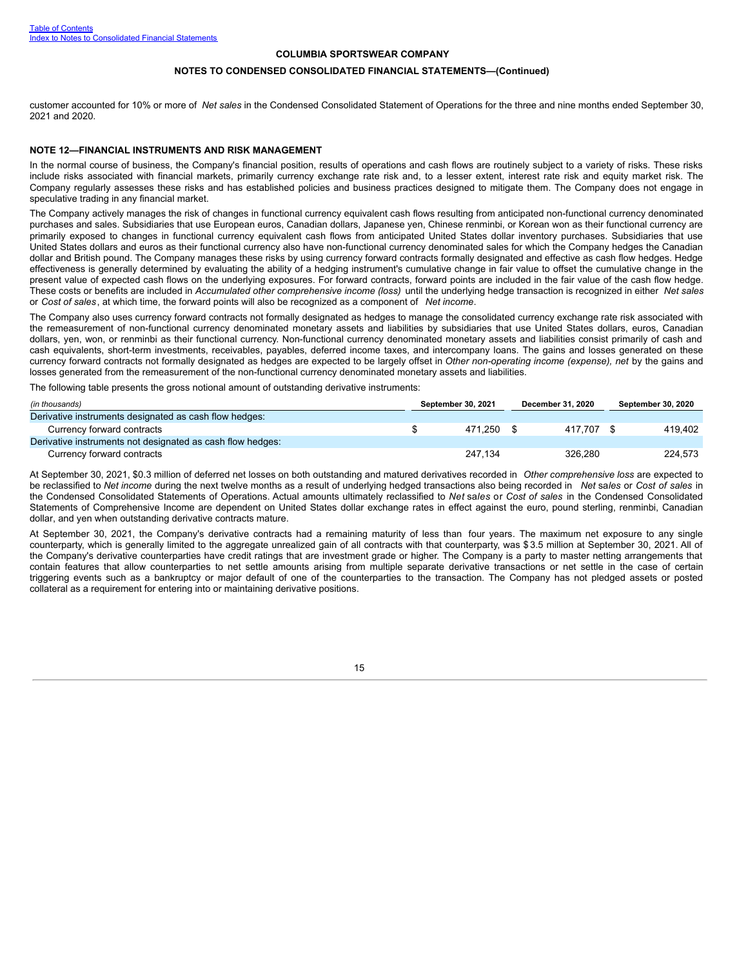#### **NOTES TO CONDENSED CONSOLIDATED FINANCIAL STATEMENTS—(Continued)**

customer accounted for 10% or more of *Net sales* in the Condensed Consolidated Statement of Operations for the three and nine months ended September 30, 2021 and 2020.

#### <span id="page-16-0"></span>**NOTE 12—FINANCIAL INSTRUMENTS AND RISK MANAGEMENT**

In the normal course of business, the Company's financial position, results of operations and cash flows are routinely subject to a variety of risks. These risks include risks associated with financial markets, primarily currency exchange rate risk and, to a lesser extent, interest rate risk and equity market risk. The Company regularly assesses these risks and has established policies and business practices designed to mitigate them. The Company does not engage in speculative trading in any financial market.

The Company actively manages the risk of changes in functional currency equivalent cash flows resulting from anticipated non-functional currency denominated purchases and sales. Subsidiaries that use European euros, Canadian dollars, Japanese yen, Chinese renminbi, or Korean won as their functional currency are primarily exposed to changes in functional currency equivalent cash flows from anticipated United States dollar inventory purchases. Subsidiaries that use United States dollars and euros as their functional currency also have non-functional currency denominated sales for which the Company hedges the Canadian dollar and British pound. The Company manages these risks by using currency forward contracts formally designated and effective as cash flow hedges. Hedge effectiveness is generally determined by evaluating the ability of a hedging instrument's cumulative change in fair value to offset the cumulative change in the present value of expected cash flows on the underlying exposures. For forward contracts, forward points are included in the fair value of the cash flow hedge. These costs or benefits are included in *Accumulated other comprehensive income (loss)* until the underlying hedge transaction is recognized in either *Net sales* or *Cost of sales*, at which time, the forward points will also be recognized as a component of *Net income*.

The Company also uses currency forward contracts not formally designated as hedges to manage the consolidated currency exchange rate risk associated with the remeasurement of non-functional currency denominated monetary assets and liabilities by subsidiaries that use United States dollars, euros, Canadian dollars, yen, won, or renminbi as their functional currency. Non-functional currency denominated monetary assets and liabilities consist primarily of cash and cash equivalents, short-term investments, receivables, payables, deferred income taxes, and intercompany loans. The gains and losses generated on these currency forward contracts not formally designated as hedges are expected to be largely offset in *Other non-operating income (expense), net* by the gains and losses generated from the remeasurement of the non-functional currency denominated monetary assets and liabilities.

The following table presents the gross notional amount of outstanding derivative instruments:

| (in thousands)                                             | <b>September 30, 2021</b> |         | December 31, 2020 |            | <b>September 30, 2020</b> |         |
|------------------------------------------------------------|---------------------------|---------|-------------------|------------|---------------------------|---------|
| Derivative instruments designated as cash flow hedges:     |                           |         |                   |            |                           |         |
| Currency forward contracts                                 |                           | 471.250 |                   | 417.707 \$ |                           | 419.402 |
| Derivative instruments not designated as cash flow hedges: |                           |         |                   |            |                           |         |
| Currency forward contracts                                 |                           | 247.134 |                   | 326.280    |                           | 224.573 |

At September 30, 2021, \$0.3 million of deferred net losses on both outstanding and matured derivatives recorded in *Other comprehensive loss* are expected to be reclassified to *Net income* during the next twelve months as a result of underlying hedged transactions also being recorded in *Net* sa*les* or *Cost of sales* in the Condensed Consolidated Statements of Operations. Actual amounts ultimately reclassified to *Net* sa*les* or *Cost of sales* in the Condensed Consolidated Statements of Comprehensive Income are dependent on United States dollar exchange rates in effect against the euro, pound sterling, renminbi, Canadian dollar, and yen when outstanding derivative contracts mature.

At September 30, 2021, the Company's derivative contracts had a remaining maturity of less than four years. The maximum net exposure to any single counterparty, which is generally limited to the aggregate unrealized gain of all contracts with that counterparty, was \$ 3.5 million at September 30, 2021. All of the Company's derivative counterparties have credit ratings that are investment grade or higher. The Company is a party to master netting arrangements that contain features that allow counterparties to net settle amounts arising from multiple separate derivative transactions or net settle in the case of certain triggering events such as a bankruptcy or major default of one of the counterparties to the transaction. The Company has not pledged assets or posted collateral as a requirement for entering into or maintaining derivative positions.

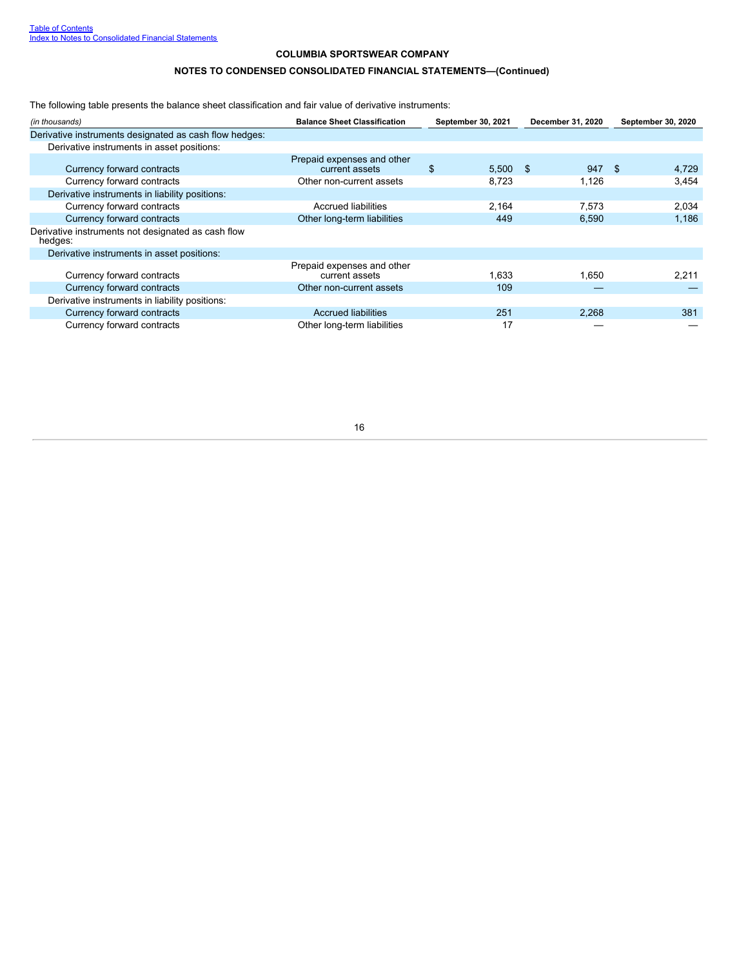# **NOTES TO CONDENSED CONSOLIDATED FINANCIAL STATEMENTS—(Continued)**

The following table presents the balance sheet classification and fair value of derivative instruments:

| (in thousands)                                                | <b>Balance Sheet Classification</b>          | September 30, 2021 | December 31, 2020 | <b>September 30, 2020</b> |
|---------------------------------------------------------------|----------------------------------------------|--------------------|-------------------|---------------------------|
| Derivative instruments designated as cash flow hedges:        |                                              |                    |                   |                           |
| Derivative instruments in asset positions:                    |                                              |                    |                   |                           |
| Currency forward contracts                                    | Prepaid expenses and other<br>current assets | \$<br>$5,500$ \$   | 947               | - \$<br>4,729             |
| Currency forward contracts                                    | Other non-current assets                     | 8.723              | 1.126             | 3,454                     |
| Derivative instruments in liability positions:                |                                              |                    |                   |                           |
| Currency forward contracts                                    | <b>Accrued liabilities</b>                   | 2,164              | 7,573             | 2,034                     |
| Currency forward contracts                                    | Other long-term liabilities                  | 449                | 6,590             | 1,186                     |
| Derivative instruments not designated as cash flow<br>hedges: |                                              |                    |                   |                           |
| Derivative instruments in asset positions:                    |                                              |                    |                   |                           |
| Currency forward contracts                                    | Prepaid expenses and other<br>current assets | 1.633              | 1.650             | 2,211                     |
| Currency forward contracts                                    | Other non-current assets                     | 109                |                   |                           |
| Derivative instruments in liability positions:                |                                              |                    |                   |                           |
| Currency forward contracts                                    | <b>Accrued liabilities</b>                   | 251                | 2,268             | 381                       |
| Currency forward contracts                                    | Other long-term liabilities                  | 17                 |                   |                           |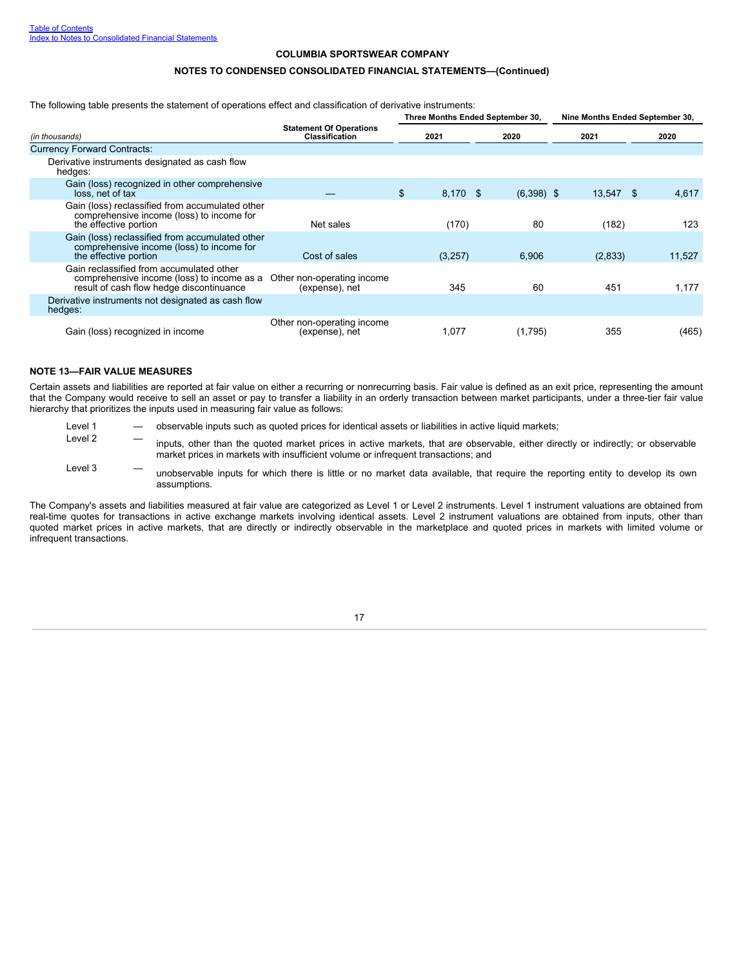#### **NOTES TO CONDENSED CONSOLIDATED FINANCIAL STATEMENTS—(Continued)**

The following table presents the statement of operations effect and classification of derivative instruments:

|                                                                                                                                    |                                                         |                | Three Months Ended September 30, | Nine Months Ended September 30, |        |
|------------------------------------------------------------------------------------------------------------------------------------|---------------------------------------------------------|----------------|----------------------------------|---------------------------------|--------|
| (in thousands)                                                                                                                     | <b>Statement Of Operations</b><br><b>Classification</b> | 2021           | 2020                             | 2021                            | 2020   |
| <b>Currency Forward Contracts:</b>                                                                                                 |                                                         |                |                                  |                                 |        |
| Derivative instruments designated as cash flow<br>hedges:                                                                          |                                                         |                |                                  |                                 |        |
| Gain (loss) recognized in other comprehensive<br>loss, net of tax                                                                  |                                                         | \$<br>8,170 \$ | $(6,398)$ \$                     | 13,547 \$                       | 4,617  |
| Gain (loss) reclassified from accumulated other<br>comprehensive income (loss) to income for<br>the effective portion              | Net sales                                               | (170)          | 80                               | (182)                           | 123    |
| Gain (loss) reclassified from accumulated other<br>comprehensive income (loss) to income for<br>the effective portion              | Cost of sales                                           | (3,257)        | 6,906                            | (2,833)                         | 11,527 |
| Gain reclassified from accumulated other<br>comprehensive income (loss) to income as a<br>result of cash flow hedge discontinuance | Other non-operating income<br>(expense), net            | 345            | 60                               | 451                             | 1,177  |
| Derivative instruments not designated as cash flow<br>hedges:                                                                      |                                                         |                |                                  |                                 |        |
| Gain (loss) recognized in income                                                                                                   | Other non-operating income<br>(expense), net            | 1,077          | (1,795)                          | 355                             | (465)  |

### <span id="page-18-0"></span>**NOTE 13—FAIR VALUE MEASURES**

Certain assets and liabilities are reported at fair value on either a recurring or nonrecurring basis. Fair value is defined as an exit price, representing the amount that the Company would receive to sell an asset or pay to transfer a liability in an orderly transaction between market participants, under a three-tier fair value hierarchy that prioritizes the inputs used in measuring fair value as follows:

- Level 1 observable inputs such as quoted prices for identical assets or liabilities in active liquid markets;
- Level 2 inputs, other than the quoted market prices in active markets, that are observable, either directly or indirectly; or observable market prices in markets with insufficient volume or infrequent transactions; and
- Level 3 The unobservable inputs for which there is little or no market data available, that require the reporting entity to develop its own assumptions.

The Company's assets and liabilities measured at fair value are categorized as Level 1 or Level 2 instruments. Level 1 instrument valuations are obtained from real-time quotes for transactions in active exchange markets involving identical assets. Level 2 instrument valuations are obtained from inputs, other than quoted market prices in active markets, that are directly or indirectly observable in the marketplace and quoted prices in markets with limited volume or infrequent transactions.

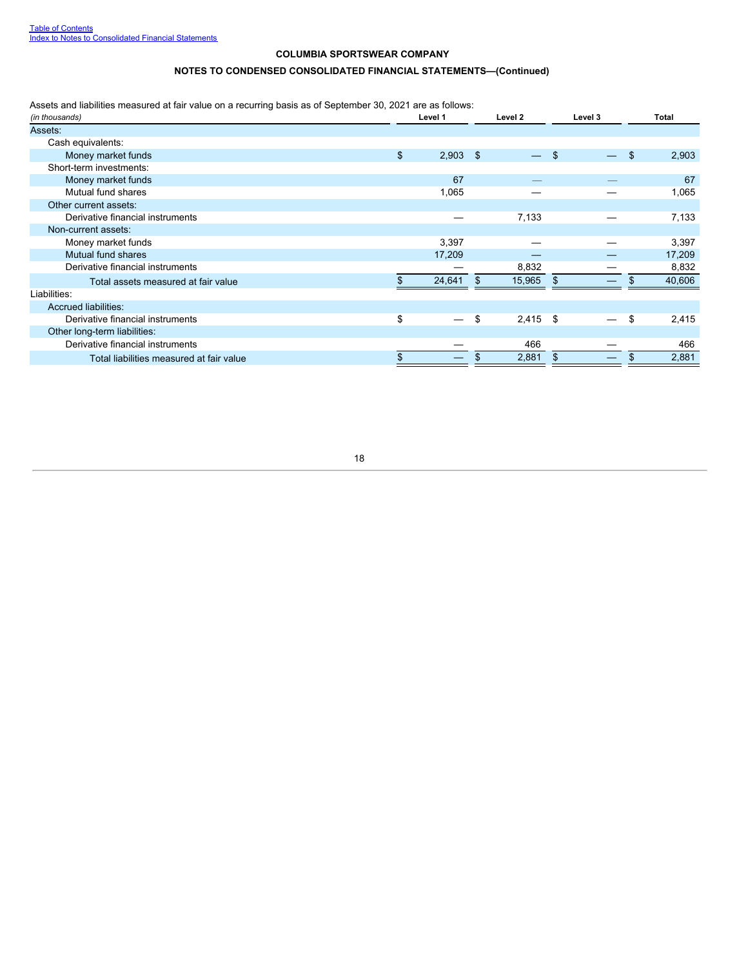# **NOTES TO CONDENSED CONSOLIDATED FINANCIAL STATEMENTS—(Continued)**

Assets and liabilities measured at fair value on a recurring basis as of September 30, 2021 are as follows:

| (in thousands)                           | Level 1<br>Level 2 |            |    |            | Level 3 | <b>Total</b> |    |        |
|------------------------------------------|--------------------|------------|----|------------|---------|--------------|----|--------|
| Assets:                                  |                    |            |    |            |         |              |    |        |
| Cash equivalents:                        |                    |            |    |            |         |              |    |        |
| Money market funds                       | \$                 | $2,903$ \$ |    |            | -\$     |              | \$ | 2,903  |
| Short-term investments:                  |                    |            |    |            |         |              |    |        |
| Money market funds                       |                    | 67         |    |            |         |              |    | 67     |
| Mutual fund shares                       |                    | 1,065      |    |            |         |              |    | 1,065  |
| Other current assets:                    |                    |            |    |            |         |              |    |        |
| Derivative financial instruments         |                    |            |    | 7,133      |         |              |    | 7,133  |
| Non-current assets:                      |                    |            |    |            |         |              |    |        |
| Money market funds                       |                    | 3,397      |    |            |         |              |    | 3,397  |
| Mutual fund shares                       |                    | 17,209     |    |            |         |              |    | 17,209 |
| Derivative financial instruments         |                    |            |    | 8,832      |         |              |    | 8,832  |
| Total assets measured at fair value      |                    | 24,641     | \$ | 15,965     | -\$     |              |    | 40,606 |
| Liabilities:                             |                    |            |    |            |         |              |    |        |
| Accrued liabilities:                     |                    |            |    |            |         |              |    |        |
| Derivative financial instruments         | \$                 |            | \$ | $2,415$ \$ |         |              | \$ | 2,415  |
| Other long-term liabilities:             |                    |            |    |            |         |              |    |        |
| Derivative financial instruments         |                    |            |    | 466        |         |              |    | 466    |
| Total liabilities measured at fair value |                    |            |    | 2,881      | \$.     |              |    | 2,881  |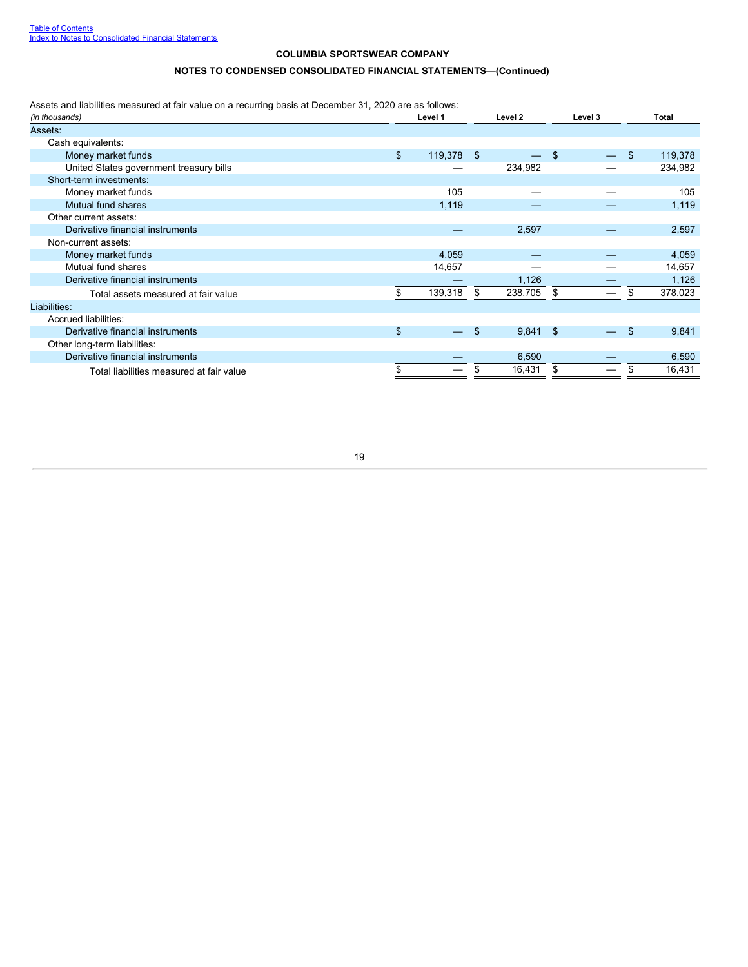# **NOTES TO CONDENSED CONSOLIDATED FINANCIAL STATEMENTS—(Continued)**

Assets and liabilities measured at fair value on a recurring basis at December 31, 2020 are as follows:

| (in thousands)                           |                | Level 1    |     | Level 2    | Level 3 |  | Total |         |
|------------------------------------------|----------------|------------|-----|------------|---------|--|-------|---------|
| Assets:                                  |                |            |     |            |         |  |       |         |
| Cash equivalents:                        |                |            |     |            |         |  |       |         |
| Money market funds                       | $\mathfrak{L}$ | 119,378 \$ |     |            | \$      |  | \$    | 119,378 |
| United States government treasury bills  |                |            |     | 234,982    |         |  |       | 234,982 |
| Short-term investments:                  |                |            |     |            |         |  |       |         |
| Money market funds                       |                | 105        |     |            |         |  |       | 105     |
| Mutual fund shares                       |                | 1,119      |     |            |         |  |       | 1,119   |
| Other current assets:                    |                |            |     |            |         |  |       |         |
| Derivative financial instruments         |                |            |     | 2,597      |         |  |       | 2,597   |
| Non-current assets:                      |                |            |     |            |         |  |       |         |
| Money market funds                       |                | 4,059      |     |            |         |  |       | 4,059   |
| Mutual fund shares                       |                | 14,657     |     |            |         |  |       | 14,657  |
| Derivative financial instruments         |                |            |     | 1,126      |         |  |       | 1,126   |
| Total assets measured at fair value      |                | 139,318    | \$. | 238,705    | \$      |  |       | 378,023 |
| Liabilities:                             |                |            |     |            |         |  |       |         |
| Accrued liabilities:                     |                |            |     |            |         |  |       |         |
| Derivative financial instruments         | \$             |            | \$  | $9,841$ \$ |         |  | \$    | 9,841   |
| Other long-term liabilities:             |                |            |     |            |         |  |       |         |
| Derivative financial instruments         |                |            |     | 6,590      |         |  |       | 6,590   |
| Total liabilities measured at fair value |                |            |     | 16,431     | \$      |  |       | 16,431  |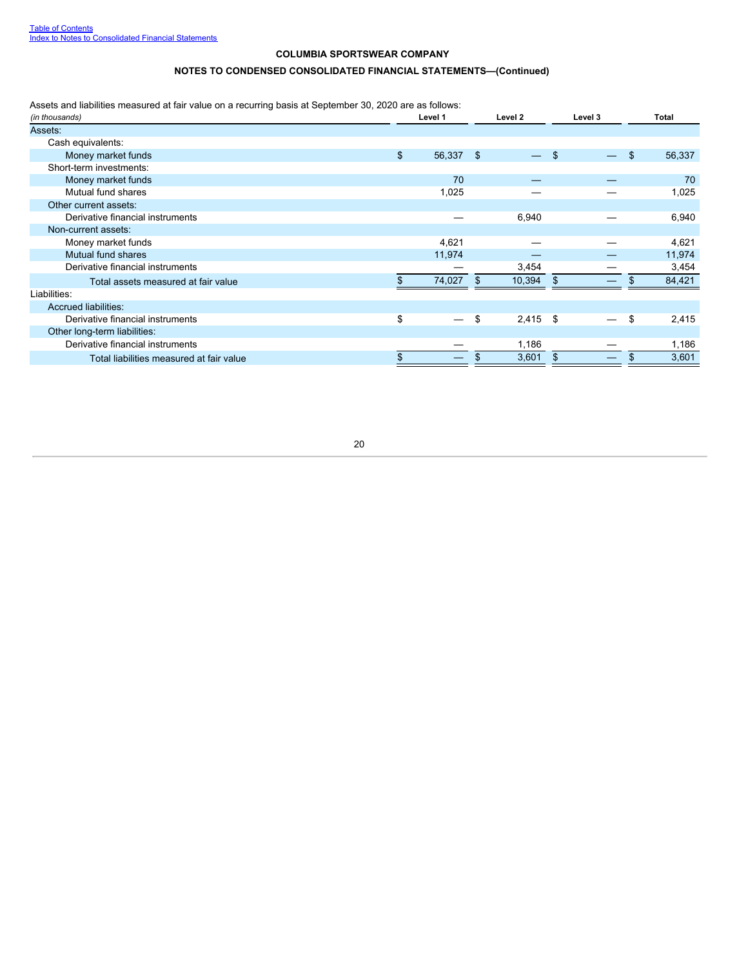# **NOTES TO CONDENSED CONSOLIDATED FINANCIAL STATEMENTS—(Continued)**

Assets and liabilities measured at fair value on a recurring basis at September 30, 2020 are as follows:

<span id="page-21-0"></span>

| (in thousands)                           | Level 1         |    | Level 2    |     | Level 3 | <b>Total</b> |
|------------------------------------------|-----------------|----|------------|-----|---------|--------------|
| Assets:                                  |                 |    |            |     |         |              |
| Cash equivalents:                        |                 |    |            |     |         |              |
| Money market funds                       | \$<br>56,337 \$ |    |            | \$. |         | \$<br>56,337 |
| Short-term investments:                  |                 |    |            |     |         |              |
| Money market funds                       | 70              |    |            |     |         | 70           |
| Mutual fund shares                       | 1,025           |    |            |     |         | 1,025        |
| Other current assets:                    |                 |    |            |     |         |              |
| Derivative financial instruments         |                 |    | 6,940      |     |         | 6,940        |
| Non-current assets:                      |                 |    |            |     |         |              |
| Money market funds                       | 4,621           |    |            |     |         | 4,621        |
| Mutual fund shares                       | 11,974          |    |            |     |         | 11,974       |
| Derivative financial instruments         |                 |    | 3,454      |     |         | 3,454        |
| Total assets measured at fair value      | 74,027          | S  | 10,394     | \$  |         | 84,421       |
| Liabilities:                             |                 |    |            |     |         |              |
| Accrued liabilities:                     |                 |    |            |     |         |              |
| Derivative financial instruments         | \$              | \$ | $2,415$ \$ |     |         | \$<br>2,415  |
| Other long-term liabilities:             |                 |    |            |     |         |              |
| Derivative financial instruments         |                 |    | 1,186      |     |         | 1,186        |
| Total liabilities measured at fair value |                 |    | 3,601      |     |         | 3,601        |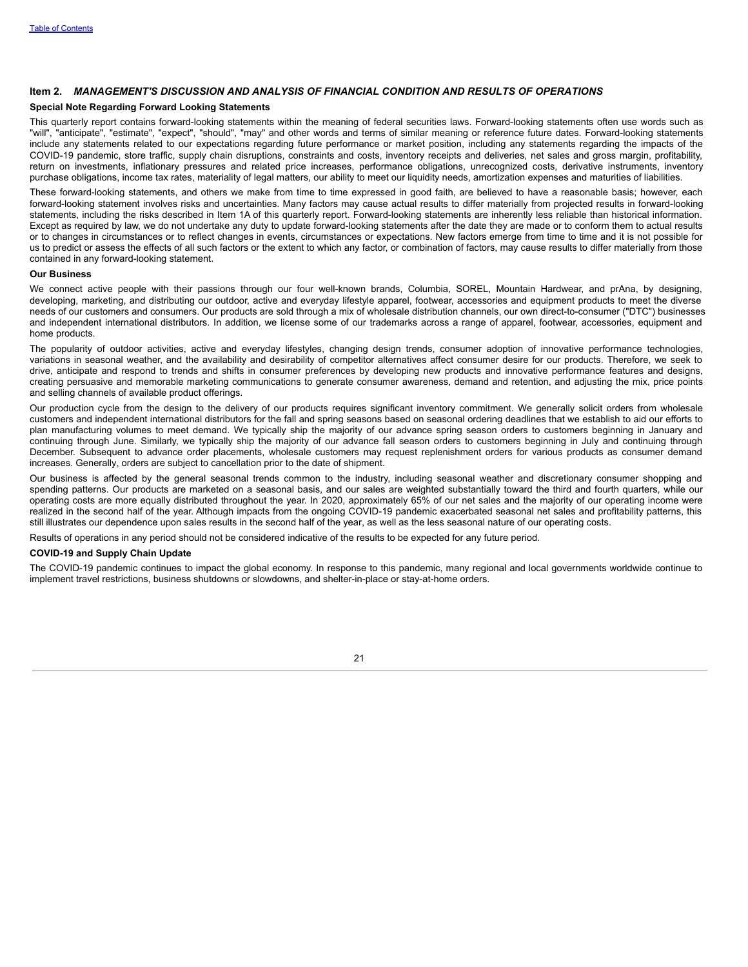#### **Item 2.** *MANAGEMENT'S DISCUSSION AND ANALYSIS OF FINANCIAL CONDITION AND RESULTS OF OPERATIONS*

#### **Special Note Regarding Forward Looking Statements**

This quarterly report contains forward-looking statements within the meaning of federal securities laws. Forward-looking statements often use words such as "will", "anticipate", "estimate", "expect", "should", "may" and other words and terms of similar meaning or reference future dates. Forward-looking statements include any statements related to our expectations regarding future performance or market position, including any statements regarding the impacts of the COVID-19 pandemic, store traffic, supply chain disruptions, constraints and costs, inventory receipts and deliveries, net sales and gross margin, profitability, return on investments, inflationary pressures and related price increases, performance obligations, unrecognized costs, derivative instruments, inventory purchase obligations, income tax rates, materiality of legal matters, our ability to meet our liquidity needs, amortization expenses and maturities of liabilities.

These forward-looking statements, and others we make from time to time expressed in good faith, are believed to have a reasonable basis; however, each forward-looking statement involves risks and uncertainties. Many factors may cause actual results to differ materially from projected results in forward-looking statements, including the risks described in Item 1A of this quarterly report. Forward-looking statements are inherently less reliable than historical information. Except as required by law, we do not undertake any duty to update forward-looking statements after the date they are made or to conform them to actual results or to changes in circumstances or to reflect changes in events, circumstances or expectations. New factors emerge from time to time and it is not possible for us to predict or assess the effects of all such factors or the extent to which any factor, or combination of factors, may cause results to differ materially from those contained in any forward-looking statement.

#### **Our Business**

We connect active people with their passions through our four well-known brands, Columbia, SOREL, Mountain Hardwear, and prAna, by designing, developing, marketing, and distributing our outdoor, active and everyday lifestyle apparel, footwear, accessories and equipment products to meet the diverse needs of our customers and consumers. Our products are sold through a mix of wholesale distribution channels, our own direct-to-consumer ("DTC") businesses and independent international distributors. In addition, we license some of our trademarks across a range of apparel, footwear, accessories, equipment and home products.

The popularity of outdoor activities, active and everyday lifestyles, changing design trends, consumer adoption of innovative performance technologies, variations in seasonal weather, and the availability and desirability of competitor alternatives affect consumer desire for our products. Therefore, we seek to drive, anticipate and respond to trends and shifts in consumer preferences by developing new products and innovative performance features and designs, creating persuasive and memorable marketing communications to generate consumer awareness, demand and retention, and adjusting the mix, price points and selling channels of available product offerings.

Our production cycle from the design to the delivery of our products requires significant inventory commitment. We generally solicit orders from wholesale customers and independent international distributors for the fall and spring seasons based on seasonal ordering deadlines that we establish to aid our efforts to plan manufacturing volumes to meet demand. We typically ship the majority of our advance spring season orders to customers beginning in January and continuing through June. Similarly, we typically ship the majority of our advance fall season orders to customers beginning in July and continuing through December. Subsequent to advance order placements, wholesale customers may request replenishment orders for various products as consumer demand increases. Generally, orders are subject to cancellation prior to the date of shipment.

Our business is affected by the general seasonal trends common to the industry, including seasonal weather and discretionary consumer shopping and spending patterns. Our products are marketed on a seasonal basis, and our sales are weighted substantially toward the third and fourth quarters, while our operating costs are more equally distributed throughout the year. In 2020, approximately 65% of our net sales and the majority of our operating income were realized in the second half of the year. Although impacts from the ongoing COVID-19 pandemic exacerbated seasonal net sales and profitability patterns, this still illustrates our dependence upon sales results in the second half of the year, as well as the less seasonal nature of our operating costs.

Results of operations in any period should not be considered indicative of the results to be expected for any future period.

#### **COVID-19 and Supply Chain Update**

The COVID-19 pandemic continues to impact the global economy. In response to this pandemic, many regional and local governments worldwide continue to implement travel restrictions, business shutdowns or slowdowns, and shelter-in-place or stay-at-home orders.

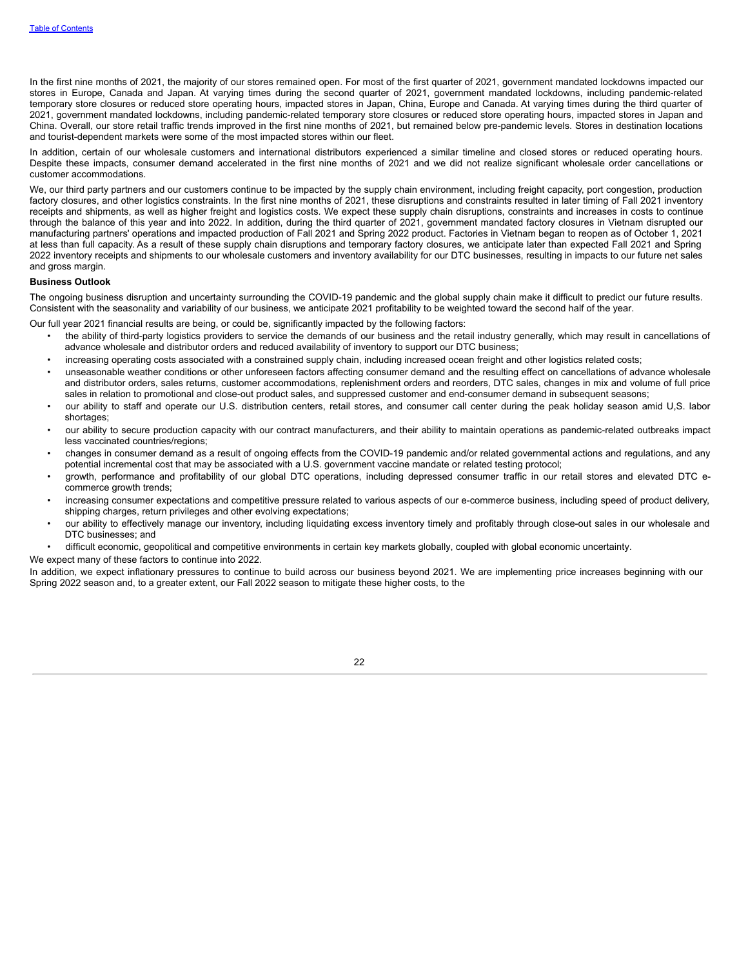In the first nine months of 2021, the majority of our stores remained open. For most of the first quarter of 2021, government mandated lockdowns impacted our stores in Europe, Canada and Japan. At varying times during the second quarter of 2021, government mandated lockdowns, including pandemic-related temporary store closures or reduced store operating hours, impacted stores in Japan, China, Europe and Canada. At varying times during the third quarter of 2021, government mandated lockdowns, including pandemic-related temporary store closures or reduced store operating hours, impacted stores in Japan and China. Overall, our store retail traffic trends improved in the first nine months of 2021, but remained below pre-pandemic levels. Stores in destination locations and tourist-dependent markets were some of the most impacted stores within our fleet.

In addition, certain of our wholesale customers and international distributors experienced a similar timeline and closed stores or reduced operating hours. Despite these impacts, consumer demand accelerated in the first nine months of 2021 and we did not realize significant wholesale order cancellations or customer accommodations.

We, our third party partners and our customers continue to be impacted by the supply chain environment, including freight capacity, port congestion, production factory closures, and other logistics constraints. In the first nine months of 2021, these disruptions and constraints resulted in later timing of Fall 2021 inventory receipts and shipments, as well as higher freight and logistics costs. We expect these supply chain disruptions, constraints and increases in costs to continue through the balance of this year and into 2022. In addition, during the third quarter of 2021, government mandated factory closures in Vietnam disrupted our manufacturing partners' operations and impacted production of Fall 2021 and Spring 2022 product. Factories in Vietnam began to reopen as of October 1, 2021 at less than full capacity. As a result of these supply chain disruptions and temporary factory closures, we anticipate later than expected Fall 2021 and Spring 2022 inventory receipts and shipments to our wholesale customers and inventory availability for our DTC businesses, resulting in impacts to our future net sales and gross margin.

#### **Business Outlook**

The ongoing business disruption and uncertainty surrounding the COVID-19 pandemic and the global supply chain make it difficult to predict our future results. Consistent with the seasonality and variability of our business, we anticipate 2021 profitability to be weighted toward the second half of the year.

Our full year 2021 financial results are being, or could be, significantly impacted by the following factors:

- the ability of third-party logistics providers to service the demands of our business and the retail industry generally, which may result in cancellations of advance wholesale and distributor orders and reduced availability of inventory to support our DTC business;
- increasing operating costs associated with a constrained supply chain, including increased ocean freight and other logistics related costs;
- unseasonable weather conditions or other unforeseen factors affecting consumer demand and the resulting effect on cancellations of advance wholesale and distributor orders, sales returns, customer accommodations, replenishment orders and reorders, DTC sales, changes in mix and volume of full price sales in relation to promotional and close-out product sales, and suppressed customer and end-consumer demand in subsequent seasons;
- our ability to staff and operate our U.S. distribution centers, retail stores, and consumer call center during the peak holiday season amid U,S. labor shortages;
- our ability to secure production capacity with our contract manufacturers, and their ability to maintain operations as pandemic-related outbreaks impact less vaccinated countries/regions;
- changes in consumer demand as a result of ongoing effects from the COVID-19 pandemic and/or related governmental actions and regulations, and any potential incremental cost that may be associated with a U.S. government vaccine mandate or related testing protocol;
- growth, performance and profitability of our global DTC operations, including depressed consumer traffic in our retail stores and elevated DTC ecommerce growth trends;
- increasing consumer expectations and competitive pressure related to various aspects of our e-commerce business, including speed of product delivery, shipping charges, return privileges and other evolving expectations;
- our ability to effectively manage our inventory, including liquidating excess inventory timely and profitably through close-out sales in our wholesale and DTC businesses; and
- difficult economic, geopolitical and competitive environments in certain key markets globally, coupled with global economic uncertainty.

We expect many of these factors to continue into 2022.

In addition, we expect inflationary pressures to continue to build across our business beyond 2021. We are implementing price increases beginning with our Spring 2022 season and, to a greater extent, our Fall 2022 season to mitigate these higher costs, to the

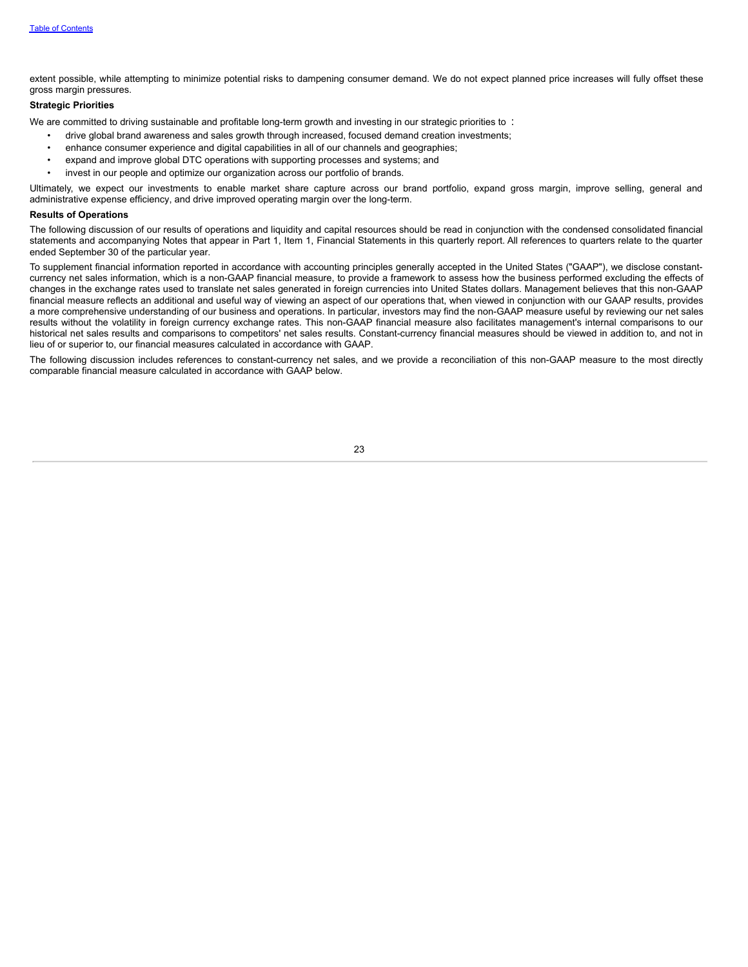extent possible, while attempting to minimize potential risks to dampening consumer demand. We do not expect planned price increases will fully offset these gross margin pressures.

### **Strategic Priorities**

We are committed to driving sustainable and profitable long-term growth and investing in our strategic priorities to :

- drive global brand awareness and sales growth through increased, focused demand creation investments;
- enhance consumer experience and digital capabilities in all of our channels and geographies;
- expand and improve global DTC operations with supporting processes and systems; and
- invest in our people and optimize our organization across our portfolio of brands.

Ultimately, we expect our investments to enable market share capture across our brand portfolio, expand gross margin, improve selling, general and administrative expense efficiency, and drive improved operating margin over the long-term.

#### **Results of Operations**

The following discussion of our results of operations and liquidity and capital resources should be read in conjunction with the condensed consolidated financial statements and accompanying Notes that appear in Part 1, Item 1, Financial Statements in this quarterly report. All references to quarters relate to the quarter ended September 30 of the particular year.

To supplement financial information reported in accordance with accounting principles generally accepted in the United States ("GAAP"), we disclose constantcurrency net sales information, which is a non-GAAP financial measure, to provide a framework to assess how the business performed excluding the effects of changes in the exchange rates used to translate net sales generated in foreign currencies into United States dollars. Management believes that this non-GAAP financial measure reflects an additional and useful way of viewing an aspect of our operations that, when viewed in conjunction with our GAAP results, provides a more comprehensive understanding of our business and operations. In particular, investors may find the non-GAAP measure useful by reviewing our net sales results without the volatility in foreign currency exchange rates. This non-GAAP financial measure also facilitates management's internal comparisons to our historical net sales results and comparisons to competitors' net sales results. Constant-currency financial measures should be viewed in addition to, and not in lieu of or superior to, our financial measures calculated in accordance with GAAP.

The following discussion includes references to constant-currency net sales, and we provide a reconciliation of this non-GAAP measure to the most directly comparable financial measure calculated in accordance with GAAP below.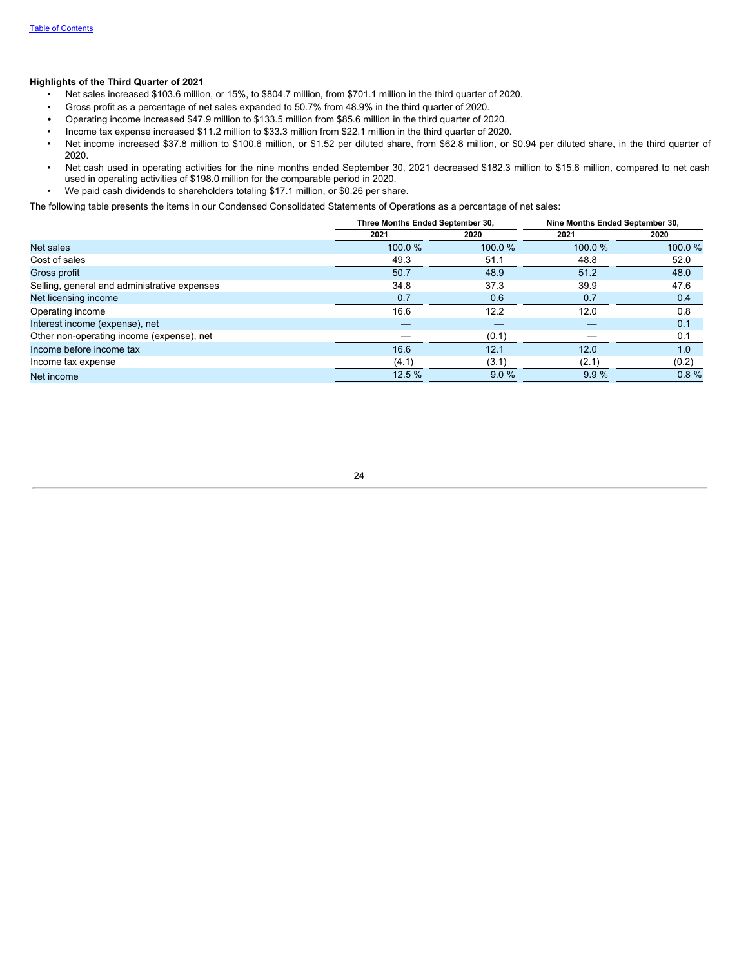### **Highlights of the Third Quarter of 2021**

- Net sales increased \$103.6 million, or 15%, to \$804.7 million, from \$701.1 million in the third quarter of 2020.
- Gross profit as a percentage of net sales expanded to 50.7% from 48.9% in the third quarter of 2020.
- *•* Operating income increased \$47.9 million to \$133.5 million from \$85.6 million in the third quarter of 2020.
- Income tax expense increased \$11.2 million to \$33.3 million from \$22.1 million in the third quarter of 2020.
- Net income increased \$37.8 million to \$100.6 million, or \$1.52 per diluted share, from \$62.8 million, or \$0.94 per diluted share, in the third quarter of 2020.
- Net cash used in operating activities for the nine months ended September 30, 2021 decreased \$182.3 million to \$15.6 million, compared to net cash used in operating activities of \$198.0 million for the comparable period in 2020.
- We paid cash dividends to shareholders totaling \$17.1 million, or \$0.26 per share.

The following table presents the items in our Condensed Consolidated Statements of Operations as a percentage of net sales:

|                                              | Three Months Ended September 30, |        | Nine Months Ended September 30, |        |  |
|----------------------------------------------|----------------------------------|--------|---------------------------------|--------|--|
|                                              | 2021                             | 2020   | 2021                            | 2020   |  |
| <b>Net sales</b>                             | 100.0%                           | 100.0% | 100.0%                          | 100.0% |  |
| Cost of sales                                | 49.3                             | 51.1   | 48.8                            | 52.0   |  |
| Gross profit                                 | 50.7                             | 48.9   | 51.2                            | 48.0   |  |
| Selling, general and administrative expenses | 34.8                             | 37.3   | 39.9                            | 47.6   |  |
| Net licensing income                         | 0.7                              | 0.6    | 0.7                             | 0.4    |  |
| Operating income                             | 16.6                             | 12.2   | 12.0                            | 0.8    |  |
| Interest income (expense), net               |                                  |        |                                 | 0.1    |  |
| Other non-operating income (expense), net    |                                  | (0.1)  |                                 | 0.1    |  |
| Income before income tax                     | 16.6                             | 12.1   | 12.0                            | 1.0    |  |
| Income tax expense                           | (4.1)                            | (3.1)  | (2.1)                           | (0.2)  |  |
| Net income                                   | 12.5%                            | 9.0%   | 9.9%                            | 0.8%   |  |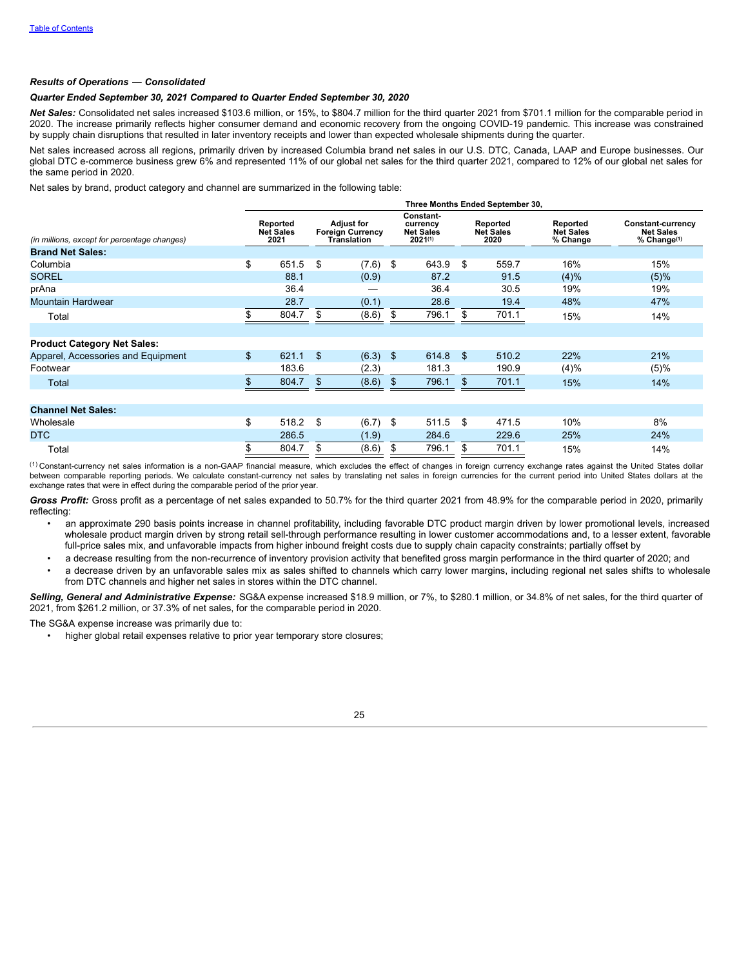#### *Results of Operations* **—** *Consolidated*

#### *Quarter Ended September 30, 2021 Compared to Quarter Ended September 30, 2020*

*Net Sales:* Consolidated net sales increased \$103.6 million, or 15%, to \$804.7 million for the third quarter 2021 from \$701.1 million for the comparable period in 2020. The increase primarily reflects higher consumer demand and economic recovery from the ongoing COVID-19 pandemic. This increase was constrained by supply chain disruptions that resulted in later inventory receipts and lower than expected wholesale shipments during the quarter.

Net sales increased across all regions, primarily driven by increased Columbia brand net sales in our U.S. DTC, Canada, LAAP and Europe businesses. Our global DTC e-commerce business grew 6% and represented 11% of our global net sales for the third quarter 2021, compared to 12% of our global net sales for the same period in 2020.

Net sales by brand, product category and channel are summarized in the following table:

|                                              | Three Months Ended September 30, |                                      |    |                                                                    |      |                                                      |    |                                      |                                          |                                                                  |  |
|----------------------------------------------|----------------------------------|--------------------------------------|----|--------------------------------------------------------------------|------|------------------------------------------------------|----|--------------------------------------|------------------------------------------|------------------------------------------------------------------|--|
| (in millions, except for percentage changes) |                                  | Reported<br><b>Net Sales</b><br>2021 |    | <b>Adjust for</b><br><b>Foreign Currency</b><br><b>Translation</b> |      | Constant-<br>currency<br><b>Net Sales</b><br>2021(1) |    | Reported<br><b>Net Sales</b><br>2020 | Reported<br><b>Net Sales</b><br>% Change | Constant-currency<br><b>Net Sales</b><br>% Change <sup>(1)</sup> |  |
| <b>Brand Net Sales:</b>                      |                                  |                                      |    |                                                                    |      |                                                      |    |                                      |                                          |                                                                  |  |
| Columbia                                     | \$                               | 651.5                                | \$ | (7.6)                                                              | - \$ | 643.9                                                | \$ | 559.7                                | 16%                                      | 15%                                                              |  |
| <b>SOREL</b>                                 |                                  | 88.1                                 |    | (0.9)                                                              |      | 87.2                                                 |    | 91.5                                 | (4)%                                     | (5)%                                                             |  |
| prAna                                        |                                  | 36.4                                 |    |                                                                    |      | 36.4                                                 |    | 30.5                                 | 19%                                      | 19%                                                              |  |
| <b>Mountain Hardwear</b>                     |                                  | 28.7                                 |    | (0.1)                                                              |      | 28.6                                                 |    | 19.4                                 | 48%                                      | 47%                                                              |  |
| Total                                        |                                  | 804.7                                | \$ | (8.6)                                                              | S    | 796.1                                                | S  | 701.1                                | 15%                                      | 14%                                                              |  |
|                                              |                                  |                                      |    |                                                                    |      |                                                      |    |                                      |                                          |                                                                  |  |
| <b>Product Category Net Sales:</b>           |                                  |                                      |    |                                                                    |      |                                                      |    |                                      |                                          |                                                                  |  |
| Apparel, Accessories and Equipment           | \$                               | 621.1                                | \$ | $(6.3)$ \$                                                         |      | 614.8                                                | \$ | 510.2                                | 22%                                      | 21%                                                              |  |
| Footwear                                     |                                  | 183.6                                |    | (2.3)                                                              |      | 181.3                                                |    | 190.9                                | (4)%                                     | (5)%                                                             |  |
| Total                                        | \$.                              | 804.7                                | \$ | (8.6)                                                              | \$   | 796.1                                                | \$ | 701.1                                | 15%                                      | 14%                                                              |  |
|                                              |                                  |                                      |    |                                                                    |      |                                                      |    |                                      |                                          |                                                                  |  |
| <b>Channel Net Sales:</b>                    |                                  |                                      |    |                                                                    |      |                                                      |    |                                      |                                          |                                                                  |  |
| Wholesale                                    | \$                               | 518.2                                | \$ | (6.7)                                                              | \$   | 511.5                                                | \$ | 471.5                                | 10%                                      | 8%                                                               |  |
| <b>DTC</b>                                   |                                  | 286.5                                |    | (1.9)                                                              |      | 284.6                                                |    | 229.6                                | 25%                                      | 24%                                                              |  |
| Total                                        | \$                               | 804.7                                | \$ | (8.6)                                                              | S    | 796.1                                                | \$ | 701.1                                | 15%                                      | 14%                                                              |  |

 $^{(1)}$ Constant-currency net sales information is a non-GAAP financial measure, which excludes the effect of changes in foreign currency exchange rates against the United States dollar between comparable reporting periods. We calculate constant-currency net sales by translating net sales in foreign currencies for the current period into United States dollars at the exchange rates that were in effect during the comparable period of the prior year.

*Gross Profit:* Gross profit as a percentage of net sales expanded to 50.7% for the third quarter 2021 from 48.9% for the comparable period in 2020, primarily reflecting:

- an approximate 290 basis points increase in channel profitability, including favorable DTC product margin driven by lower promotional levels, increased wholesale product margin driven by strong retail sell-through performance resulting in lower customer accommodations and, to a lesser extent, favorable full-price sales mix, and unfavorable impacts from higher inbound freight costs due to supply chain capacity constraints; partially offset by
- a decrease resulting from the non-recurrence of inventory provision activity that benefited gross margin performance in the third quarter of 2020; and a decrease driven by an unfavorable sales mix as sales shifted to channels which carry lower margins, including regional net sales shifts to wholesale from DTC channels and higher net sales in stores within the DTC channel.

*Selling, General and Administrative Expense:* SG&A expense increased \$18.9 million, or 7%, to \$280.1 million, or 34.8% of net sales, for the third quarter of 2021, from \$261.2 million, or 37.3% of net sales, for the comparable period in 2020.

The SG&A expense increase was primarily due to:

• higher global retail expenses relative to prior year temporary store closures;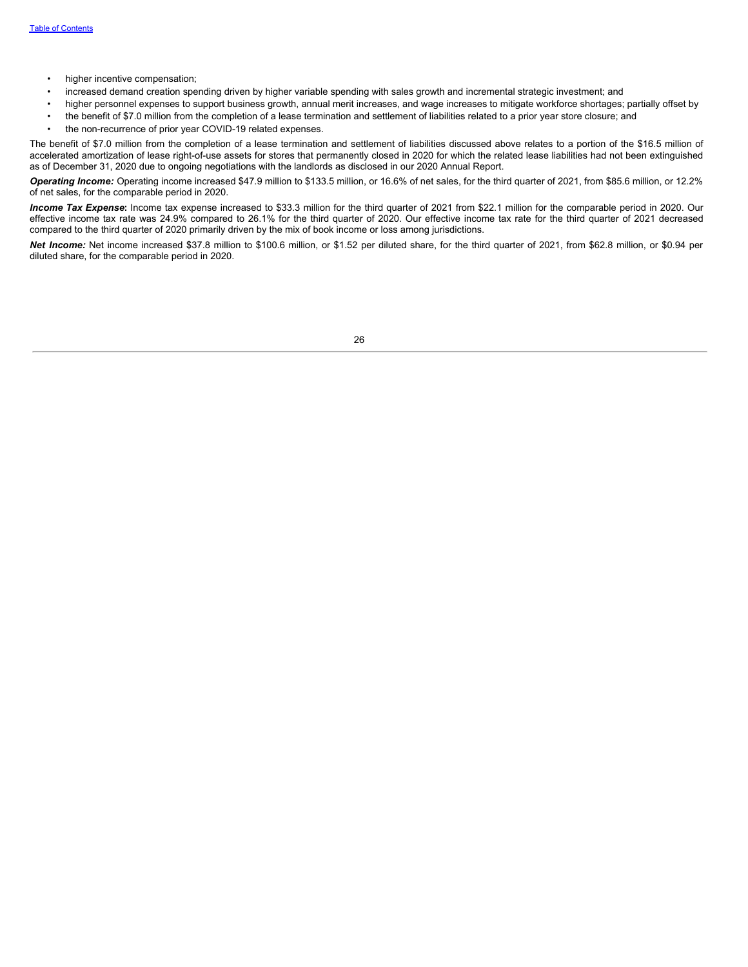- higher incentive compensation;
- increased demand creation spending driven by higher variable spending with sales growth and incremental strategic investment; and
- higher personnel expenses to support business growth, annual merit increases, and wage increases to mitigate workforce shortages; partially offset by
- the benefit of \$7.0 million from the completion of a lease termination and settlement of liabilities related to a prior year store closure; and
- the non-recurrence of prior year COVID-19 related expenses.

The benefit of \$7.0 million from the completion of a lease termination and settlement of liabilities discussed above relates to a portion of the \$16.5 million of accelerated amortization of lease right-of-use assets for stores that permanently closed in 2020 for which the related lease liabilities had not been extinguished as of December 31, 2020 due to ongoing negotiations with the landlords as disclosed in our 2020 Annual Report.

*Operating Income:* Operating income increased \$47.9 million to \$133.5 million, or 16.6% of net sales, for the third quarter of 2021, from \$85.6 million, or 12.2% of net sales, for the comparable period in 2020.

*Income Tax Expense***:** Income tax expense increased to \$33.3 million for the third quarter of 2021 from \$22.1 million for the comparable period in 2020. Our effective income tax rate was 24.9% compared to 26.1% for the third quarter of 2020. Our effective income tax rate for the third quarter of 2021 decreased compared to the third quarter of 2020 primarily driven by the mix of book income or loss among jurisdictions.

*Net Income:* Net income increased \$37.8 million to \$100.6 million, or \$1.52 per diluted share, for the third quarter of 2021, from \$62.8 million, or \$0.94 per diluted share, for the comparable period in 2020.

| I<br>٦<br>×<br>M. |
|-------------------|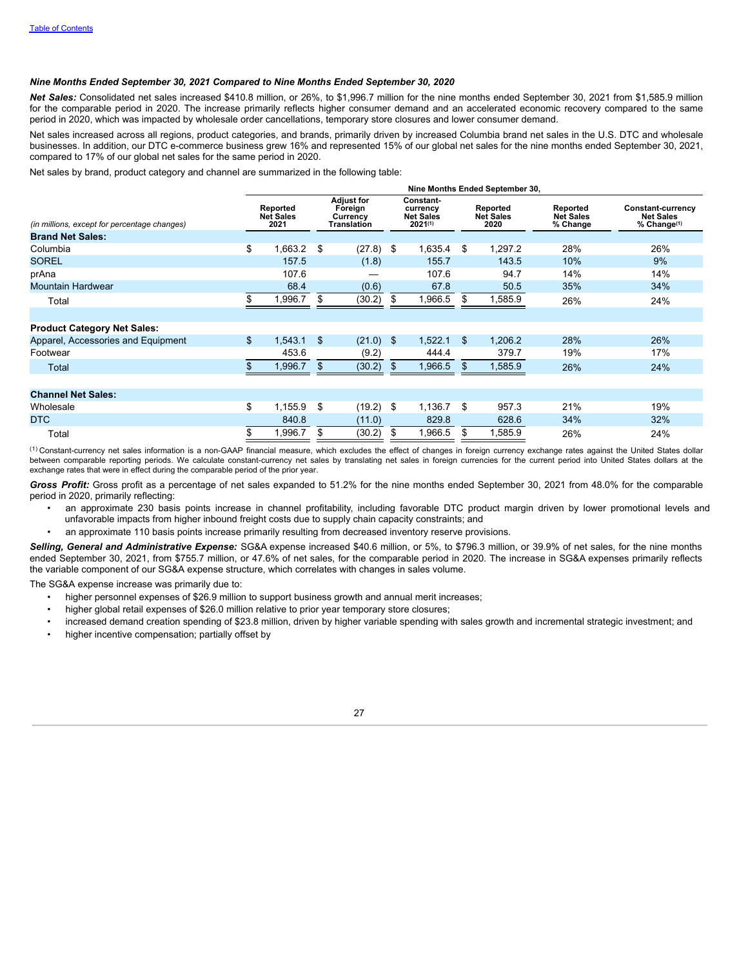#### *Nine Months Ended September 30, 2021 Compared to Nine Months Ended September 30, 2020*

*Net Sales:* Consolidated net sales increased \$410.8 million, or 26%, to \$1,996.7 million for the nine months ended September 30, 2021 from \$1,585.9 million for the comparable period in 2020. The increase primarily reflects higher consumer demand and an accelerated economic recovery compared to the same period in 2020, which was impacted by wholesale order cancellations, temporary store closures and lower consumer demand.

Net sales increased across all regions, product categories, and brands, primarily driven by increased Columbia brand net sales in the U.S. DTC and wholesale businesses. In addition, our DTC e-commerce business grew 16% and represented 15% of our global net sales for the nine months ended September 30, 2021, compared to 17% of our global net sales for the same period in 2020.

Net sales by brand, product category and channel are summarized in the following table:

|                                              |                | Nine Months Ended September 30,      |                                                                |        |                                                      |         |                                      |         |                                          |                                                                         |  |  |
|----------------------------------------------|----------------|--------------------------------------|----------------------------------------------------------------|--------|------------------------------------------------------|---------|--------------------------------------|---------|------------------------------------------|-------------------------------------------------------------------------|--|--|
| (in millions, except for percentage changes) |                | Reported<br><b>Net Sales</b><br>2021 | <b>Adjust for</b><br>Foreign<br>Currency<br><b>Translation</b> |        | Constant-<br>currency<br><b>Net Sales</b><br>2021(1) |         | Reported<br><b>Net Sales</b><br>2020 |         | Reported<br><b>Net Sales</b><br>% Change | <b>Constant-currency</b><br><b>Net Sales</b><br>% Change <sup>(1)</sup> |  |  |
| <b>Brand Net Sales:</b>                      |                |                                      |                                                                |        |                                                      |         |                                      |         |                                          |                                                                         |  |  |
| Columbia                                     | \$             | 1,663.2                              | \$                                                             | (27.8) | \$                                                   | 1,635.4 | \$                                   | 1,297.2 | 28%                                      | 26%                                                                     |  |  |
| <b>SOREL</b>                                 |                | 157.5                                |                                                                | (1.8)  |                                                      | 155.7   |                                      | 143.5   | 10%                                      | 9%                                                                      |  |  |
| prAna                                        |                | 107.6                                |                                                                |        |                                                      | 107.6   |                                      | 94.7    | 14%                                      | 14%                                                                     |  |  |
| <b>Mountain Hardwear</b>                     |                | 68.4                                 |                                                                | (0.6)  |                                                      | 67.8    |                                      | 50.5    | 35%                                      | 34%                                                                     |  |  |
| Total                                        |                | 1,996.7                              | \$                                                             | (30.2) | \$                                                   | 1,966.5 | S                                    | 1,585.9 | 26%                                      | 24%                                                                     |  |  |
| <b>Product Category Net Sales:</b>           |                |                                      |                                                                |        |                                                      |         |                                      |         |                                          |                                                                         |  |  |
| Apparel, Accessories and Equipment           | $\mathfrak{S}$ | 1,543.1                              | \$                                                             | (21.0) | \$                                                   | 1,522.1 | \$                                   | 1,206.2 | 28%                                      | 26%                                                                     |  |  |
| Footwear                                     |                | 453.6                                |                                                                | (9.2)  |                                                      | 444.4   |                                      | 379.7   | 19%                                      | 17%                                                                     |  |  |
| Total                                        | \$             | .996.7                               | \$                                                             | (30.2) | \$                                                   | ,966.5  | \$                                   | 1,585.9 | 26%                                      | 24%                                                                     |  |  |
|                                              |                |                                      |                                                                |        |                                                      |         |                                      |         |                                          |                                                                         |  |  |
| <b>Channel Net Sales:</b>                    |                |                                      |                                                                |        |                                                      |         |                                      |         |                                          |                                                                         |  |  |
| Wholesale                                    | \$             | 1,155.9                              | \$                                                             | (19.2) | \$                                                   | 1.136.7 | \$                                   | 957.3   | 21%                                      | 19%                                                                     |  |  |
| <b>DTC</b>                                   |                | 840.8                                |                                                                | (11.0) |                                                      | 829.8   |                                      | 628.6   | 34%                                      | 32%                                                                     |  |  |
| Total                                        | \$.            | 1,996.7                              | S                                                              | (30.2) | S                                                    | 1,966.5 |                                      | 1,585.9 | 26%                                      | 24%                                                                     |  |  |

 $(1)$  Constant-currency net sales information is a non-GAAP financial measure, which excludes the effect of changes in foreign currency exchange rates against the United States dollar between comparable reporting periods. We calculate constant-currency net sales by translating net sales in foreign currencies for the current period into United States dollars at the exchange rates that were in effect during the comparable period of the prior year.

*Gross Profit:* Gross profit as a percentage of net sales expanded to 51.2% for the nine months ended September 30, 2021 from 48.0% for the comparable period in 2020, primarily reflecting:

- an approximate 230 basis points increase in channel profitability, including favorable DTC product margin driven by lower promotional levels and unfavorable impacts from higher inbound freight costs due to supply chain capacity constraints; and
- an approximate 110 basis points increase primarily resulting from decreased inventory reserve provisions.

*Selling, General and Administrative Expense:* SG&A expense increased \$40.6 million, or 5%, to \$796.3 million, or 39.9% of net sales, for the nine months ended September 30, 2021, from \$755.7 million, or 47.6% of net sales, for the comparable period in 2020. The increase in SG&A expenses primarily reflects the variable component of our SG&A expense structure, which correlates with changes in sales volume.

The SG&A expense increase was primarily due to:

- higher personnel expenses of \$26.9 million to support business growth and annual merit increases;
- higher global retail expenses of \$26.0 million relative to prior year temporary store closures;
- increased demand creation spending of \$23.8 million, driven by higher variable spending with sales growth and incremental strategic investment; and
- higher incentive compensation; partially offset by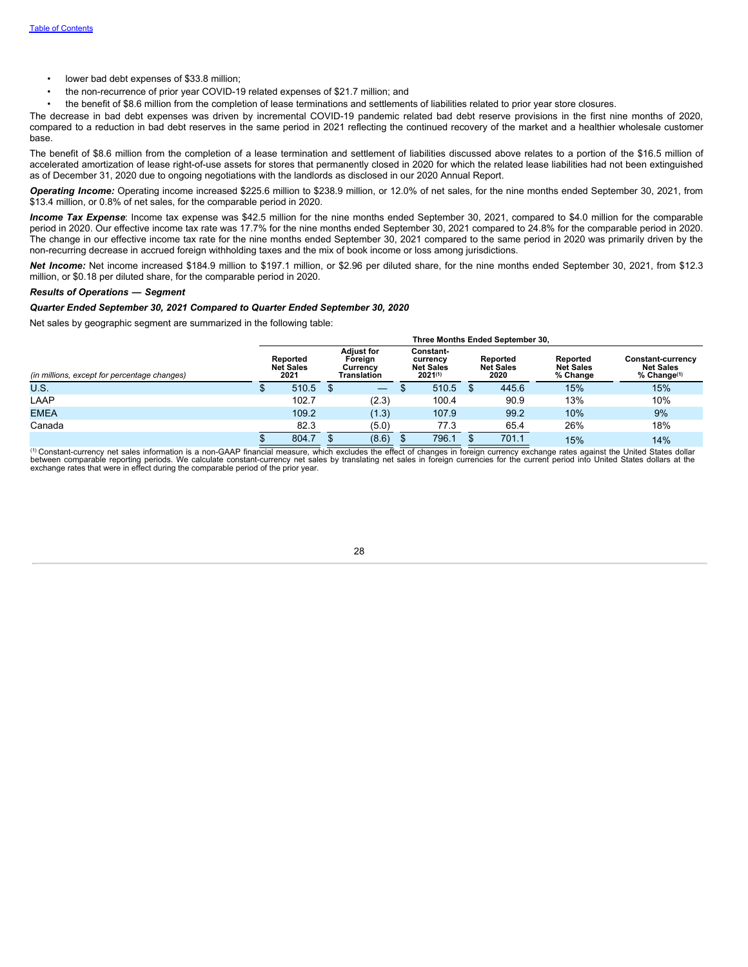- lower bad debt expenses of \$33.8 million;
- the non-recurrence of prior year COVID-19 related expenses of \$21.7 million; and
- the benefit of \$8.6 million from the completion of lease terminations and settlements of liabilities related to prior year store closures.

The decrease in bad debt expenses was driven by incremental COVID-19 pandemic related bad debt reserve provisions in the first nine months of 2020, compared to a reduction in bad debt reserves in the same period in 2021 reflecting the continued recovery of the market and a healthier wholesale customer base.

The benefit of \$8.6 million from the completion of a lease termination and settlement of liabilities discussed above relates to a portion of the \$16.5 million of accelerated amortization of lease right-of-use assets for stores that permanently closed in 2020 for which the related lease liabilities had not been extinguished as of December 31, 2020 due to ongoing negotiations with the landlords as disclosed in our 2020 Annual Report.

*Operating Income:* Operating income increased \$225.6 million to \$238.9 million, or 12.0% of net sales, for the nine months ended September 30, 2021, from \$13.4 million, or 0.8% of net sales, for the comparable period in 2020.

*Income Tax Expense*: Income tax expense was \$42.5 million for the nine months ended September 30, 2021, compared to \$4.0 million for the comparable period in 2020. Our effective income tax rate was 17.7% for the nine months ended September 30, 2021 compared to 24.8% for the comparable period in 2020. The change in our effective income tax rate for the nine months ended September 30, 2021 compared to the same period in 2020 was primarily driven by the non-recurring decrease in accrued foreign withholding taxes and the mix of book income or loss among jurisdictions.

*Net Income:* Net income increased \$184.9 million to \$197.1 million, or \$2.96 per diluted share, for the nine months ended September 30, 2021, from \$12.3 million, or \$0.18 per diluted share, for the comparable period in 2020.

#### *Results of Operations* **—** *Segment*

### *Quarter Ended September 30, 2021 Compared to Quarter Ended September 30, 2020*

Net sales by geographic segment are summarized in the following table:

| Three Months Ended September 30.             |                                      |       |  |                                                         |                                                           |       |                                      |       |                                          |                                                                  |  |
|----------------------------------------------|--------------------------------------|-------|--|---------------------------------------------------------|-----------------------------------------------------------|-------|--------------------------------------|-------|------------------------------------------|------------------------------------------------------------------|--|
| (in millions, except for percentage changes) | Reported<br><b>Net Sales</b><br>2021 |       |  | <b>Adjust for</b><br>Foreign<br>Currency<br>Translation | Constant-<br>currency<br><b>Net Sales</b><br>$2021^{(1)}$ |       | Reported<br><b>Net Sales</b><br>2020 |       | Reported<br><b>Net Sales</b><br>% Change | <b>Constant-currency</b><br><b>Net Sales</b><br>$%$ Change $(1)$ |  |
| <b>U.S.</b>                                  |                                      | 510.5 |  |                                                         |                                                           | 510.5 |                                      | 445.6 | 15%                                      | 15%                                                              |  |
| LAAP                                         |                                      | 102.7 |  | (2.3)                                                   |                                                           | 100.4 |                                      | 90.9  | 13%                                      | 10%                                                              |  |
| <b>EMEA</b>                                  |                                      | 109.2 |  | (1.3)                                                   |                                                           | 107.9 |                                      | 99.2  | 10%                                      | 9%                                                               |  |
| Canada                                       |                                      | 82.3  |  | (5.0)                                                   |                                                           | 77.3  |                                      | 65.4  | 26%                                      | 18%                                                              |  |
|                                              |                                      | 804.7 |  | (8.6)                                                   |                                                           | 796.1 |                                      | 701.1 | 15%                                      | 14%                                                              |  |

□ Constant-currency net sales information is a non-GAAP financial measure, which excludes the effect of changes in foreign currency exchange rates against the United States dollar<br>between comparable reporting periods. We (1)

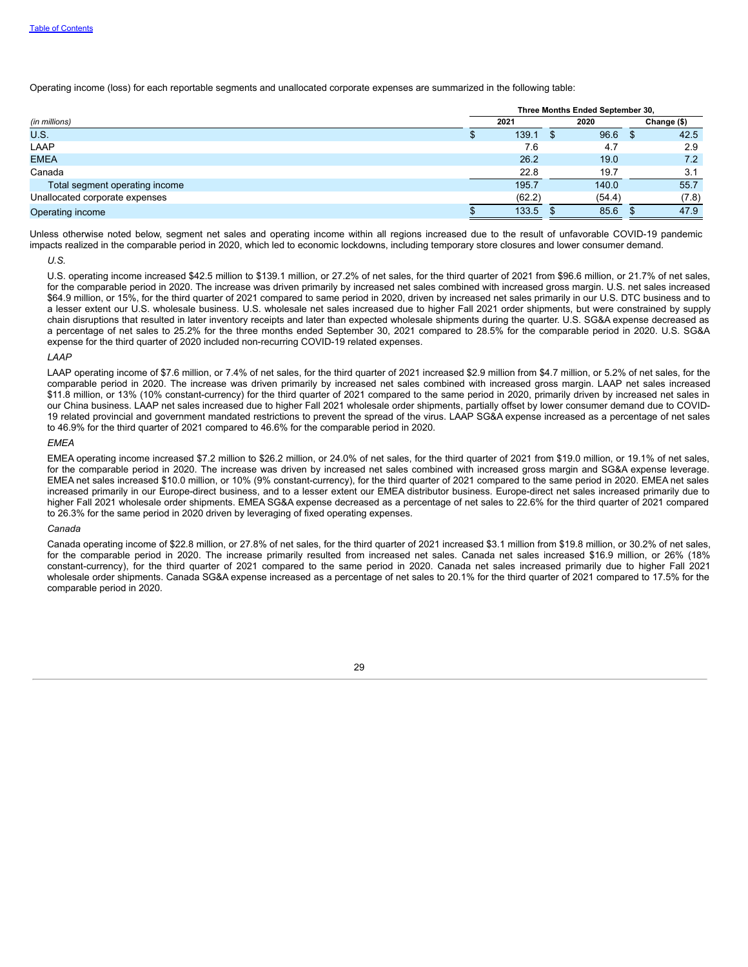Operating income (loss) for each reportable segments and unallocated corporate expenses are summarized in the following table:

|                                | Three Months Ended September 30, |        |   |        |  |             |
|--------------------------------|----------------------------------|--------|---|--------|--|-------------|
| (in millions)                  |                                  | 2021   |   | 2020   |  | Change (\$) |
| U.S.                           |                                  | 139.1  | æ | 96.6   |  | 42.5        |
| LAAP                           |                                  | 7.6    |   | 4.7    |  | 2.9         |
| <b>EMEA</b>                    |                                  | 26.2   |   | 19.0   |  | 7.2         |
| Canada                         |                                  | 22.8   |   | 19.7   |  | 3.1         |
| Total segment operating income |                                  | 195.7  |   | 140.0  |  | 55.7        |
| Unallocated corporate expenses |                                  | (62.2) |   | (54.4) |  | (7.8)       |
| Operating income               |                                  | 133.5  |   | 85.6   |  | 47.9        |

Unless otherwise noted below, segment net sales and operating income within all regions increased due to the result of unfavorable COVID-19 pandemic impacts realized in the comparable period in 2020, which led to economic lockdowns, including temporary store closures and lower consumer demand.

*U.S.*

U.S. operating income increased \$42.5 million to \$139.1 million, or 27.2% of net sales, for the third quarter of 2021 from \$96.6 million, or 21.7% of net sales, for the comparable period in 2020. The increase was driven primarily by increased net sales combined with increased gross margin. U.S. net sales increased \$64.9 million, or 15%, for the third quarter of 2021 compared to same period in 2020, driven by increased net sales primarily in our U.S. DTC business and to a lesser extent our U.S. wholesale business. U.S. wholesale net sales increased due to higher Fall 2021 order shipments, but were constrained by supply chain disruptions that resulted in later inventory receipts and later than expected wholesale shipments during the quarter. U.S. SG&A expense decreased as a percentage of net sales to 25.2% for the three months ended September 30, 2021 compared to 28.5% for the comparable period in 2020. U.S. SG&A expense for the third quarter of 2020 included non-recurring COVID-19 related expenses.

#### *LAAP*

LAAP operating income of \$7.6 million, or 7.4% of net sales, for the third quarter of 2021 increased \$2.9 million from \$4.7 million, or 5.2% of net sales, for the comparable period in 2020. The increase was driven primarily by increased net sales combined with increased gross margin. LAAP net sales increased \$11.8 million, or 13% (10% constant-currency) for the third quarter of 2021 compared to the same period in 2020, primarily driven by increased net sales in our China business. LAAP net sales increased due to higher Fall 2021 wholesale order shipments, partially offset by lower consumer demand due to COVID-19 related provincial and government mandated restrictions to prevent the spread of the virus. LAAP SG&A expense increased as a percentage of net sales to 46.9% for the third quarter of 2021 compared to 46.6% for the comparable period in 2020.

#### *EMEA*

EMEA operating income increased \$7.2 million to \$26.2 million, or 24.0% of net sales, for the third quarter of 2021 from \$19.0 million, or 19.1% of net sales, for the comparable period in 2020. The increase was driven by increased net sales combined with increased gross margin and SG&A expense leverage. EMEA net sales increased \$10.0 million, or 10% (9% constant-currency), for the third quarter of 2021 compared to the same period in 2020. EMEA net sales increased primarily in our Europe-direct business, and to a lesser extent our EMEA distributor business. Europe-direct net sales increased primarily due to higher Fall 2021 wholesale order shipments. EMEA SG&A expense decreased as a percentage of net sales to 22.6% for the third quarter of 2021 compared to 26.3% for the same period in 2020 driven by leveraging of fixed operating expenses.

#### *Canada*

Canada operating income of \$22.8 million, or 27.8% of net sales, for the third quarter of 2021 increased \$3.1 million from \$19.8 million, or 30.2% of net sales, for the comparable period in 2020. The increase primarily resulted from increased net sales. Canada net sales increased \$16.9 million, or 26% (18% constant-currency), for the third quarter of 2021 compared to the same period in 2020. Canada net sales increased primarily due to higher Fall 2021 wholesale order shipments. Canada SG&A expense increased as a percentage of net sales to 20.1% for the third quarter of 2021 compared to 17.5% for the comparable period in 2020.

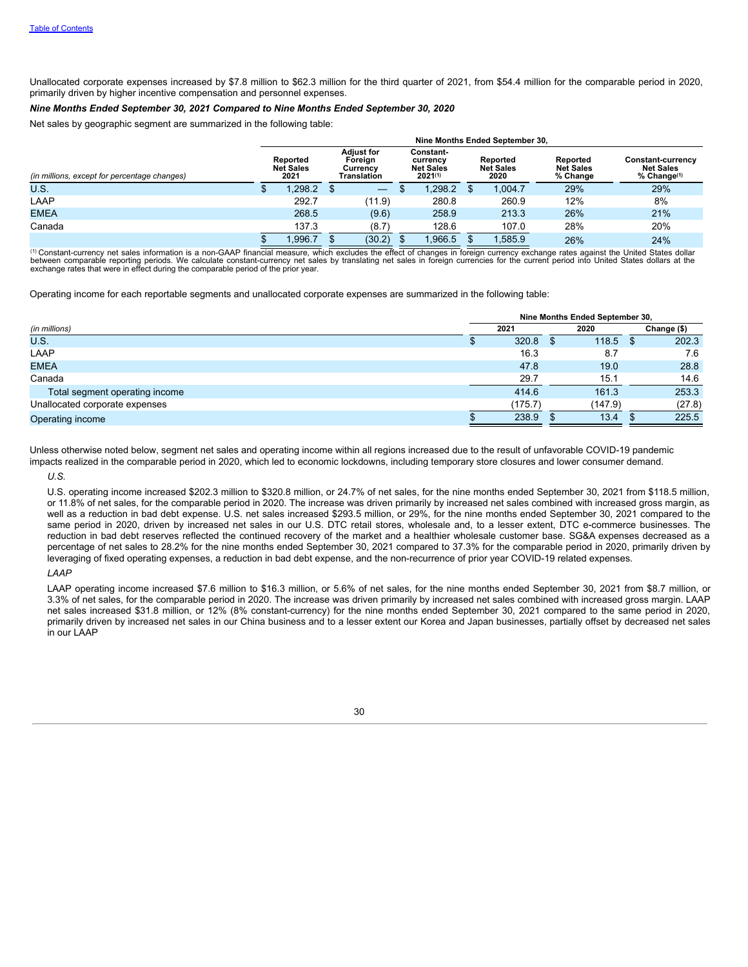Unallocated corporate expenses increased by \$7.8 million to \$62.3 million for the third quarter of 2021, from \$54.4 million for the comparable period in 2020, primarily driven by higher incentive compensation and personnel expenses.

#### *Nine Months Ended September 30, 2021 Compared to Nine Months Ended September 30, 2020*

Net sales by geographic segment are summarized in the following table:

|                                              | Nine Months Ended September 30, |                                      |  |                                                         |                                                           |        |                                      |         |                                          |                                                           |  |
|----------------------------------------------|---------------------------------|--------------------------------------|--|---------------------------------------------------------|-----------------------------------------------------------|--------|--------------------------------------|---------|------------------------------------------|-----------------------------------------------------------|--|
| (in millions, except for percentage changes) |                                 | Reported<br><b>Net Sales</b><br>2021 |  | <b>Adiust for</b><br>Foreign<br>Currency<br>Translation | Constant-<br>currency<br><b>Net Sales</b><br>$2021^{(1)}$ |        | Reported<br><b>Net Sales</b><br>2020 |         | Reported<br><b>Net Sales</b><br>% Change | Constant-currency<br><b>Net Sales</b><br>$%$ Change $(1)$ |  |
| U.S.                                         |                                 | 1.298.2                              |  | $\overline{\phantom{m}}$                                |                                                           | .298.2 |                                      | 1.004.7 | 29%                                      | 29%                                                       |  |
| LAAP                                         |                                 | 292.7                                |  | (11.9)                                                  |                                                           | 280.8  |                                      | 260.9   | 12%                                      | 8%                                                        |  |
| <b>EMEA</b>                                  |                                 | 268.5                                |  | (9.6)                                                   |                                                           | 258.9  |                                      | 213.3   | 26%                                      | 21%                                                       |  |
| Canada                                       |                                 | 137.3                                |  | (8.7)                                                   |                                                           | 128.6  |                                      | 107.0   | 28%                                      | 20%                                                       |  |
|                                              |                                 | 1.996.7                              |  | (30.2)                                                  |                                                           | .966.5 |                                      | 1,585.9 | 26%                                      | 24%                                                       |  |

 $\sigma^{(1)}$  Constant-currency net sales information is a non-GAAP financial measure, which excludes the effect of changes in foreign currency exchange rates against the United States dollar between comparable reporting periods. We calculate constant-currency net sales by translating net sales in foreign currencies for the current period into United States dollars at the<br>exchange rates that were in effect duri

Operating income for each reportable segments and unallocated corporate expenses are summarized in the following table:

|                                | Nine Months Ended September 30, |         |  |         |  |             |
|--------------------------------|---------------------------------|---------|--|---------|--|-------------|
| (in millions)                  |                                 | 2021    |  | 2020    |  | Change (\$) |
| U.S.                           |                                 | 320.8   |  | 118.5   |  | 202.3       |
| LAAP                           |                                 | 16.3    |  | 8.7     |  | 7.6         |
| <b>EMEA</b>                    |                                 | 47.8    |  | 19.0    |  | 28.8        |
| Canada                         |                                 | 29.7    |  | 15.1    |  | 14.6        |
| Total segment operating income |                                 | 414.6   |  | 161.3   |  | 253.3       |
| Unallocated corporate expenses |                                 | (175.7) |  | (147.9) |  | (27.8)      |
| Operating income               |                                 | 238.9   |  | 13.4    |  | 225.5       |

Unless otherwise noted below, segment net sales and operating income within all regions increased due to the result of unfavorable COVID-19 pandemic impacts realized in the comparable period in 2020, which led to economic lockdowns, including temporary store closures and lower consumer demand. *U.S.*

U.S. operating income increased \$202.3 million to \$320.8 million, or 24.7% of net sales, for the nine months ended September 30, 2021 from \$118.5 million, or 11.8% of net sales, for the comparable period in 2020. The increase was driven primarily by increased net sales combined with increased gross margin, as well as a reduction in bad debt expense. U.S. net sales increased \$293.5 million, or 29%, for the nine months ended September 30, 2021 compared to the same period in 2020, driven by increased net sales in our U.S. DTC retail stores, wholesale and, to a lesser extent, DTC e-commerce businesses. The reduction in bad debt reserves reflected the continued recovery of the market and a healthier wholesale customer base. SG&A expenses decreased as a percentage of net sales to 28.2% for the nine months ended September 30, 2021 compared to 37.3% for the comparable period in 2020, primarily driven by leveraging of fixed operating expenses, a reduction in bad debt expense, and the non-recurrence of prior year COVID-19 related expenses.

*LAAP*

LAAP operating income increased \$7.6 million to \$16.3 million, or 5.6% of net sales, for the nine months ended September 30, 2021 from \$8.7 million, or 3.3% of net sales, for the comparable period in 2020. The increase was driven primarily by increased net sales combined with increased gross margin. LAAP net sales increased \$31.8 million, or 12% (8% constant-currency) for the nine months ended September 30, 2021 compared to the same period in 2020, primarily driven by increased net sales in our China business and to a lesser extent our Korea and Japan businesses, partially offset by decreased net sales in our LAAP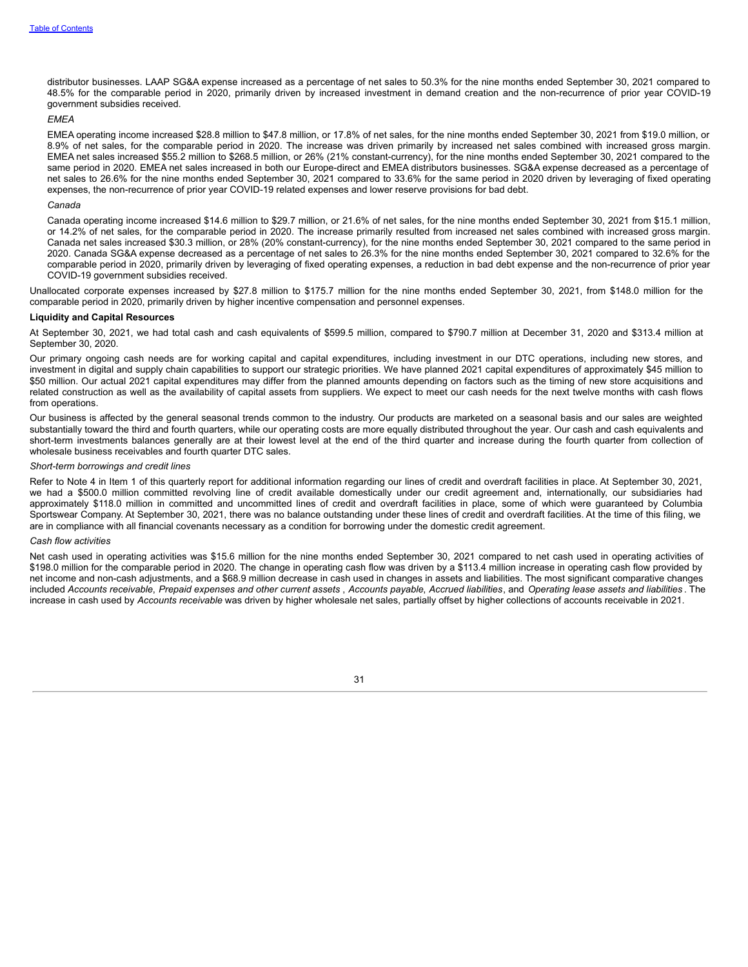distributor businesses. LAAP SG&A expense increased as a percentage of net sales to 50.3% for the nine months ended September 30, 2021 compared to 48.5% for the comparable period in 2020, primarily driven by increased investment in demand creation and the non-recurrence of prior year COVID-19 government subsidies received.

### *EMEA*

EMEA operating income increased \$28.8 million to \$47.8 million, or 17.8% of net sales, for the nine months ended September 30, 2021 from \$19.0 million, or 8.9% of net sales, for the comparable period in 2020. The increase was driven primarily by increased net sales combined with increased gross margin. EMEA net sales increased \$55.2 million to \$268.5 million, or 26% (21% constant-currency), for the nine months ended September 30, 2021 compared to the same period in 2020. EMEA net sales increased in both our Europe-direct and EMEA distributors businesses. SG&A expense decreased as a percentage of net sales to 26.6% for the nine months ended September 30, 2021 compared to 33.6% for the same period in 2020 driven by leveraging of fixed operating expenses, the non-recurrence of prior year COVID-19 related expenses and lower reserve provisions for bad debt.

#### *Canada*

Canada operating income increased \$14.6 million to \$29.7 million, or 21.6% of net sales, for the nine months ended September 30, 2021 from \$15.1 million, or 14.2% of net sales, for the comparable period in 2020. The increase primarily resulted from increased net sales combined with increased gross margin. Canada net sales increased \$30.3 million, or 28% (20% constant-currency), for the nine months ended September 30, 2021 compared to the same period in 2020. Canada SG&A expense decreased as a percentage of net sales to 26.3% for the nine months ended September 30, 2021 compared to 32.6% for the comparable period in 2020, primarily driven by leveraging of fixed operating expenses, a reduction in bad debt expense and the non-recurrence of prior year COVID-19 government subsidies received.

Unallocated corporate expenses increased by \$27.8 million to \$175.7 million for the nine months ended September 30, 2021, from \$148.0 million for the comparable period in 2020, primarily driven by higher incentive compensation and personnel expenses.

#### **Liquidity and Capital Resources**

At September 30, 2021, we had total cash and cash equivalents of \$599.5 million, compared to \$790.7 million at December 31, 2020 and \$313.4 million at September 30, 2020.

Our primary ongoing cash needs are for working capital and capital expenditures, including investment in our DTC operations, including new stores, and investment in digital and supply chain capabilities to support our strategic priorities. We have planned 2021 capital expenditures of approximately \$45 million to \$50 million. Our actual 2021 capital expenditures may differ from the planned amounts depending on factors such as the timing of new store acquisitions and related construction as well as the availability of capital assets from suppliers. We expect to meet our cash needs for the next twelve months with cash flows from operations.

Our business is affected by the general seasonal trends common to the industry. Our products are marketed on a seasonal basis and our sales are weighted substantially toward the third and fourth quarters, while our operating costs are more equally distributed throughout the year. Our cash and cash equivalents and short-term investments balances generally are at their lowest level at the end of the third quarter and increase during the fourth quarter from collection of wholesale business receivables and fourth quarter DTC sales.

#### *Short-term borrowings and credit lines*

Refer to Note 4 in Item 1 of this quarterly report for additional information regarding our lines of credit and overdraft facilities in place. At September 30, 2021, we had a \$500.0 million committed revolving line of credit available domestically under our credit agreement and, internationally, our subsidiaries had approximately \$118.0 million in committed and uncommitted lines of credit and overdraft facilities in place, some of which were guaranteed by Columbia Sportswear Company. At September 30, 2021, there was no balance outstanding under these lines of credit and overdraft facilities. At the time of this filing, we are in compliance with all financial covenants necessary as a condition for borrowing under the domestic credit agreement.

#### *Cash flow activities*

Net cash used in operating activities was \$15.6 million for the nine months ended September 30, 2021 compared to net cash used in operating activities of \$198.0 million for the comparable period in 2020. The change in operating cash flow was driven by a \$113.4 million increase in operating cash flow provided by net income and non-cash adjustments, and a \$68.9 million decrease in cash used in changes in assets and liabilities. The most significant comparative changes included Accounts receivable, Prepaid expenses and other current assets, Accounts payable, Accrued liabilities, and Operating lease assets and liabilities. The increase in cash used by *Accounts receivable* was driven by higher wholesale net sales, partially offset by higher collections of accounts receivable in 2021.

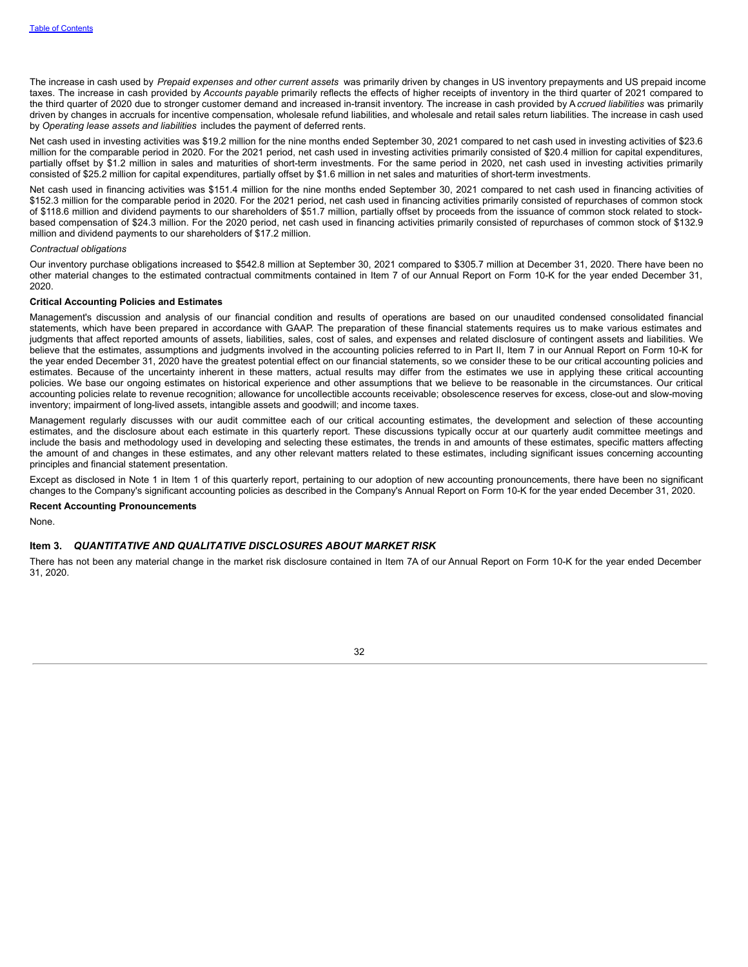The increase in cash used by *Prepaid expenses and other current assets* was primarily driven by changes in US inventory prepayments and US prepaid income taxes. The increase in cash provided by *Accounts payable* primarily reflects the effects of higher receipts of inventory in the third quarter of 2021 compared to the third quarter of 2020 due to stronger customer demand and increased in-transit inventory. The increase in cash provided by A*ccrued liabilities* was primarily driven by changes in accruals for incentive compensation, wholesale refund liabilities, and wholesale and retail sales return liabilities. The increase in cash used by *Operating lease assets and liabilities* includes the payment of deferred rents.

Net cash used in investing activities was \$19.2 million for the nine months ended September 30, 2021 compared to net cash used in investing activities of \$23.6 million for the comparable period in 2020. For the 2021 period, net cash used in investing activities primarily consisted of \$20.4 million for capital expenditures, partially offset by \$1.2 million in sales and maturities of short-term investments. For the same period in 2020, net cash used in investing activities primarily consisted of \$25.2 million for capital expenditures, partially offset by \$1.6 million in net sales and maturities of short-term investments.

Net cash used in financing activities was \$151.4 million for the nine months ended September 30, 2021 compared to net cash used in financing activities of \$152.3 million for the comparable period in 2020. For the 2021 period, net cash used in financing activities primarily consisted of repurchases of common stock of \$118.6 million and dividend payments to our shareholders of \$51.7 million, partially offset by proceeds from the issuance of common stock related to stockbased compensation of \$24.3 million. For the 2020 period, net cash used in financing activities primarily consisted of repurchases of common stock of \$132.9 million and dividend payments to our shareholders of \$17.2 million.

#### *Contractual obligations*

Our inventory purchase obligations increased to \$542.8 million at September 30, 2021 compared to \$305.7 million at December 31, 2020. There have been no other material changes to the estimated contractual commitments contained in Item 7 of our Annual Report on Form 10-K for the year ended December 31, 2020.

#### **Critical Accounting Policies and Estimates**

Management's discussion and analysis of our financial condition and results of operations are based on our unaudited condensed consolidated financial statements, which have been prepared in accordance with GAAP. The preparation of these financial statements requires us to make various estimates and judgments that affect reported amounts of assets, liabilities, sales, cost of sales, and expenses and related disclosure of contingent assets and liabilities. We believe that the estimates, assumptions and judgments involved in the accounting policies referred to in Part II, Item 7 in our Annual Report on Form 10-K for the year ended December 31, 2020 have the greatest potential effect on our financial statements, so we consider these to be our critical accounting policies and estimates. Because of the uncertainty inherent in these matters, actual results may differ from the estimates we use in applying these critical accounting policies. We base our ongoing estimates on historical experience and other assumptions that we believe to be reasonable in the circumstances. Our critical accounting policies relate to revenue recognition; allowance for uncollectible accounts receivable; obsolescence reserves for excess, close-out and slow-moving inventory; impairment of long-lived assets, intangible assets and goodwill; and income taxes.

Management regularly discusses with our audit committee each of our critical accounting estimates, the development and selection of these accounting estimates, and the disclosure about each estimate in this quarterly report. These discussions typically occur at our quarterly audit committee meetings and include the basis and methodology used in developing and selecting these estimates, the trends in and amounts of these estimates, specific matters affecting the amount of and changes in these estimates, and any other relevant matters related to these estimates, including significant issues concerning accounting principles and financial statement presentation.

Except as disclosed in Note 1 in Item 1 of this quarterly report, pertaining to our adoption of new accounting pronouncements, there have been no significant changes to the Company's significant accounting policies as described in the Company's Annual Report on Form 10-K for the year ended December 31, 2020.

### **Recent Accounting Pronouncements**

<span id="page-33-0"></span>None.

### **Item 3.** *QUANTITATIVE AND QUALITATIVE DISCLOSURES ABOUT MARKET RISK*

<span id="page-33-1"></span>There has not been any material change in the market risk disclosure contained in Item 7A of our Annual Report on Form 10-K for the year ended December 31, 2020.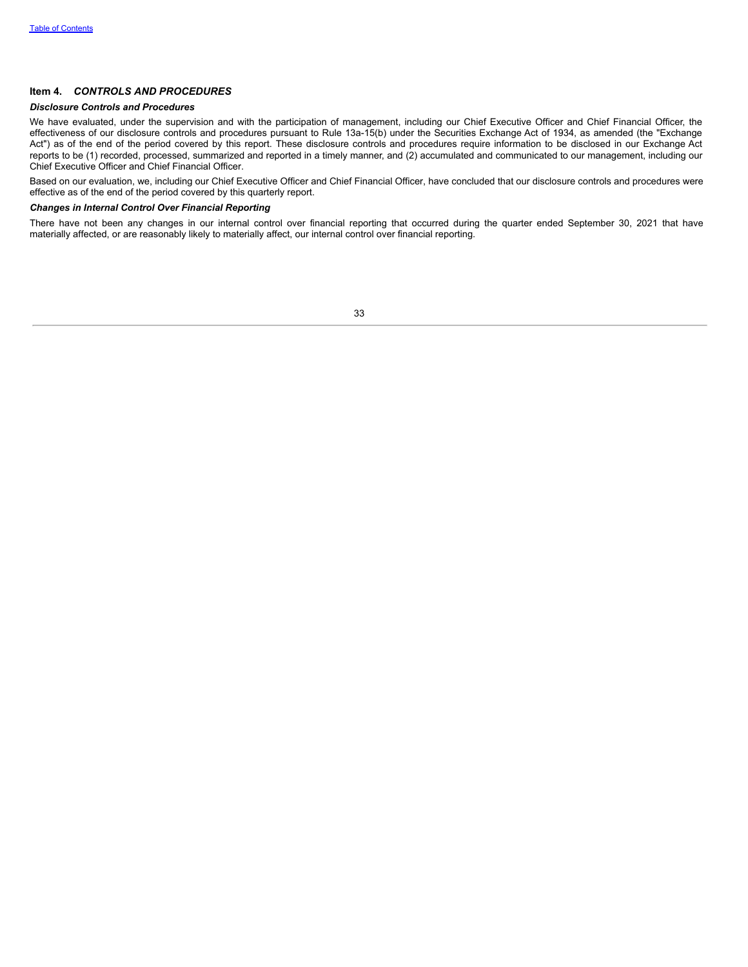## **Item 4.** *CONTROLS AND PROCEDURES*

### *Disclosure Controls and Procedures*

We have evaluated, under the supervision and with the participation of management, including our Chief Executive Officer and Chief Financial Officer, the effectiveness of our disclosure controls and procedures pursuant to Rule 13a-15(b) under the Securities Exchange Act of 1934, as amended (the "Exchange Act") as of the end of the period covered by this report. These disclosure controls and procedures require information to be disclosed in our Exchange Act reports to be (1) recorded, processed, summarized and reported in a timely manner, and (2) accumulated and communicated to our management, including our Chief Executive Officer and Chief Financial Officer.

Based on our evaluation, we, including our Chief Executive Officer and Chief Financial Officer, have concluded that our disclosure controls and procedures were effective as of the end of the period covered by this quarterly report.

### *Changes in Internal Control Over Financial Reporting*

<span id="page-34-0"></span>There have not been any changes in our internal control over financial reporting that occurred during the quarter ended September 30, 2021 that have materially affected, or are reasonably likely to materially affect, our internal control over financial reporting.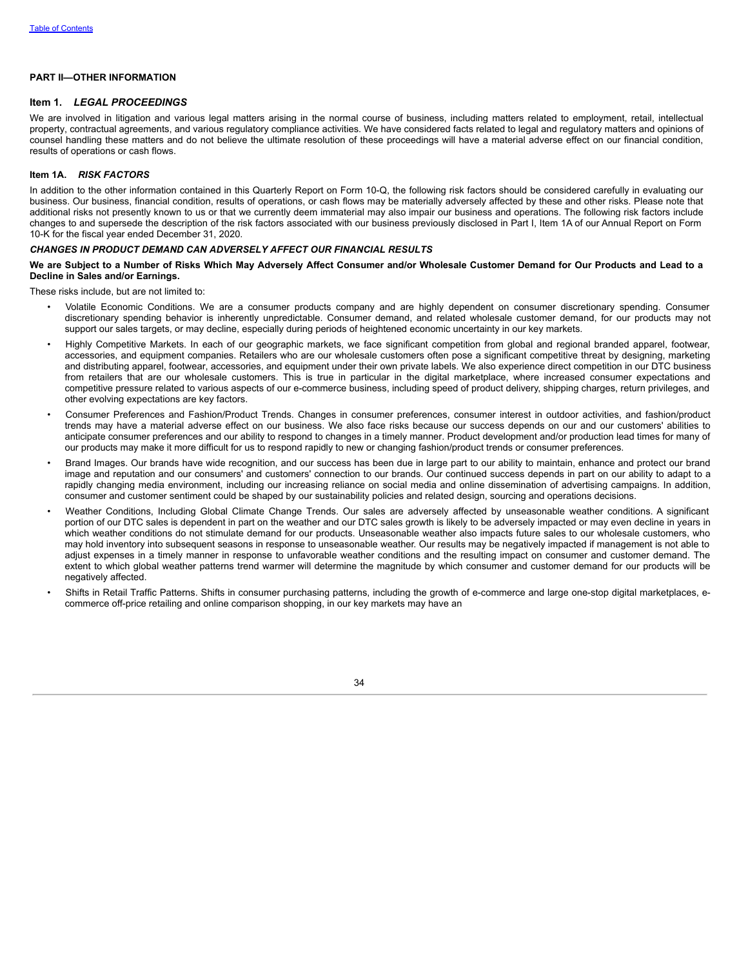#### <span id="page-35-0"></span>**PART II—OTHER INFORMATION**

#### **Item 1.** *LEGAL PROCEEDINGS*

We are involved in litigation and various legal matters arising in the normal course of business, including matters related to employment, retail, intellectual property, contractual agreements, and various regulatory compliance activities. We have considered facts related to legal and regulatory matters and opinions of counsel handling these matters and do not believe the ultimate resolution of these proceedings will have a material adverse effect on our financial condition, results of operations or cash flows.

### <span id="page-35-1"></span>**Item 1A.** *RISK FACTORS*

In addition to the other information contained in this Quarterly Report on Form 10-Q, the following risk factors should be considered carefully in evaluating our business. Our business, financial condition, results of operations, or cash flows may be materially adversely affected by these and other risks. Please note that additional risks not presently known to us or that we currently deem immaterial may also impair our business and operations. The following risk factors include changes to and supersede the description of the risk factors associated with our business previously disclosed in Part I, Item 1A of our Annual Report on Form 10-K for the fiscal year ended December 31, 2020.

### *CHANGES IN PRODUCT DEMAND CAN ADVERSELY AFFECT OUR FINANCIAL RESULTS*

We are Subiect to a Number of Risks Which May Adversely Affect Consumer and/or Wholesale Customer Demand for Our Products and Lead to a **Decline in Sales and/or Earnings.**

These risks include, but are not limited to:

- Volatile Economic Conditions. We are a consumer products company and are highly dependent on consumer discretionary spending. Consumer discretionary spending behavior is inherently unpredictable. Consumer demand, and related wholesale customer demand, for our products may not support our sales targets, or may decline, especially during periods of heightened economic uncertainty in our key markets.
- Highly Competitive Markets. In each of our geographic markets, we face significant competition from global and regional branded apparel, footwear, accessories, and equipment companies. Retailers who are our wholesale customers often pose a significant competitive threat by designing, marketing and distributing apparel, footwear, accessories, and equipment under their own private labels. We also experience direct competition in our DTC business from retailers that are our wholesale customers. This is true in particular in the digital marketplace, where increased consumer expectations and competitive pressure related to various aspects of our e-commerce business, including speed of product delivery, shipping charges, return privileges, and other evolving expectations are key factors.
- Consumer Preferences and Fashion/Product Trends. Changes in consumer preferences, consumer interest in outdoor activities, and fashion/product trends may have a material adverse effect on our business. We also face risks because our success depends on our and our customers' abilities to anticipate consumer preferences and our ability to respond to changes in a timely manner. Product development and/or production lead times for many of our products may make it more difficult for us to respond rapidly to new or changing fashion/product trends or consumer preferences.
- Brand Images. Our brands have wide recognition, and our success has been due in large part to our ability to maintain, enhance and protect our brand image and reputation and our consumers' and customers' connection to our brands. Our continued success depends in part on our ability to adapt to a rapidly changing media environment, including our increasing reliance on social media and online dissemination of advertising campaigns. In addition, consumer and customer sentiment could be shaped by our sustainability policies and related design, sourcing and operations decisions.
- Weather Conditions, Including Global Climate Change Trends. Our sales are adversely affected by unseasonable weather conditions. A significant portion of our DTC sales is dependent in part on the weather and our DTC sales growth is likely to be adversely impacted or may even decline in years in which weather conditions do not stimulate demand for our products. Unseasonable weather also impacts future sales to our wholesale customers, who may hold inventory into subsequent seasons in response to unseasonable weather. Our results may be negatively impacted if management is not able to adjust expenses in a timely manner in response to unfavorable weather conditions and the resulting impact on consumer and customer demand. The extent to which global weather patterns trend warmer will determine the magnitude by which consumer and customer demand for our products will be negatively affected.
- Shifts in Retail Traffic Patterns. Shifts in consumer purchasing patterns, including the growth of e-commerce and large one-stop digital marketplaces, ecommerce off-price retailing and online comparison shopping, in our key markets may have an

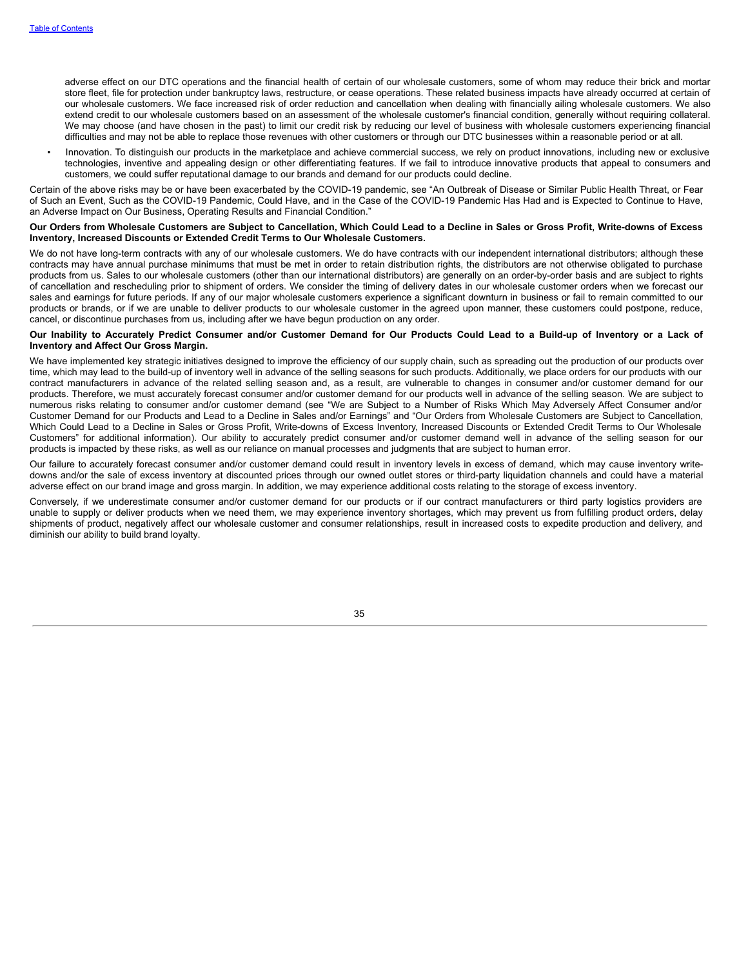adverse effect on our DTC operations and the financial health of certain of our wholesale customers, some of whom may reduce their brick and mortar store fleet, file for protection under bankruptcy laws, restructure, or cease operations. These related business impacts have already occurred at certain of our wholesale customers. We face increased risk of order reduction and cancellation when dealing with financially ailing wholesale customers. We also extend credit to our wholesale customers based on an assessment of the wholesale customer's financial condition, generally without requiring collateral. We may choose (and have chosen in the past) to limit our credit risk by reducing our level of business with wholesale customers experiencing financial difficulties and may not be able to replace those revenues with other customers or through our DTC businesses within a reasonable period or at all.

• Innovation. To distinguish our products in the marketplace and achieve commercial success, we rely on product innovations, including new or exclusive technologies, inventive and appealing design or other differentiating features. If we fail to introduce innovative products that appeal to consumers and customers, we could suffer reputational damage to our brands and demand for our products could decline.

Certain of the above risks may be or have been exacerbated by the COVID-19 pandemic, see "An Outbreak of Disease or Similar Public Health Threat, or Fear of Such an Event, Such as the COVID-19 Pandemic, Could Have, and in the Case of the COVID-19 Pandemic Has Had and is Expected to Continue to Have, an Adverse Impact on Our Business, Operating Results and Financial Condition."

#### Our Orders from Wholesale Customers are Subject to Cancellation, Which Could Lead to a Decline in Sales or Gross Profit, Write-downs of Excess **Inventory, Increased Discounts or Extended Credit Terms to Our Wholesale Customers.**

We do not have long-term contracts with any of our wholesale customers. We do have contracts with our independent international distributors; although these contracts may have annual purchase minimums that must be met in order to retain distribution rights, the distributors are not otherwise obligated to purchase products from us. Sales to our wholesale customers (other than our international distributors) are generally on an order-by-order basis and are subject to rights of cancellation and rescheduling prior to shipment of orders. We consider the timing of delivery dates in our wholesale customer orders when we forecast our sales and earnings for future periods. If any of our major wholesale customers experience a significant downturn in business or fail to remain committed to our products or brands, or if we are unable to deliver products to our wholesale customer in the agreed upon manner, these customers could postpone, reduce, cancel, or discontinue purchases from us, including after we have begun production on any order.

#### Our Inability to Accurately Predict Consumer and/or Customer Demand for Our Products Could Lead to a Build-up of Inventory or a Lack of **Inventory and Affect Our Gross Margin.**

We have implemented key strategic initiatives designed to improve the efficiency of our supply chain, such as spreading out the production of our products over time, which may lead to the build-up of inventory well in advance of the selling seasons for such products. Additionally, we place orders for our products with our contract manufacturers in advance of the related selling season and, as a result, are vulnerable to changes in consumer and/or customer demand for our products. Therefore, we must accurately forecast consumer and/or customer demand for our products well in advance of the selling season. We are subject to numerous risks relating to consumer and/or customer demand (see "We are Subject to a Number of Risks Which May Adversely Affect Consumer and/or Customer Demand for our Products and Lead to a Decline in Sales and/or Earnings" and "Our Orders from Wholesale Customers are Subject to Cancellation, Which Could Lead to a Decline in Sales or Gross Profit, Write-downs of Excess Inventory, Increased Discounts or Extended Credit Terms to Our Wholesale Customers" for additional information). Our ability to accurately predict consumer and/or customer demand well in advance of the selling season for our products is impacted by these risks, as well as our reliance on manual processes and judgments that are subject to human error.

Our failure to accurately forecast consumer and/or customer demand could result in inventory levels in excess of demand, which may cause inventory writedowns and/or the sale of excess inventory at discounted prices through our owned outlet stores or third-party liquidation channels and could have a material adverse effect on our brand image and gross margin. In addition, we may experience additional costs relating to the storage of excess inventory.

Conversely, if we underestimate consumer and/or customer demand for our products or if our contract manufacturers or third party logistics providers are unable to supply or deliver products when we need them, we may experience inventory shortages, which may prevent us from fulfilling product orders, delay shipments of product, negatively affect our wholesale customer and consumer relationships, result in increased costs to expedite production and delivery, and diminish our ability to build brand loyalty.

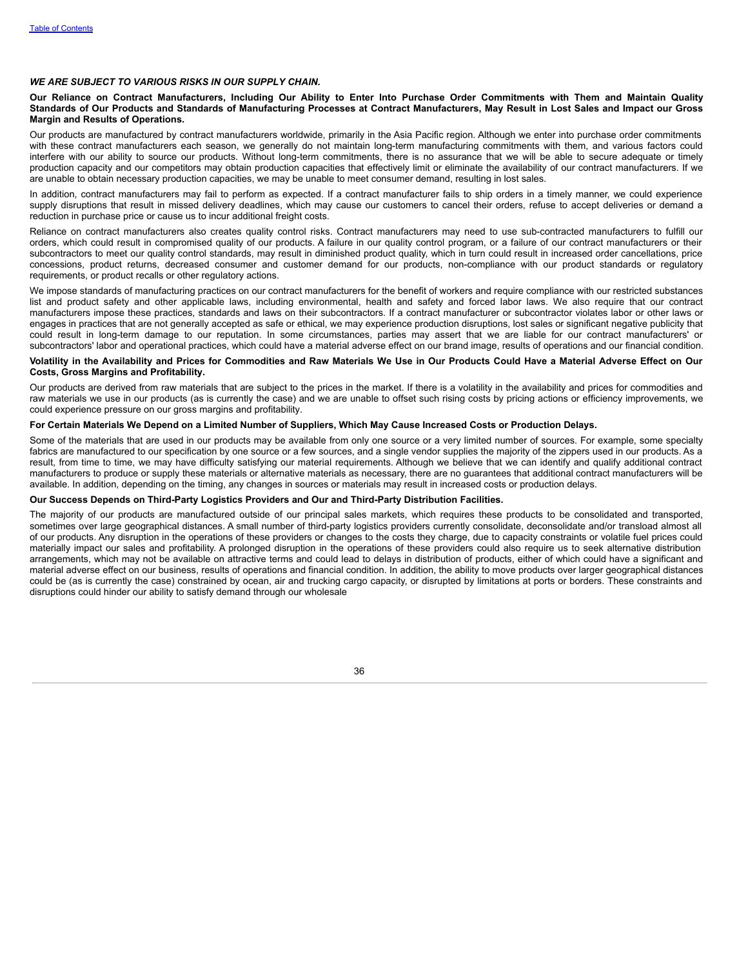#### *WE ARE SUBJECT TO VARIOUS RISKS IN OUR SUPPLY CHAIN.*

#### Our Reliance on Contract Manufacturers, Including Our Ability to Enter Into Purchase Order Commitments with Them and Maintain Quality Standards of Our Products and Standards of Manufacturing Processes at Contract Manufacturers, May Result in Lost Sales and Impact our Gross **Margin and Results of Operations.**

Our products are manufactured by contract manufacturers worldwide, primarily in the Asia Pacific region. Although we enter into purchase order commitments with these contract manufacturers each season, we generally do not maintain long-term manufacturing commitments with them, and various factors could interfere with our ability to source our products. Without long-term commitments, there is no assurance that we will be able to secure adequate or timely production capacity and our competitors may obtain production capacities that effectively limit or eliminate the availability of our contract manufacturers. If we are unable to obtain necessary production capacities, we may be unable to meet consumer demand, resulting in lost sales.

In addition, contract manufacturers may fail to perform as expected. If a contract manufacturer fails to ship orders in a timely manner, we could experience supply disruptions that result in missed delivery deadlines, which may cause our customers to cancel their orders, refuse to accept deliveries or demand a reduction in purchase price or cause us to incur additional freight costs.

Reliance on contract manufacturers also creates quality control risks. Contract manufacturers may need to use sub-contracted manufacturers to fulfill our orders, which could result in compromised quality of our products. A failure in our quality control program, or a failure of our contract manufacturers or their subcontractors to meet our quality control standards, may result in diminished product quality, which in turn could result in increased order cancellations, price concessions, product returns, decreased consumer and customer demand for our products, non-compliance with our product standards or regulatory requirements, or product recalls or other regulatory actions.

We impose standards of manufacturing practices on our contract manufacturers for the benefit of workers and require compliance with our restricted substances list and product safety and other applicable laws, including environmental, health and safety and forced labor laws. We also require that our contract manufacturers impose these practices, standards and laws on their subcontractors. If a contract manufacturer or subcontractor violates labor or other laws or engages in practices that are not generally accepted as safe or ethical, we may experience production disruptions, lost sales or significant negative publicity that could result in long-term damage to our reputation. In some circumstances, parties may assert that we are liable for our contract manufacturers' or subcontractors' labor and operational practices, which could have a material adverse effect on our brand image, results of operations and our financial condition.

#### Volatility in the Availability and Prices for Commodities and Raw Materials We Use in Our Products Could Have a Material Adverse Effect on Our **Costs, Gross Margins and Profitability.**

Our products are derived from raw materials that are subject to the prices in the market. If there is a volatility in the availability and prices for commodities and raw materials we use in our products (as is currently the case) and we are unable to offset such rising costs by pricing actions or efficiency improvements, we could experience pressure on our gross margins and profitability.

#### For Certain Materials We Depend on a Limited Number of Suppliers, Which May Cause Increased Costs or Production Delays.

Some of the materials that are used in our products may be available from only one source or a very limited number of sources. For example, some specialty fabrics are manufactured to our specification by one source or a few sources, and a single vendor supplies the majority of the zippers used in our products. As a result, from time to time, we may have difficulty satisfying our material requirements. Although we believe that we can identify and qualify additional contract manufacturers to produce or supply these materials or alternative materials as necessary, there are no guarantees that additional contract manufacturers will be available. In addition, depending on the timing, any changes in sources or materials may result in increased costs or production delays.

#### **Our Success Depends on Third-Party Logistics Providers and Our and Third-Party Distribution Facilities.**

The majority of our products are manufactured outside of our principal sales markets, which requires these products to be consolidated and transported, sometimes over large geographical distances. A small number of third-party logistics providers currently consolidate, deconsolidate and/or transload almost all of our products. Any disruption in the operations of these providers or changes to the costs they charge, due to capacity constraints or volatile fuel prices could materially impact our sales and profitability. A prolonged disruption in the operations of these providers could also require us to seek alternative distribution arrangements, which may not be available on attractive terms and could lead to delays in distribution of products, either of which could have a significant and material adverse effect on our business, results of operations and financial condition. In addition, the ability to move products over larger geographical distances could be (as is currently the case) constrained by ocean, air and trucking cargo capacity, or disrupted by limitations at ports or borders. These constraints and disruptions could hinder our ability to satisfy demand through our wholesale

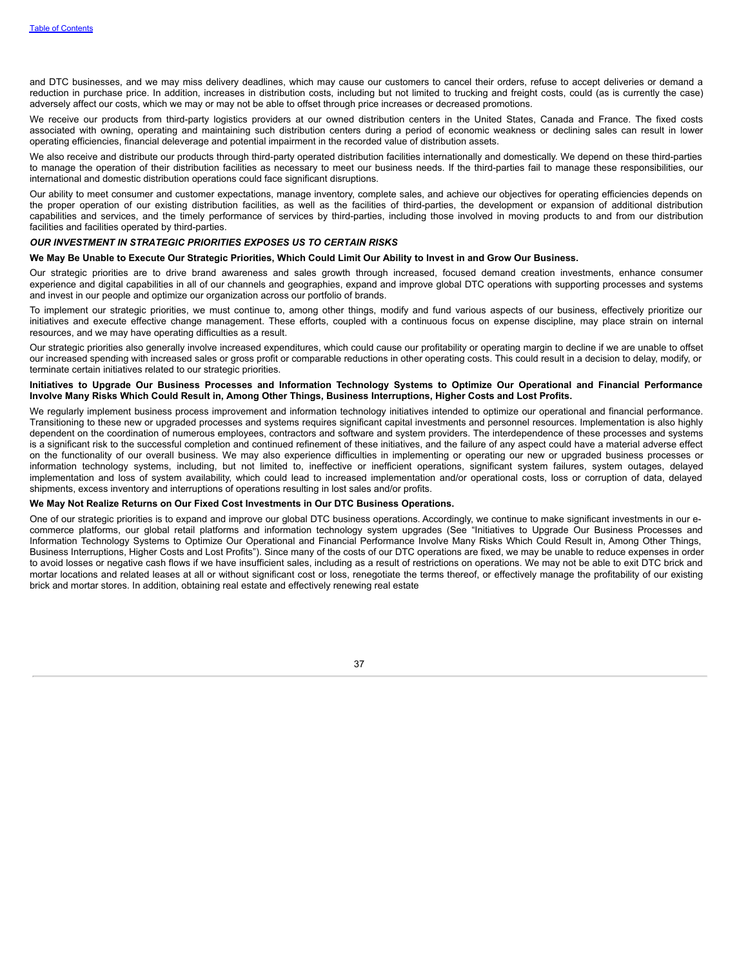and DTC businesses, and we may miss delivery deadlines, which may cause our customers to cancel their orders, refuse to accept deliveries or demand a reduction in purchase price. In addition, increases in distribution costs, including but not limited to trucking and freight costs, could (as is currently the case) adversely affect our costs, which we may or may not be able to offset through price increases or decreased promotions.

We receive our products from third-party logistics providers at our owned distribution centers in the United States, Canada and France. The fixed costs associated with owning, operating and maintaining such distribution centers during a period of economic weakness or declining sales can result in lower operating efficiencies, financial deleverage and potential impairment in the recorded value of distribution assets.

We also receive and distribute our products through third-party operated distribution facilities internationally and domestically. We depend on these third-parties to manage the operation of their distribution facilities as necessary to meet our business needs. If the third-parties fail to manage these responsibilities, our international and domestic distribution operations could face significant disruptions.

Our ability to meet consumer and customer expectations, manage inventory, complete sales, and achieve our objectives for operating efficiencies depends on the proper operation of our existing distribution facilities, as well as the facilities of third-parties, the development or expansion of additional distribution capabilities and services, and the timely performance of services by third-parties, including those involved in moving products to and from our distribution facilities and facilities operated by third-parties.

### *OUR INVESTMENT IN STRATEGIC PRIORITIES EXPOSES US TO CERTAIN RISKS*

#### We May Be Unable to Execute Our Strategic Priorities, Which Could Limit Our Ability to Invest in and Grow Our Business.

Our strategic priorities are to drive brand awareness and sales growth through increased, focused demand creation investments, enhance consumer experience and digital capabilities in all of our channels and geographies, expand and improve global DTC operations with supporting processes and systems and invest in our people and optimize our organization across our portfolio of brands.

To implement our strategic priorities, we must continue to, among other things, modify and fund various aspects of our business, effectively prioritize our initiatives and execute effective change management. These efforts, coupled with a continuous focus on expense discipline, may place strain on internal resources, and we may have operating difficulties as a result.

Our strategic priorities also generally involve increased expenditures, which could cause our profitability or operating margin to decline if we are unable to offset our increased spending with increased sales or gross profit or comparable reductions in other operating costs. This could result in a decision to delay, modify, or terminate certain initiatives related to our strategic priorities.

### Initiatives to Upgrade Our Business Processes and Information Technology Systems to Optimize Our Operational and Financial Performance Involve Many Risks Which Could Result in, Among Other Things, Business Interruptions, Higher Costs and Lost Profits.

We regularly implement business process improvement and information technology initiatives intended to optimize our operational and financial performance. Transitioning to these new or upgraded processes and systems requires significant capital investments and personnel resources. Implementation is also highly dependent on the coordination of numerous employees, contractors and software and system providers. The interdependence of these processes and systems is a significant risk to the successful completion and continued refinement of these initiatives, and the failure of any aspect could have a material adverse effect on the functionality of our overall business. We may also experience difficulties in implementing or operating our new or upgraded business processes or information technology systems, including, but not limited to, ineffective or inefficient operations, significant system failures, system outages, delayed implementation and loss of system availability, which could lead to increased implementation and/or operational costs, loss or corruption of data, delayed shipments, excess inventory and interruptions of operations resulting in lost sales and/or profits.

#### **We May Not Realize Returns on Our Fixed Cost Investments in Our DTC Business Operations.**

One of our strategic priorities is to expand and improve our global DTC business operations. Accordingly, we continue to make significant investments in our ecommerce platforms, our global retail platforms and information technology system upgrades (See "Initiatives to Upgrade Our Business Processes and Information Technology Systems to Optimize Our Operational and Financial Performance Involve Many Risks Which Could Result in, Among Other Things, Business Interruptions, Higher Costs and Lost Profits"). Since many of the costs of our DTC operations are fixed, we may be unable to reduce expenses in order to avoid losses or negative cash flows if we have insufficient sales, including as a result of restrictions on operations. We may not be able to exit DTC brick and mortar locations and related leases at all or without significant cost or loss, renegotiate the terms thereof, or effectively manage the profitability of our existing brick and mortar stores. In addition, obtaining real estate and effectively renewing real estate

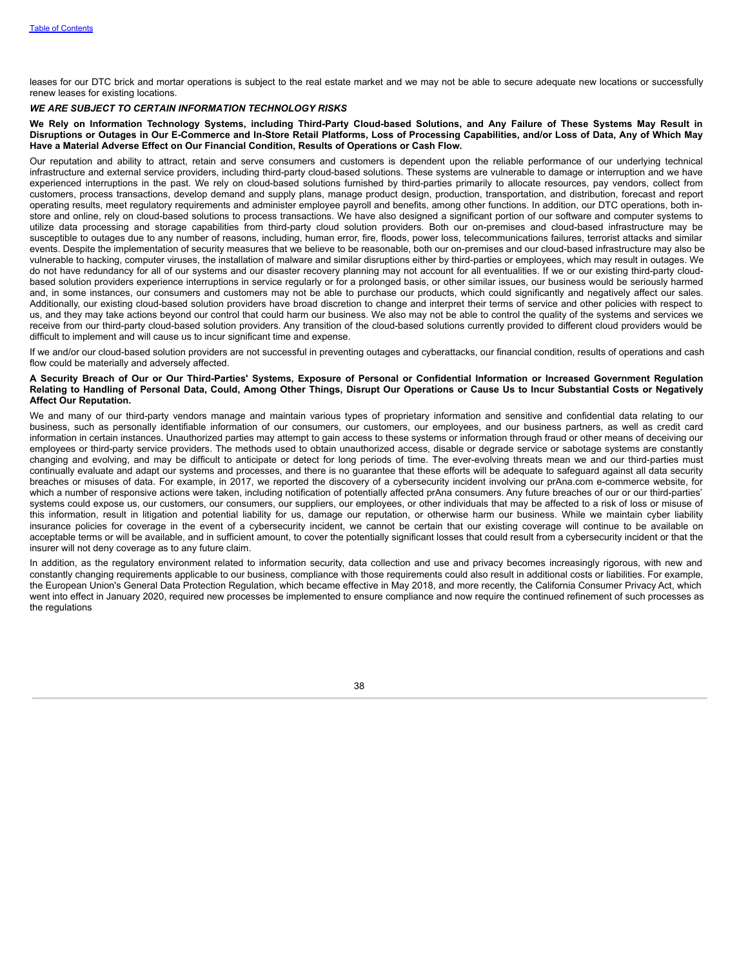leases for our DTC brick and mortar operations is subject to the real estate market and we may not be able to secure adequate new locations or successfully renew leases for existing locations.

#### *WE ARE SUBJECT TO CERTAIN INFORMATION TECHNOLOGY RISKS*

We Rely on Information Technology Systems, including Third-Party Cloud-based Solutions, and Any Failure of These Systems May Result in Disruptions or Outages in Our E-Commerce and In-Store Retail Platforms, Loss of Processing Capabilities, and/or Loss of Data, Any of Which May **Have a Material Adverse Effect on Our Financial Condition, Results of Operations or Cash Flow.**

Our reputation and ability to attract, retain and serve consumers and customers is dependent upon the reliable performance of our underlying technical infrastructure and external service providers, including third-party cloud-based solutions. These systems are vulnerable to damage or interruption and we have experienced interruptions in the past. We rely on cloud-based solutions furnished by third-parties primarily to allocate resources, pay vendors, collect from customers, process transactions, develop demand and supply plans, manage product design, production, transportation, and distribution, forecast and report operating results, meet regulatory requirements and administer employee payroll and benefits, among other functions. In addition, our DTC operations, both instore and online, rely on cloud-based solutions to process transactions. We have also designed a significant portion of our software and computer systems to utilize data processing and storage capabilities from third-party cloud solution providers. Both our on-premises and cloud-based infrastructure may be susceptible to outages due to any number of reasons, including, human error, fire, floods, power loss, telecommunications failures, terrorist attacks and similar events. Despite the implementation of security measures that we believe to be reasonable, both our on-premises and our cloud-based infrastructure may also be vulnerable to hacking, computer viruses, the installation of malware and similar disruptions either by third-parties or employees, which may result in outages. We do not have redundancy for all of our systems and our disaster recovery planning may not account for all eventualities. If we or our existing third-party cloudbased solution providers experience interruptions in service regularly or for a prolonged basis, or other similar issues, our business would be seriously harmed and, in some instances, our consumers and customers may not be able to purchase our products, which could significantly and negatively affect our sales. Additionally, our existing cloud-based solution providers have broad discretion to change and interpret their terms of service and other policies with respect to us, and they may take actions beyond our control that could harm our business. We also may not be able to control the quality of the systems and services we receive from our third-party cloud-based solution providers. Any transition of the cloud-based solutions currently provided to different cloud providers would be difficult to implement and will cause us to incur significant time and expense.

If we and/or our cloud-based solution providers are not successful in preventing outages and cyberattacks, our financial condition, results of operations and cash flow could be materially and adversely affected.

#### A Security Breach of Our or Our Third-Parties' Systems, Exposure of Personal or Confidential Information or Increased Government Regulation Relating to Handling of Personal Data, Could, Among Other Things, Disrupt Our Operations or Cause Us to Incur Substantial Costs or Negatively **Affect Our Reputation.**

We and many of our third-party vendors manage and maintain various types of proprietary information and sensitive and confidential data relating to our business, such as personally identifiable information of our consumers, our customers, our employees, and our business partners, as well as credit card information in certain instances. Unauthorized parties may attempt to gain access to these systems or information through fraud or other means of deceiving our employees or third-party service providers. The methods used to obtain unauthorized access, disable or degrade service or sabotage systems are constantly changing and evolving, and may be difficult to anticipate or detect for long periods of time. The ever-evolving threats mean we and our third-parties must continually evaluate and adapt our systems and processes, and there is no guarantee that these efforts will be adequate to safeguard against all data security breaches or misuses of data. For example, in 2017, we reported the discovery of a cybersecurity incident involving our prAna.com e-commerce website, for which a number of responsive actions were taken, including notification of potentially affected prAna consumers. Any future breaches of our or our third-parties' systems could expose us, our customers, our consumers, our suppliers, our employees, or other individuals that may be affected to a risk of loss or misuse of this information, result in litigation and potential liability for us, damage our reputation, or otherwise harm our business. While we maintain cyber liability insurance policies for coverage in the event of a cybersecurity incident, we cannot be certain that our existing coverage will continue to be available on acceptable terms or will be available, and in sufficient amount, to cover the potentially significant losses that could result from a cybersecurity incident or that the insurer will not deny coverage as to any future claim.

In addition, as the regulatory environment related to information security, data collection and use and privacy becomes increasingly rigorous, with new and constantly changing requirements applicable to our business, compliance with those requirements could also result in additional costs or liabilities. For example, the European Union's General Data Protection Regulation, which became effective in May 2018, and more recently, the California Consumer Privacy Act, which went into effect in January 2020, required new processes be implemented to ensure compliance and now require the continued refinement of such processes as the regulations

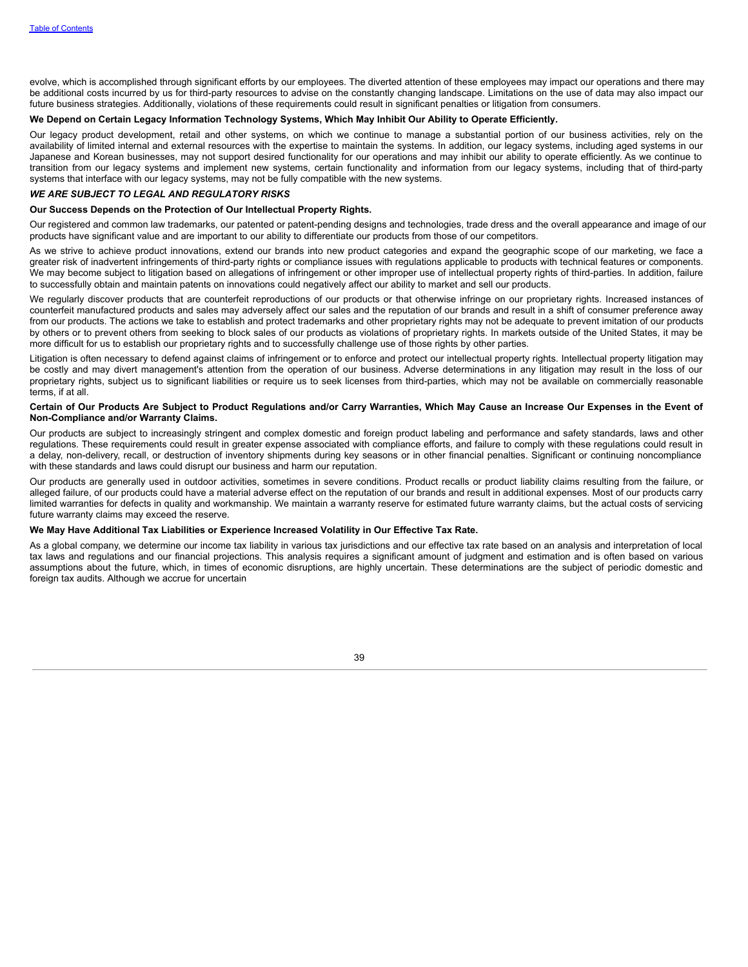evolve, which is accomplished through significant efforts by our employees. The diverted attention of these employees may impact our operations and there may be additional costs incurred by us for third-party resources to advise on the constantly changing landscape. Limitations on the use of data may also impact our future business strategies. Additionally, violations of these requirements could result in significant penalties or litigation from consumers.

### We Depend on Certain Legacy Information Technology Systems, Which May Inhibit Our Ability to Operate Efficiently.

Our legacy product development, retail and other systems, on which we continue to manage a substantial portion of our business activities, rely on the availability of limited internal and external resources with the expertise to maintain the systems. In addition, our legacy systems, including aged systems in our Japanese and Korean businesses, may not support desired functionality for our operations and may inhibit our ability to operate efficiently. As we continue to transition from our legacy systems and implement new systems, certain functionality and information from our legacy systems, including that of third-party systems that interface with our legacy systems, may not be fully compatible with the new systems.

### *WE ARE SUBJECT TO LEGAL AND REGULATORY RISKS*

#### **Our Success Depends on the Protection of Our Intellectual Property Rights.**

Our registered and common law trademarks, our patented or patent-pending designs and technologies, trade dress and the overall appearance and image of our products have significant value and are important to our ability to differentiate our products from those of our competitors.

As we strive to achieve product innovations, extend our brands into new product categories and expand the geographic scope of our marketing, we face a greater risk of inadvertent infringements of third-party rights or compliance issues with regulations applicable to products with technical features or components. We may become subject to litigation based on allegations of infringement or other improper use of intellectual property rights of third-parties. In addition, failure to successfully obtain and maintain patents on innovations could negatively affect our ability to market and sell our products.

We regularly discover products that are counterfeit reproductions of our products or that otherwise infringe on our proprietary rights. Increased instances of counterfeit manufactured products and sales may adversely affect our sales and the reputation of our brands and result in a shift of consumer preference away from our products. The actions we take to establish and protect trademarks and other proprietary rights may not be adequate to prevent imitation of our products by others or to prevent others from seeking to block sales of our products as violations of proprietary rights. In markets outside of the United States, it may be more difficult for us to establish our proprietary rights and to successfully challenge use of those rights by other parties.

Litigation is often necessary to defend against claims of infringement or to enforce and protect our intellectual property rights. Intellectual property litigation may be costly and may divert management's attention from the operation of our business. Adverse determinations in any litigation may result in the loss of our proprietary rights, subject us to significant liabilities or require us to seek licenses from third-parties, which may not be available on commercially reasonable terms, if at all.

#### Certain of Our Products Are Subject to Product Regulations and/or Carry Warranties, Which May Cause an Increase Our Expenses in the Event of **Non-Compliance and/or Warranty Claims.**

Our products are subject to increasingly stringent and complex domestic and foreign product labeling and performance and safety standards, laws and other regulations. These requirements could result in greater expense associated with compliance efforts, and failure to comply with these regulations could result in a delay, non-delivery, recall, or destruction of inventory shipments during key seasons or in other financial penalties. Significant or continuing noncompliance with these standards and laws could disrupt our business and harm our reputation.

Our products are generally used in outdoor activities, sometimes in severe conditions. Product recalls or product liability claims resulting from the failure, or alleged failure, of our products could have a material adverse effect on the reputation of our brands and result in additional expenses. Most of our products carry limited warranties for defects in quality and workmanship. We maintain a warranty reserve for estimated future warranty claims, but the actual costs of servicing future warranty claims may exceed the reserve.

#### **We May Have Additional Tax Liabilities or Experience Increased Volatility in Our Effective Tax Rate.**

As a global company, we determine our income tax liability in various tax jurisdictions and our effective tax rate based on an analysis and interpretation of local tax laws and regulations and our financial projections. This analysis requires a significant amount of judgment and estimation and is often based on various assumptions about the future, which, in times of economic disruptions, are highly uncertain. These determinations are the subject of periodic domestic and foreign tax audits. Although we accrue for uncertain

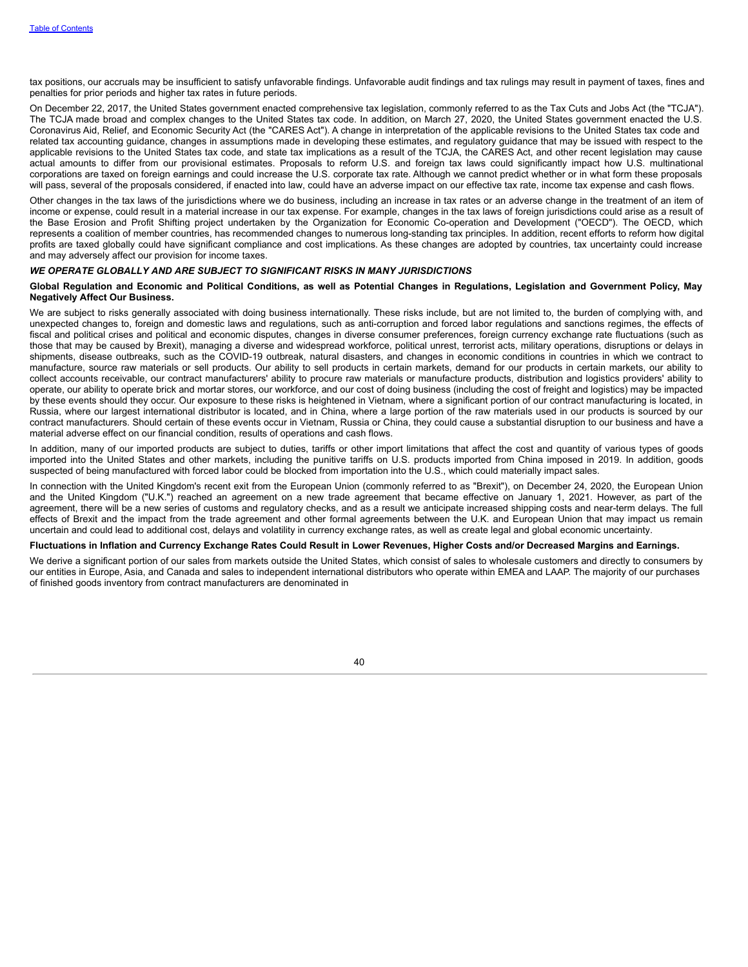tax positions, our accruals may be insufficient to satisfy unfavorable findings. Unfavorable audit findings and tax rulings may result in payment of taxes, fines and penalties for prior periods and higher tax rates in future periods.

On December 22, 2017, the United States government enacted comprehensive tax legislation, commonly referred to as the Tax Cuts and Jobs Act (the "TCJA"). The TCJA made broad and complex changes to the United States tax code. In addition, on March 27, 2020, the United States government enacted the U.S. Coronavirus Aid, Relief, and Economic Security Act (the "CARES Act"). A change in interpretation of the applicable revisions to the United States tax code and related tax accounting guidance, changes in assumptions made in developing these estimates, and regulatory guidance that may be issued with respect to the applicable revisions to the United States tax code, and state tax implications as a result of the TCJA, the CARES Act, and other recent legislation may cause actual amounts to differ from our provisional estimates. Proposals to reform U.S. and foreign tax laws could significantly impact how U.S. multinational corporations are taxed on foreign earnings and could increase the U.S. corporate tax rate. Although we cannot predict whether or in what form these proposals will pass, several of the proposals considered, if enacted into law, could have an adverse impact on our effective tax rate, income tax expense and cash flows.

Other changes in the tax laws of the jurisdictions where we do business, including an increase in tax rates or an adverse change in the treatment of an item of income or expense, could result in a material increase in our tax expense. For example, changes in the tax laws of foreign jurisdictions could arise as a result of the Base Erosion and Profit Shifting project undertaken by the Organization for Economic Co-operation and Development ("OECD"). The OECD, which represents a coalition of member countries, has recommended changes to numerous long-standing tax principles. In addition, recent efforts to reform how digital profits are taxed globally could have significant compliance and cost implications. As these changes are adopted by countries, tax uncertainty could increase and may adversely affect our provision for income taxes.

### *WE OPERATE GLOBALLY AND ARE SUBJECT TO SIGNIFICANT RISKS IN MANY JURISDICTIONS*

#### Global Regulation and Economic and Political Conditions, as well as Potential Changes in Regulations, Legislation and Government Policy, May **Negatively Affect Our Business.**

We are subject to risks generally associated with doing business internationally. These risks include, but are not limited to, the burden of complying with, and unexpected changes to, foreign and domestic laws and regulations, such as anti-corruption and forced labor regulations and sanctions regimes, the effects of fiscal and political crises and political and economic disputes, changes in diverse consumer preferences, foreign currency exchange rate fluctuations (such as those that may be caused by Brexit), managing a diverse and widespread workforce, political unrest, terrorist acts, military operations, disruptions or delays in shipments, disease outbreaks, such as the COVID-19 outbreak, natural disasters, and changes in economic conditions in countries in which we contract to manufacture, source raw materials or sell products. Our ability to sell products in certain markets, demand for our products in certain markets, our ability to collect accounts receivable, our contract manufacturers' ability to procure raw materials or manufacture products, distribution and logistics providers' ability to operate, our ability to operate brick and mortar stores, our workforce, and our cost of doing business (including the cost of freight and logistics) may be impacted by these events should they occur. Our exposure to these risks is heightened in Vietnam, where a significant portion of our contract manufacturing is located, in Russia, where our largest international distributor is located, and in China, where a large portion of the raw materials used in our products is sourced by our contract manufacturers. Should certain of these events occur in Vietnam, Russia or China, they could cause a substantial disruption to our business and have a material adverse effect on our financial condition, results of operations and cash flows.

In addition, many of our imported products are subject to duties, tariffs or other import limitations that affect the cost and quantity of various types of goods imported into the United States and other markets, including the punitive tariffs on U.S. products imported from China imposed in 2019. In addition, goods suspected of being manufactured with forced labor could be blocked from importation into the U.S., which could materially impact sales.

In connection with the United Kingdom's recent exit from the European Union (commonly referred to as "Brexit"), on December 24, 2020, the European Union and the United Kingdom ("U.K.") reached an agreement on a new trade agreement that became effective on January 1, 2021. However, as part of the agreement, there will be a new series of customs and regulatory checks, and as a result we anticipate increased shipping costs and near-term delays. The full effects of Brexit and the impact from the trade agreement and other formal agreements between the U.K. and European Union that may impact us remain uncertain and could lead to additional cost, delays and volatility in currency exchange rates, as well as create legal and global economic uncertainty.

#### Fluctuations in Inflation and Currency Exchange Rates Could Result in Lower Revenues, Higher Costs and/or Decreased Margins and Earnings.

We derive a significant portion of our sales from markets outside the United States, which consist of sales to wholesale customers and directly to consumers by our entities in Europe, Asia, and Canada and sales to independent international distributors who operate within EMEA and LAAP. The majority of our purchases of finished goods inventory from contract manufacturers are denominated in

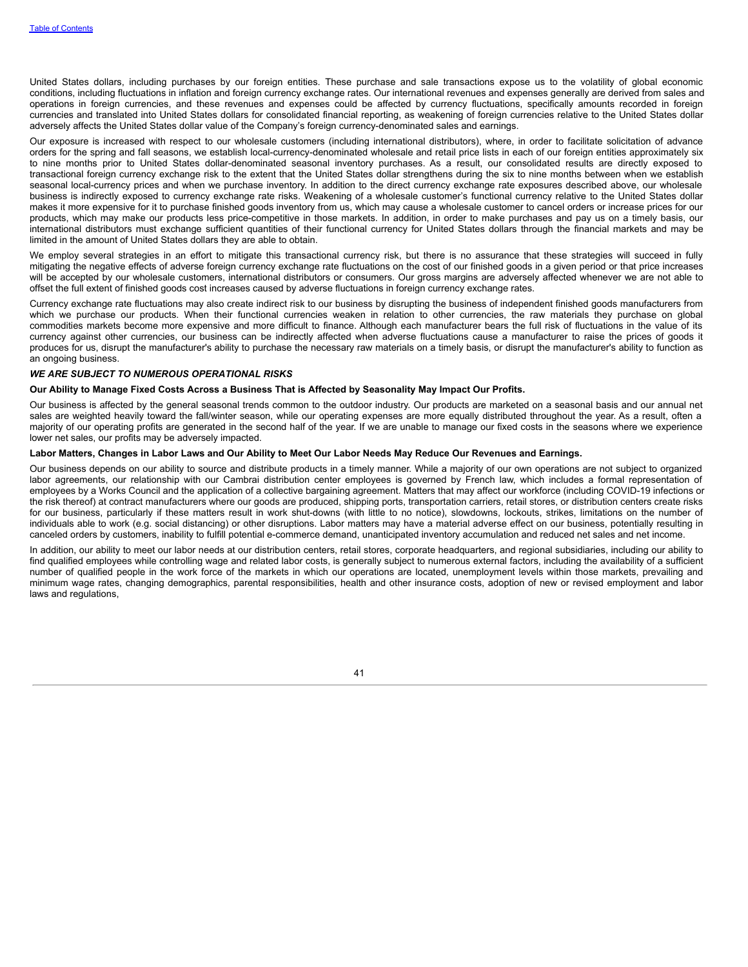United States dollars, including purchases by our foreign entities. These purchase and sale transactions expose us to the volatility of global economic conditions, including fluctuations in inflation and foreign currency exchange rates. Our international revenues and expenses generally are derived from sales and operations in foreign currencies, and these revenues and expenses could be affected by currency fluctuations, specifically amounts recorded in foreign currencies and translated into United States dollars for consolidated financial reporting, as weakening of foreign currencies relative to the United States dollar adversely affects the United States dollar value of the Company's foreign currency-denominated sales and earnings.

Our exposure is increased with respect to our wholesale customers (including international distributors), where, in order to facilitate solicitation of advance orders for the spring and fall seasons, we establish local-currency-denominated wholesale and retail price lists in each of our foreign entities approximately six to nine months prior to United States dollar-denominated seasonal inventory purchases. As a result, our consolidated results are directly exposed to transactional foreign currency exchange risk to the extent that the United States dollar strengthens during the six to nine months between when we establish seasonal local-currency prices and when we purchase inventory. In addition to the direct currency exchange rate exposures described above, our wholesale business is indirectly exposed to currency exchange rate risks. Weakening of a wholesale customer's functional currency relative to the United States dollar makes it more expensive for it to purchase finished goods inventory from us, which may cause a wholesale customer to cancel orders or increase prices for our products, which may make our products less price-competitive in those markets. In addition, in order to make purchases and pay us on a timely basis, our international distributors must exchange sufficient quantities of their functional currency for United States dollars through the financial markets and may be limited in the amount of United States dollars they are able to obtain.

We employ several strategies in an effort to mitigate this transactional currency risk, but there is no assurance that these strategies will succeed in fully mitigating the negative effects of adverse foreign currency exchange rate fluctuations on the cost of our finished goods in a given period or that price increases will be accepted by our wholesale customers, international distributors or consumers. Our gross margins are adversely affected whenever we are not able to offset the full extent of finished goods cost increases caused by adverse fluctuations in foreign currency exchange rates.

Currency exchange rate fluctuations may also create indirect risk to our business by disrupting the business of independent finished goods manufacturers from which we purchase our products. When their functional currencies weaken in relation to other currencies, the raw materials they purchase on global commodities markets become more expensive and more difficult to finance. Although each manufacturer bears the full risk of fluctuations in the value of its currency against other currencies, our business can be indirectly affected when adverse fluctuations cause a manufacturer to raise the prices of goods it produces for us, disrupt the manufacturer's ability to purchase the necessary raw materials on a timely basis, or disrupt the manufacturer's ability to function as an ongoing business.

#### *WE ARE SUBJECT TO NUMEROUS OPERATIONAL RISKS*

#### Our Ability to Manage Fixed Costs Across a Business That is Affected by Seasonality May Impact Our Profits.

Our business is affected by the general seasonal trends common to the outdoor industry. Our products are marketed on a seasonal basis and our annual net sales are weighted heavily toward the fall/winter season, while our operating expenses are more equally distributed throughout the year. As a result, often a majority of our operating profits are generated in the second half of the year. If we are unable to manage our fixed costs in the seasons where we experience lower net sales, our profits may be adversely impacted.

#### Labor Matters, Changes in Labor Laws and Our Ability to Meet Our Labor Needs May Reduce Our Revenues and Earnings.

Our business depends on our ability to source and distribute products in a timely manner. While a majority of our own operations are not subject to organized labor agreements, our relationship with our Cambrai distribution center employees is governed by French law, which includes a formal representation of employees by a Works Council and the application of a collective bargaining agreement. Matters that may affect our workforce (including COVID-19 infections or the risk thereof) at contract manufacturers where our goods are produced, shipping ports, transportation carriers, retail stores, or distribution centers create risks for our business, particularly if these matters result in work shut-downs (with little to no notice), slowdowns, lockouts, strikes, limitations on the number of individuals able to work (e.g. social distancing) or other disruptions. Labor matters may have a material adverse effect on our business, potentially resulting in canceled orders by customers, inability to fulfill potential e-commerce demand, unanticipated inventory accumulation and reduced net sales and net income.

In addition, our ability to meet our labor needs at our distribution centers, retail stores, corporate headquarters, and regional subsidiaries, including our ability to find qualified employees while controlling wage and related labor costs, is generally subject to numerous external factors, including the availability of a sufficient number of qualified people in the work force of the markets in which our operations are located, unemployment levels within those markets, prevailing and minimum wage rates, changing demographics, parental responsibilities, health and other insurance costs, adoption of new or revised employment and labor laws and regulations.

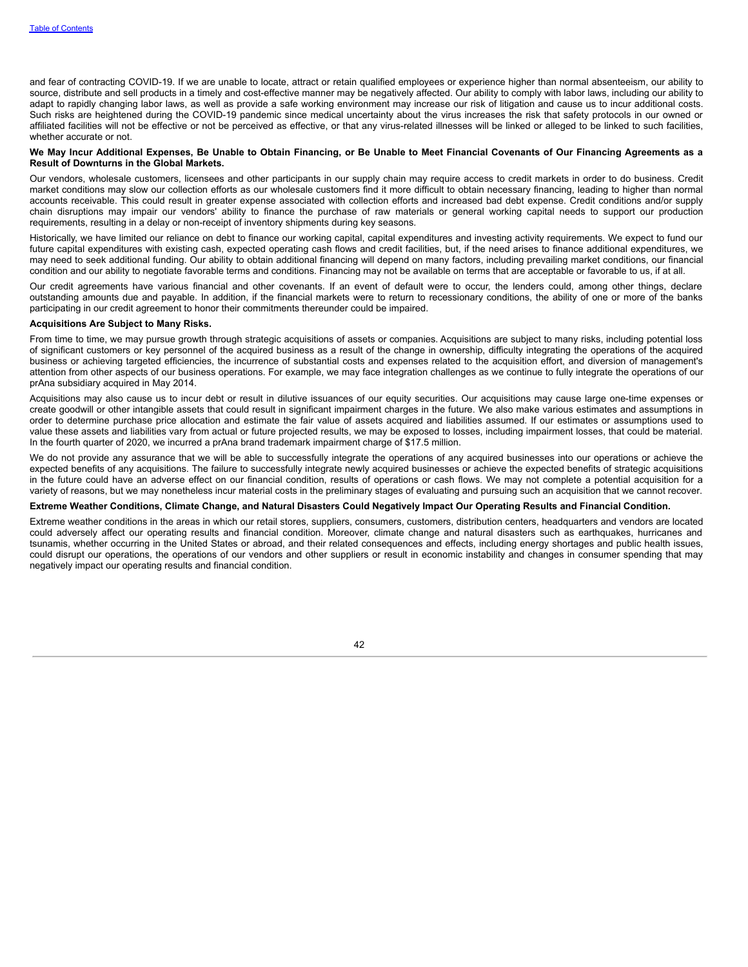and fear of contracting COVID-19. If we are unable to locate, attract or retain qualified employees or experience higher than normal absenteeism, our ability to source, distribute and sell products in a timely and cost-effective manner may be negatively affected. Our ability to comply with labor laws, including our ability to adapt to rapidly changing labor laws, as well as provide a safe working environment may increase our risk of litigation and cause us to incur additional costs. Such risks are heightened during the COVID-19 pandemic since medical uncertainty about the virus increases the risk that safety protocols in our owned or affiliated facilities will not be effective or not be perceived as effective, or that any virus-related illnesses will be linked or alleged to be linked to such facilities, whether accurate or not.

#### We May Incur Additional Expenses, Be Unable to Obtain Financing, or Be Unable to Meet Financial Covenants of Our Financing Agreements as a **Result of Downturns in the Global Markets.**

Our vendors, wholesale customers, licensees and other participants in our supply chain may require access to credit markets in order to do business. Credit market conditions may slow our collection efforts as our wholesale customers find it more difficult to obtain necessary financing, leading to higher than normal accounts receivable. This could result in greater expense associated with collection efforts and increased bad debt expense. Credit conditions and/or supply chain disruptions may impair our vendors' ability to finance the purchase of raw materials or general working capital needs to support our production requirements, resulting in a delay or non-receipt of inventory shipments during key seasons.

Historically, we have limited our reliance on debt to finance our working capital, capital expenditures and investing activity requirements. We expect to fund our future capital expenditures with existing cash, expected operating cash flows and credit facilities, but, if the need arises to finance additional expenditures, we may need to seek additional funding. Our ability to obtain additional financing will depend on many factors, including prevailing market conditions, our financial condition and our ability to negotiate favorable terms and conditions. Financing may not be available on terms that are acceptable or favorable to us, if at all.

Our credit agreements have various financial and other covenants. If an event of default were to occur, the lenders could, among other things, declare outstanding amounts due and payable. In addition, if the financial markets were to return to recessionary conditions, the ability of one or more of the banks participating in our credit agreement to honor their commitments thereunder could be impaired.

### **Acquisitions Are Subject to Many Risks.**

From time to time, we may pursue growth through strategic acquisitions of assets or companies. Acquisitions are subject to many risks, including potential loss of significant customers or key personnel of the acquired business as a result of the change in ownership, difficulty integrating the operations of the acquired business or achieving targeted efficiencies, the incurrence of substantial costs and expenses related to the acquisition effort, and diversion of management's attention from other aspects of our business operations. For example, we may face integration challenges as we continue to fully integrate the operations of our prAna subsidiary acquired in May 2014.

Acquisitions may also cause us to incur debt or result in dilutive issuances of our equity securities. Our acquisitions may cause large one-time expenses or create goodwill or other intangible assets that could result in significant impairment charges in the future. We also make various estimates and assumptions in order to determine purchase price allocation and estimate the fair value of assets acquired and liabilities assumed. If our estimates or assumptions used to value these assets and liabilities vary from actual or future projected results, we may be exposed to losses, including impairment losses, that could be material. In the fourth quarter of 2020, we incurred a prAna brand trademark impairment charge of \$17.5 million.

We do not provide any assurance that we will be able to successfully integrate the operations of any acquired businesses into our operations or achieve the expected benefits of any acquisitions. The failure to successfully integrate newly acquired businesses or achieve the expected benefits of strategic acquisitions in the future could have an adverse effect on our financial condition, results of operations or cash flows. We may not complete a potential acquisition for a variety of reasons, but we may nonetheless incur material costs in the preliminary stages of evaluating and pursuing such an acquisition that we cannot recover.

#### Extreme Weather Conditions, Climate Change, and Natural Disasters Could Negatively Impact Our Operating Results and Financial Condition.

Extreme weather conditions in the areas in which our retail stores, suppliers, consumers, customers, distribution centers, headquarters and vendors are located could adversely affect our operating results and financial condition. Moreover, climate change and natural disasters such as earthquakes, hurricanes and tsunamis, whether occurring in the United States or abroad, and their related consequences and effects, including energy shortages and public health issues, could disrupt our operations, the operations of our vendors and other suppliers or result in economic instability and changes in consumer spending that may negatively impact our operating results and financial condition.

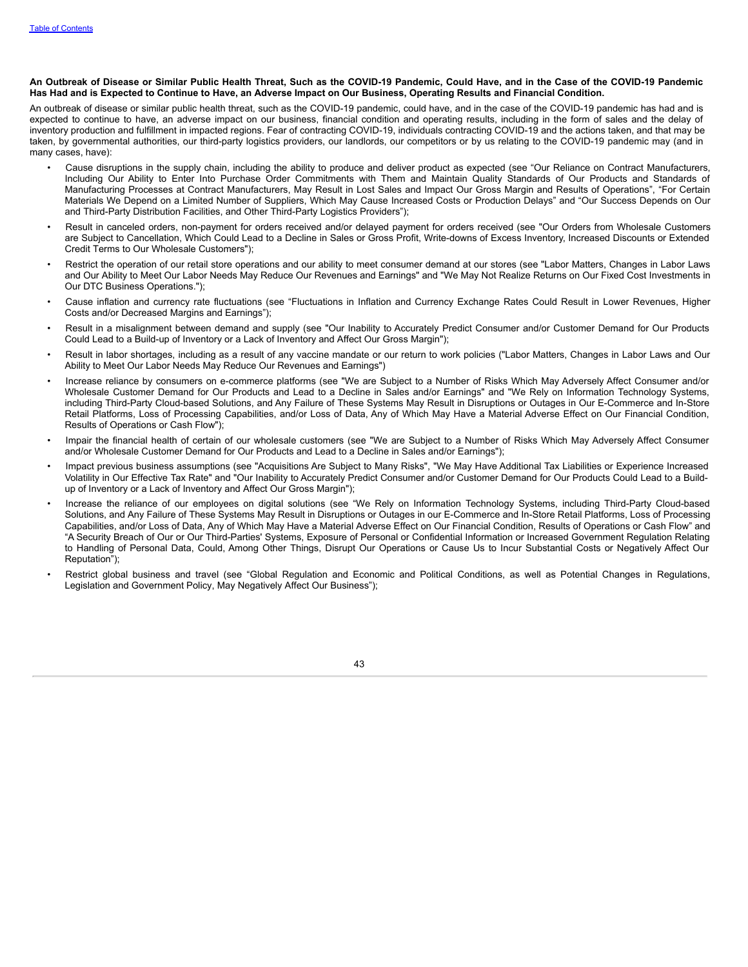#### An Outbreak of Disease or Similar Public Health Threat, Such as the COVID-19 Pandemic, Could Have, and in the Case of the COVID-19 Pandemic Has Had and is Expected to Continue to Have, an Adverse Impact on Our Business, Operating Results and Financial Condition.

An outbreak of disease or similar public health threat, such as the COVID-19 pandemic, could have, and in the case of the COVID-19 pandemic has had and is expected to continue to have, an adverse impact on our business, financial condition and operating results, including in the form of sales and the delay of inventory production and fulfillment in impacted regions. Fear of contracting COVID-19, individuals contracting COVID-19 and the actions taken, and that may be taken, by governmental authorities, our third-party logistics providers, our landlords, our competitors or by us relating to the COVID-19 pandemic may (and in many cases, have):

- Cause disruptions in the supply chain, including the ability to produce and deliver product as expected (see "Our Reliance on Contract Manufacturers, Including Our Ability to Enter Into Purchase Order Commitments with Them and Maintain Quality Standards of Our Products and Standards of Manufacturing Processes at Contract Manufacturers, May Result in Lost Sales and Impact Our Gross Margin and Results of Operations", "For Certain Materials We Depend on a Limited Number of Suppliers, Which May Cause Increased Costs or Production Delays" and "Our Success Depends on Our and Third-Party Distribution Facilities, and Other Third-Party Logistics Providers");
- Result in canceled orders, non-payment for orders received and/or delayed payment for orders received (see "Our Orders from Wholesale Customers are Subject to Cancellation, Which Could Lead to a Decline in Sales or Gross Profit, Write-downs of Excess Inventory, Increased Discounts or Extended Credit Terms to Our Wholesale Customers");
- Restrict the operation of our retail store operations and our ability to meet consumer demand at our stores (see "Labor Matters, Changes in Labor Laws and Our Ability to Meet Our Labor Needs May Reduce Our Revenues and Earnings" and "We May Not Realize Returns on Our Fixed Cost Investments in Our DTC Business Operations.");
- Cause inflation and currency rate fluctuations (see "Fluctuations in Inflation and Currency Exchange Rates Could Result in Lower Revenues, Higher Costs and/or Decreased Margins and Earnings");
- Result in a misalignment between demand and supply (see "Our Inability to Accurately Predict Consumer and/or Customer Demand for Our Products Could Lead to a Build-up of Inventory or a Lack of Inventory and Affect Our Gross Margin");
- Result in labor shortages, including as a result of any vaccine mandate or our return to work policies ("Labor Matters, Changes in Labor Laws and Our Ability to Meet Our Labor Needs May Reduce Our Revenues and Earnings")
- Increase reliance by consumers on e-commerce platforms (see "We are Subject to a Number of Risks Which May Adversely Affect Consumer and/or Wholesale Customer Demand for Our Products and Lead to a Decline in Sales and/or Earnings" and "We Rely on Information Technology Systems, including Third-Party Cloud-based Solutions, and Any Failure of These Systems May Result in Disruptions or Outages in Our E-Commerce and In-Store Retail Platforms, Loss of Processing Capabilities, and/or Loss of Data, Any of Which May Have a Material Adverse Effect on Our Financial Condition, Results of Operations or Cash Flow");
- Impair the financial health of certain of our wholesale customers (see "We are Subject to a Number of Risks Which May Adversely Affect Consumer and/or Wholesale Customer Demand for Our Products and Lead to a Decline in Sales and/or Earnings");
- Impact previous business assumptions (see "Acquisitions Are Subject to Many Risks", "We May Have Additional Tax Liabilities or Experience Increased Volatility in Our Effective Tax Rate" and "Our Inability to Accurately Predict Consumer and/or Customer Demand for Our Products Could Lead to a Buildup of Inventory or a Lack of Inventory and Affect Our Gross Margin");
- Increase the reliance of our employees on digital solutions (see "We Rely on Information Technology Systems, including Third-Party Cloud-based Solutions, and Any Failure of These Systems May Result in Disruptions or Outages in our E-Commerce and In-Store Retail Platforms, Loss of Processing Capabilities, and/or Loss of Data, Any of Which May Have a Material Adverse Effect on Our Financial Condition, Results of Operations or Cash Flow" and "A Security Breach of Our or Our Third-Parties' Systems, Exposure of Personal or Confidential Information or Increased Government Regulation Relating to Handling of Personal Data, Could, Among Other Things, Disrupt Our Operations or Cause Us to Incur Substantial Costs or Negatively Affect Our Reputation");
- Restrict global business and travel (see "Global Regulation and Economic and Political Conditions, as well as Potential Changes in Regulations, Legislation and Government Policy, May Negatively Affect Our Business");

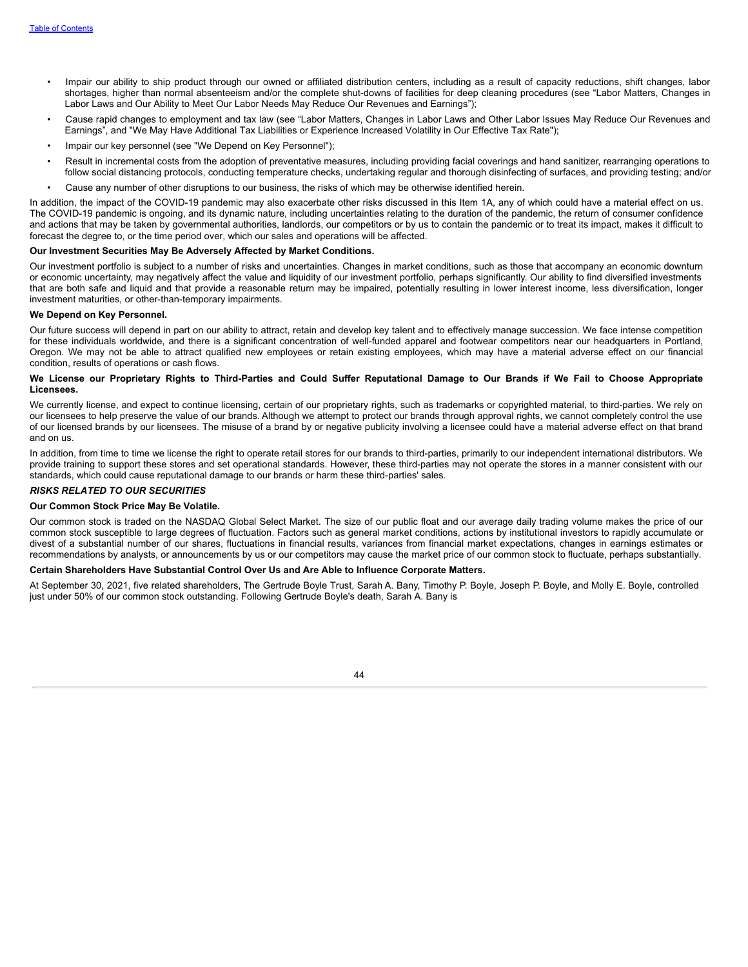- Impair our ability to ship product through our owned or affiliated distribution centers, including as a result of capacity reductions, shift changes, labor shortages, higher than normal absenteeism and/or the complete shut-downs of facilities for deep cleaning procedures (see "Labor Matters, Changes in Labor Laws and Our Ability to Meet Our Labor Needs May Reduce Our Revenues and Earnings");
- Cause rapid changes to employment and tax law (see "Labor Matters, Changes in Labor Laws and Other Labor Issues May Reduce Our Revenues and Earnings", and "We May Have Additional Tax Liabilities or Experience Increased Volatility in Our Effective Tax Rate");
- Impair our key personnel (see "We Depend on Key Personnel");
- Result in incremental costs from the adoption of preventative measures, including providing facial coverings and hand sanitizer, rearranging operations to follow social distancing protocols, conducting temperature checks, undertaking regular and thorough disinfecting of surfaces, and providing testing; and/or
- Cause any number of other disruptions to our business, the risks of which may be otherwise identified herein.

In addition, the impact of the COVID-19 pandemic may also exacerbate other risks discussed in this Item 1A, any of which could have a material effect on us. The COVID-19 pandemic is ongoing, and its dynamic nature, including uncertainties relating to the duration of the pandemic, the return of consumer confidence and actions that may be taken by governmental authorities, landlords, our competitors or by us to contain the pandemic or to treat its impact, makes it difficult to forecast the degree to, or the time period over, which our sales and operations will be affected.

#### **Our Investment Securities May Be Adversely Affected by Market Conditions.**

Our investment portfolio is subject to a number of risks and uncertainties. Changes in market conditions, such as those that accompany an economic downturn or economic uncertainty, may negatively affect the value and liquidity of our investment portfolio, perhaps significantly. Our ability to find diversified investments that are both safe and liquid and that provide a reasonable return may be impaired, potentially resulting in lower interest income, less diversification, longer investment maturities, or other-than-temporary impairments.

#### **We Depend on Key Personnel.**

Our future success will depend in part on our ability to attract, retain and develop key talent and to effectively manage succession. We face intense competition for these individuals worldwide, and there is a significant concentration of well-funded apparel and footwear competitors near our headquarters in Portland, Oregon. We may not be able to attract qualified new employees or retain existing employees, which may have a material adverse effect on our financial condition, results of operations or cash flows.

#### We License our Proprietary Rights to Third-Parties and Could Suffer Reputational Damage to Our Brands if We Fail to Choose Appropriate **Licensees.**

We currently license, and expect to continue licensing, certain of our proprietary rights, such as trademarks or copyrighted material, to third-parties. We rely on our licensees to help preserve the value of our brands. Although we attempt to protect our brands through approval rights, we cannot completely control the use of our licensed brands by our licensees. The misuse of a brand by or negative publicity involving a licensee could have a material adverse effect on that brand and on us.

In addition, from time to time we license the right to operate retail stores for our brands to third-parties, primarily to our independent international distributors. We provide training to support these stores and set operational standards. However, these third-parties may not operate the stores in a manner consistent with our standards, which could cause reputational damage to our brands or harm these third-parties' sales.

### *RISKS RELATED TO OUR SECURITIES*

#### **Our Common Stock Price May Be Volatile.**

Our common stock is traded on the NASDAQ Global Select Market. The size of our public float and our average daily trading volume makes the price of our common stock susceptible to large degrees of fluctuation. Factors such as general market conditions, actions by institutional investors to rapidly accumulate or divest of a substantial number of our shares, fluctuations in financial results, variances from financial market expectations, changes in earnings estimates or recommendations by analysts, or announcements by us or our competitors may cause the market price of our common stock to fluctuate, perhaps substantially.

#### **Certain Shareholders Have Substantial Control Over Us and Are Able to Influence Corporate Matters.**

At September 30, 2021, five related shareholders, The Gertrude Boyle Trust, Sarah A. Bany, Timothy P. Boyle, Joseph P. Boyle, and Molly E. Boyle, controlled just under 50% of our common stock outstanding. Following Gertrude Boyle's death, Sarah A. Bany is

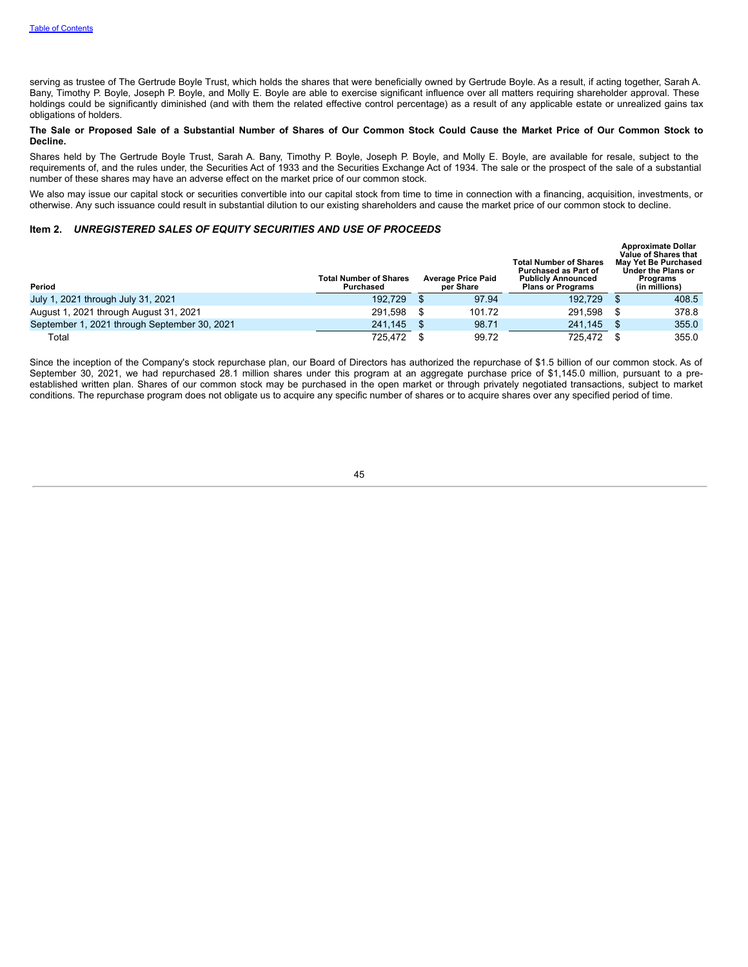serving as trustee of The Gertrude Boyle Trust, which holds the shares that were beneficially owned by Gertrude Boyle. As a result, if acting together, Sarah A. Bany, Timothy P. Boyle, Joseph P. Boyle, and Molly E. Boyle are able to exercise significant influence over all matters requiring shareholder approval. These holdings could be significantly diminished (and with them the related effective control percentage) as a result of any applicable estate or unrealized gains tax obligations of holders.

### The Sale or Proposed Sale of a Substantial Number of Shares of Our Common Stock Could Cause the Market Price of Our Common Stock to **Decline.**

Shares held by The Gertrude Boyle Trust, Sarah A. Bany, Timothy P. Boyle, Joseph P. Boyle, and Molly E. Boyle, are available for resale, subject to the requirements of, and the rules under, the Securities Act of 1933 and the Securities Exchange Act of 1934. The sale or the prospect of the sale of a substantial number of these shares may have an adverse effect on the market price of our common stock.

We also may issue our capital stock or securities convertible into our capital stock from time to time in connection with a financing, acquisition, investments, or otherwise. Any such issuance could result in substantial dilution to our existing shareholders and cause the market price of our common stock to decline.

## <span id="page-46-0"></span>**Item 2.** *UNREGISTERED SALES OF EQUITY SECURITIES AND USE OF PROCEEDS*

| Period                                       | <b>Total Number of Shares</b><br>Purchased | <b>Average Price Paid</b><br>per Share | <b>Total Number of Shares</b><br>Purchased as Part of<br><b>Publicly Announced</b><br><b>Plans or Programs</b> | <b>Approximate Dollar</b><br>Value of Shares that<br><b>May Yet Be Purchased</b><br>Under the Plans or<br><b>Programs</b><br>(in millions) |
|----------------------------------------------|--------------------------------------------|----------------------------------------|----------------------------------------------------------------------------------------------------------------|--------------------------------------------------------------------------------------------------------------------------------------------|
| July 1, 2021 through July 31, 2021           | 192.729                                    | 97.94                                  | 192.729                                                                                                        | 408.5                                                                                                                                      |
| August 1, 2021 through August 31, 2021       | 291.598                                    | 101.72                                 | 291.598                                                                                                        | 378.8                                                                                                                                      |
| September 1, 2021 through September 30, 2021 | 241.145                                    | 98.71                                  | 241.145                                                                                                        | 355.0                                                                                                                                      |
| Total                                        | 725.472                                    | 99.72                                  | 725.472                                                                                                        | 355.0                                                                                                                                      |

<span id="page-46-1"></span>Since the inception of the Company's stock repurchase plan, our Board of Directors has authorized the repurchase of \$1.5 billion of our common stock. As of September 30, 2021, we had repurchased 28.1 million shares under this program at an aggregate purchase price of \$1,145.0 million, pursuant to a preestablished written plan. Shares of our common stock may be purchased in the open market or through privately negotiated transactions, subject to market conditions. The repurchase program does not obligate us to acquire any specific number of shares or to acquire shares over any specified period of time.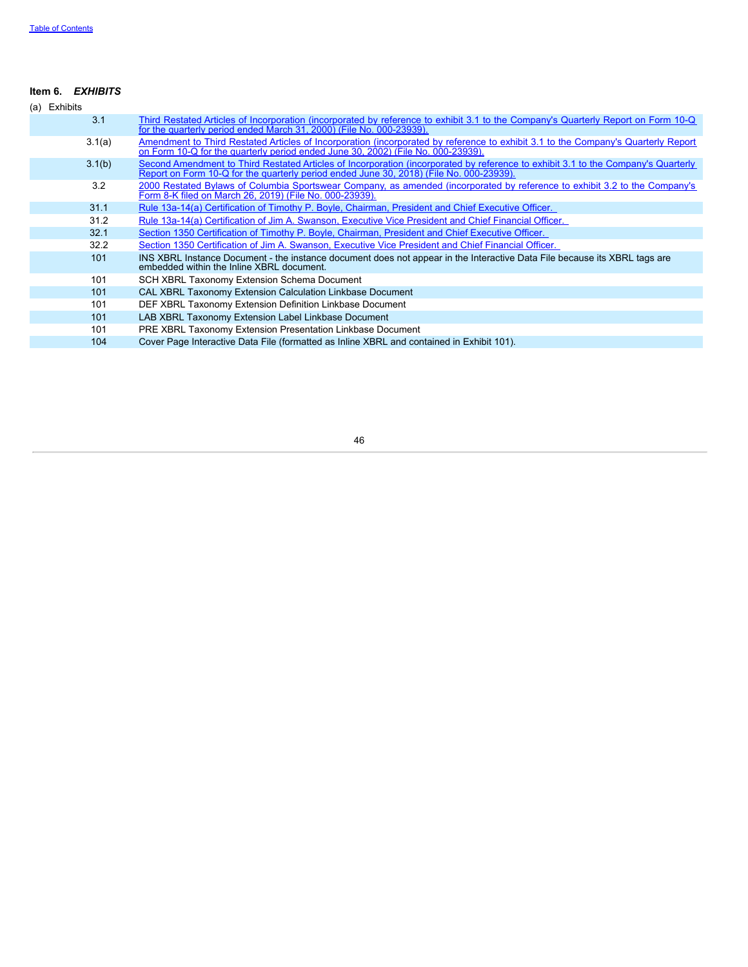# **Item 6.** *EXHIBITS*

<span id="page-47-0"></span>

| (a) Exhibits |        |                                                                                                                                                                                                                              |
|--------------|--------|------------------------------------------------------------------------------------------------------------------------------------------------------------------------------------------------------------------------------|
|              | 3.1    | Third Restated Articles of Incorporation (incorporated by reference to exhibit 3.1 to the Company's Quarterly Report on Form 10-Q<br>for the quarterly period ended March 31, 2000) (File No. 000-23939).                    |
|              | 3.1(a) | Amendment to Third Restated Articles of Incorporation (incorporated by reference to exhibit 3.1 to the Company's Quarterly Report<br>on Form 10-Q for the quarterly period ended June 30, 2002) (File No. 000-23939).        |
|              | 3.1(b) | Second Amendment to Third Restated Articles of Incorporation (incorporated by reference to exhibit 3.1 to the Company's Quarterly<br>Report on Form 10-Q for the quarterly period ended June 30, 2018) (File No. 000-23939). |
|              | 3.2    | 2000 Restated Bylaws of Columbia Sportswear Company, as amended (incorporated by reference to exhibit 3.2 to the Company's<br>Form 8-K filed on March 26, 2019) (File No. 000-23939).                                        |
|              | 31.1   | Rule 13a-14(a) Certification of Timothy P. Boyle, Chairman, President and Chief Executive Officer.                                                                                                                           |
|              | 31.2   | Rule 13a-14(a) Certification of Jim A. Swanson, Executive Vice President and Chief Financial Officer.                                                                                                                        |
|              | 32.1   | Section 1350 Certification of Timothy P. Boyle, Chairman, President and Chief Executive Officer.                                                                                                                             |
|              | 32.2   | Section 1350 Certification of Jim A. Swanson, Executive Vice President and Chief Financial Officer.                                                                                                                          |
|              | 101    | INS XBRL Instance Document - the instance document does not appear in the Interactive Data File because its XBRL tags are<br>embedded within the Inline XBRL document.                                                       |
|              | 101    | SCH XBRL Taxonomy Extension Schema Document                                                                                                                                                                                  |
|              | 101    | <b>CAL XBRL Taxonomy Extension Calculation Linkbase Document</b>                                                                                                                                                             |
|              | 101    | DEF XBRL Taxonomy Extension Definition Linkbase Document                                                                                                                                                                     |
|              | 101    | LAB XBRL Taxonomy Extension Label Linkbase Document                                                                                                                                                                          |
|              | 101    | PRE XBRL Taxonomy Extension Presentation Linkbase Document                                                                                                                                                                   |
|              | 104    | Cover Page Interactive Data File (formatted as Inline XBRL and contained in Exhibit 101).                                                                                                                                    |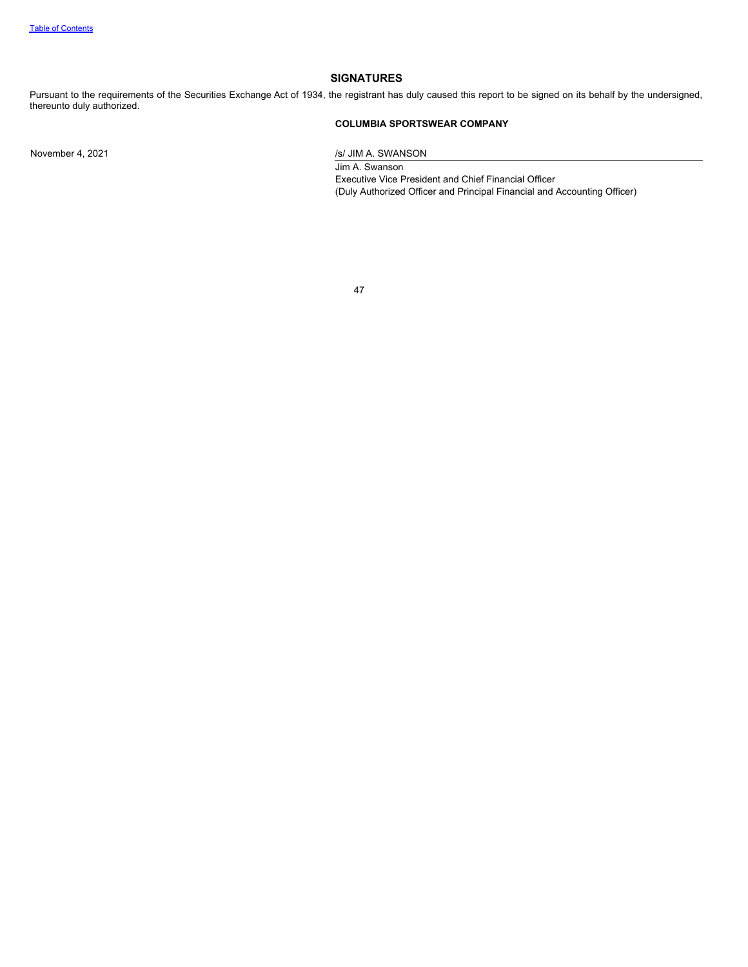### **SIGNATURES**

Pursuant to the requirements of the Securities Exchange Act of 1934, the registrant has duly caused this report to be signed on its behalf by the undersigned, thereunto duly authorized.

# **COLUMBIA SPORTSWEAR COMPANY**

November 4, 2021 /s/ JIM A. SWANSON

Jim A. Swanson Executive Vice President and Chief Financial Officer (Duly Authorized Officer and Principal Financial and Accounting Officer)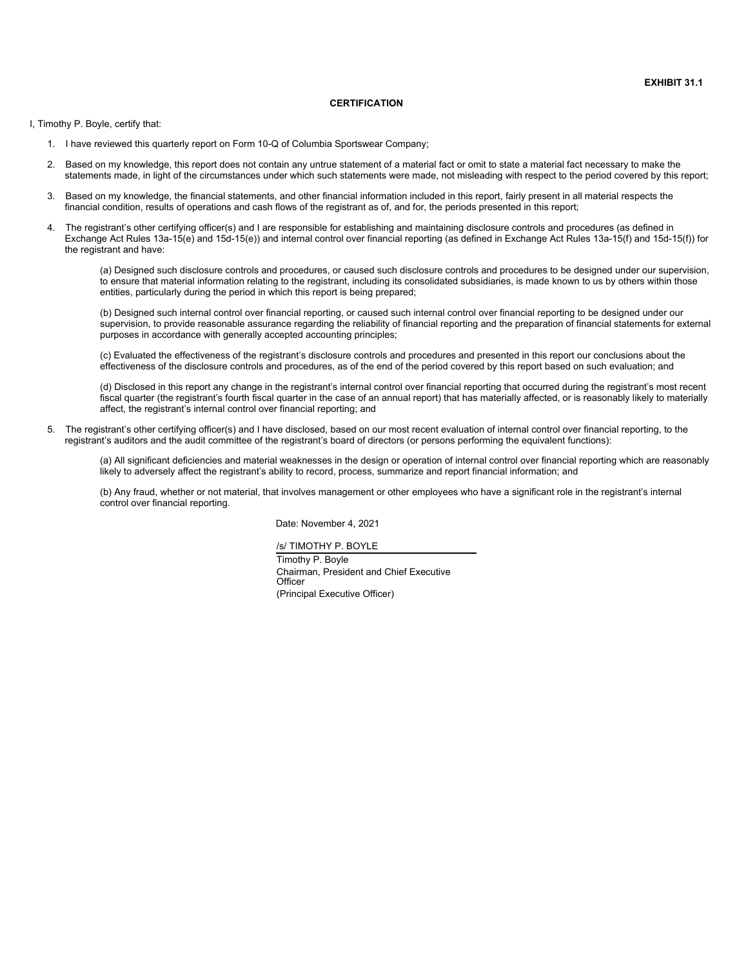#### **CERTIFICATION**

<span id="page-49-0"></span>I, Timothy P. Boyle, certify that:

- 1. I have reviewed this quarterly report on Form 10-Q of Columbia Sportswear Company;
- 2. Based on my knowledge, this report does not contain any untrue statement of a material fact or omit to state a material fact necessary to make the statements made, in light of the circumstances under which such statements were made, not misleading with respect to the period covered by this report;
- Based on my knowledge, the financial statements, and other financial information included in this report, fairly present in all material respects the financial condition, results of operations and cash flows of the registrant as of, and for, the periods presented in this report;
- 4. The registrant's other certifying officer(s) and I are responsible for establishing and maintaining disclosure controls and procedures (as defined in Exchange Act Rules 13a-15(e) and 15d-15(e)) and internal control over financial reporting (as defined in Exchange Act Rules 13a-15(f) and 15d-15(f)) for the registrant and have:

(a) Designed such disclosure controls and procedures, or caused such disclosure controls and procedures to be designed under our supervision, to ensure that material information relating to the registrant, including its consolidated subsidiaries, is made known to us by others within those entities, particularly during the period in which this report is being prepared;

(b) Designed such internal control over financial reporting, or caused such internal control over financial reporting to be designed under our supervision, to provide reasonable assurance regarding the reliability of financial reporting and the preparation of financial statements for external purposes in accordance with generally accepted accounting principles;

(c) Evaluated the effectiveness of the registrant's disclosure controls and procedures and presented in this report our conclusions about the effectiveness of the disclosure controls and procedures, as of the end of the period covered by this report based on such evaluation; and

(d) Disclosed in this report any change in the registrant's internal control over financial reporting that occurred during the registrant's most recent fiscal quarter (the registrant's fourth fiscal quarter in the case of an annual report) that has materially affected, or is reasonably likely to materially affect, the registrant's internal control over financial reporting; and

5. The registrant's other certifying officer(s) and I have disclosed, based on our most recent evaluation of internal control over financial reporting, to the registrant's auditors and the audit committee of the registrant's board of directors (or persons performing the equivalent functions):

(a) All significant deficiencies and material weaknesses in the design or operation of internal control over financial reporting which are reasonably likely to adversely affect the registrant's ability to record, process, summarize and report financial information; and

(b) Any fraud, whether or not material, that involves management or other employees who have a significant role in the registrant's internal control over financial reporting.

Date: November 4, 2021

/s/ TIMOTHY P. BOYLE

Timothy P. Boyle Chairman, President and Chief Executive **Officer** (Principal Executive Officer)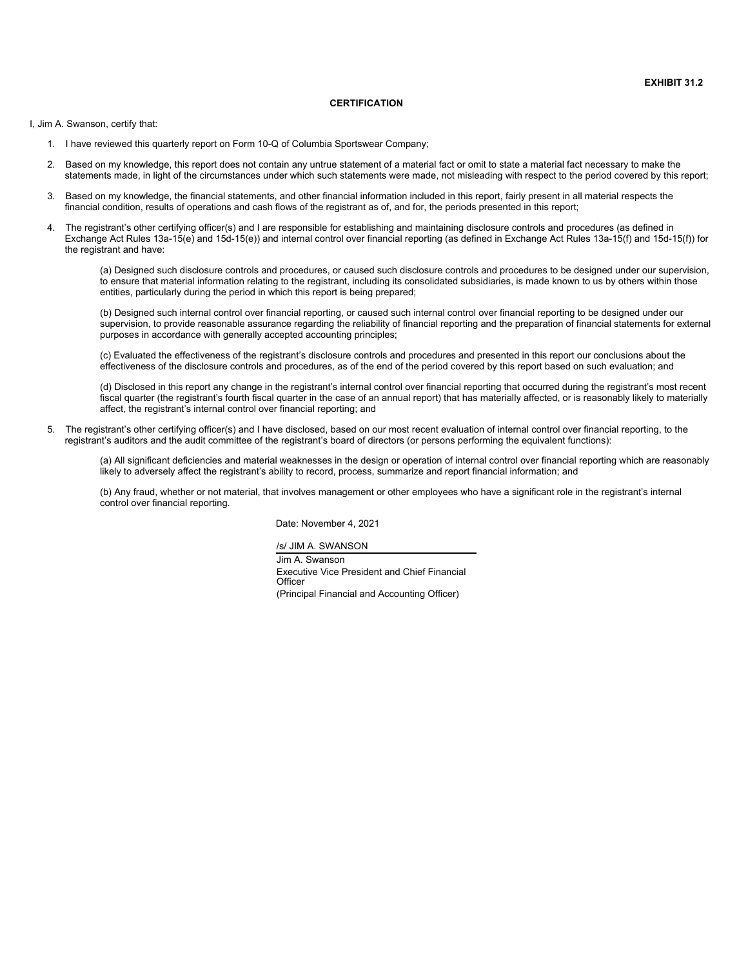#### **CERTIFICATION**

<span id="page-50-0"></span>I, Jim A. Swanson, certify that:

- 1. I have reviewed this quarterly report on Form 10-Q of Columbia Sportswear Company;
- 2. Based on my knowledge, this report does not contain any untrue statement of a material fact or omit to state a material fact necessary to make the statements made, in light of the circumstances under which such statements were made, not misleading with respect to the period covered by this report;
- Based on my knowledge, the financial statements, and other financial information included in this report, fairly present in all material respects the financial condition, results of operations and cash flows of the registrant as of, and for, the periods presented in this report;
- 4. The registrant's other certifying officer(s) and I are responsible for establishing and maintaining disclosure controls and procedures (as defined in Exchange Act Rules 13a-15(e) and 15d-15(e)) and internal control over financial reporting (as defined in Exchange Act Rules 13a-15(f) and 15d-15(f)) for the registrant and have:

(a) Designed such disclosure controls and procedures, or caused such disclosure controls and procedures to be designed under our supervision, to ensure that material information relating to the registrant, including its consolidated subsidiaries, is made known to us by others within those entities, particularly during the period in which this report is being prepared;

(b) Designed such internal control over financial reporting, or caused such internal control over financial reporting to be designed under our supervision, to provide reasonable assurance regarding the reliability of financial reporting and the preparation of financial statements for external purposes in accordance with generally accepted accounting principles;

(c) Evaluated the effectiveness of the registrant's disclosure controls and procedures and presented in this report our conclusions about the effectiveness of the disclosure controls and procedures, as of the end of the period covered by this report based on such evaluation; and

(d) Disclosed in this report any change in the registrant's internal control over financial reporting that occurred during the registrant's most recent fiscal quarter (the registrant's fourth fiscal quarter in the case of an annual report) that has materially affected, or is reasonably likely to materially affect, the registrant's internal control over financial reporting; and

5. The registrant's other certifying officer(s) and I have disclosed, based on our most recent evaluation of internal control over financial reporting, to the registrant's auditors and the audit committee of the registrant's board of directors (or persons performing the equivalent functions):

(a) All significant deficiencies and material weaknesses in the design or operation of internal control over financial reporting which are reasonably likely to adversely affect the registrant's ability to record, process, summarize and report financial information; and

(b) Any fraud, whether or not material, that involves management or other employees who have a significant role in the registrant's internal control over financial reporting.

Date: November 4, 2021

/s/ JIM A. SWANSON

Jim A. Swanson Executive Vice President and Chief Financial **Officer** (Principal Financial and Accounting Officer)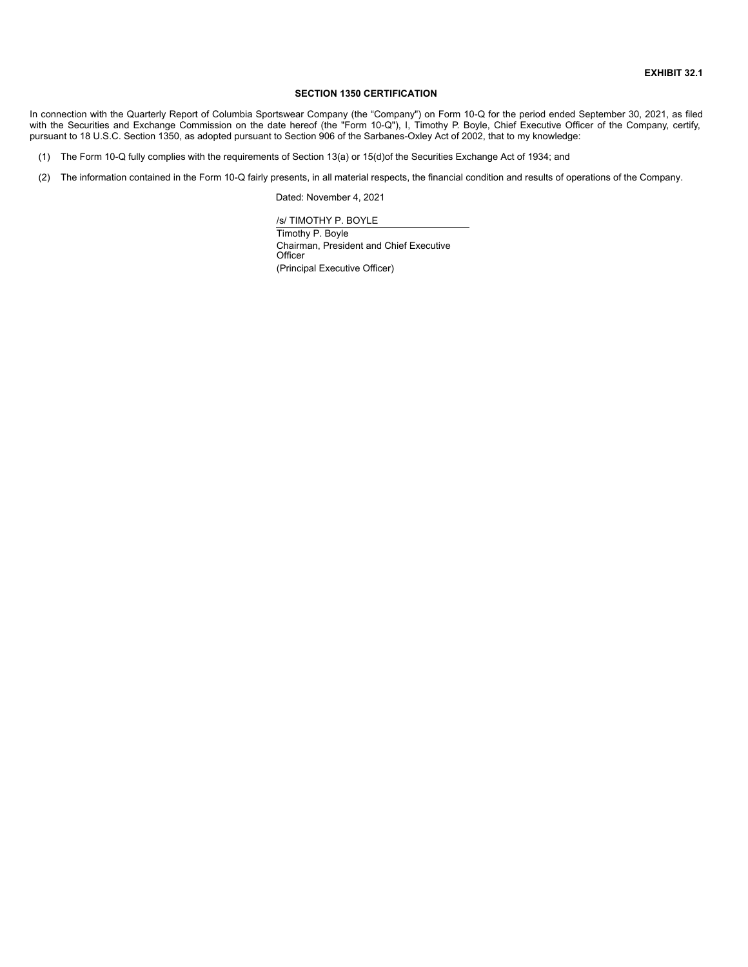#### **SECTION 1350 CERTIFICATION**

<span id="page-51-0"></span>In connection with the Quarterly Report of Columbia Sportswear Company (the "Company") on Form 10-Q for the period ended September 30, 2021, as filed with the Securities and Exchange Commission on the date hereof (the "Form 10-Q"), I, Timothy P. Boyle, Chief Executive Officer of the Company, certify, pursuant to 18 U.S.C. Section 1350, as adopted pursuant to Section 906 of the Sarbanes-Oxley Act of 2002, that to my knowledge:

(1) The Form 10-Q fully complies with the requirements of Section 13(a) or 15(d)of the Securities Exchange Act of 1934; and

(2) The information contained in the Form 10-Q fairly presents, in all material respects, the financial condition and results of operations of the Company.

Dated: November 4, 2021

/s/ TIMOTHY P. BOYLE

Timothy P. Boyle Chairman, President and Chief Executive **Officer** (Principal Executive Officer)